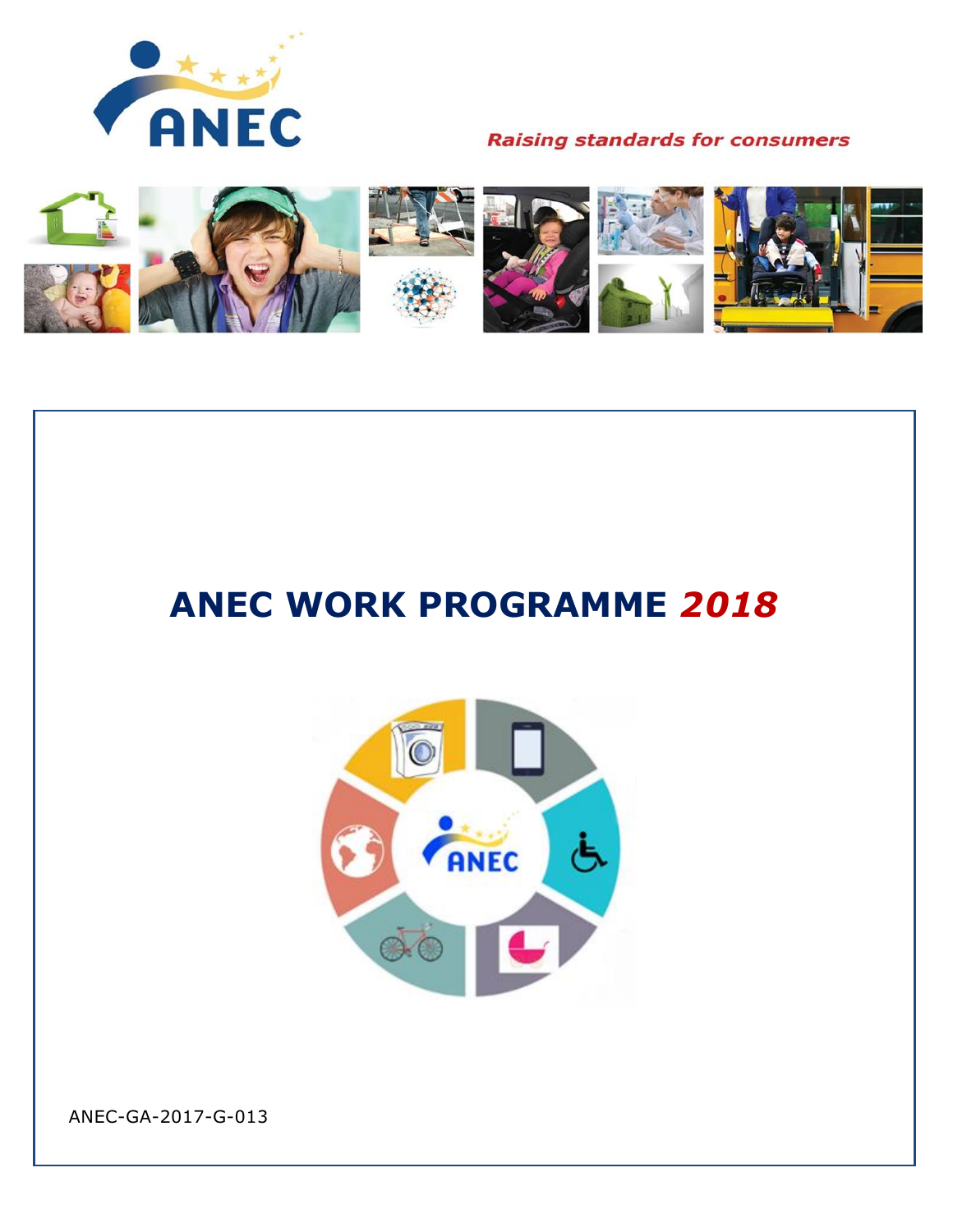



# **ANEC WORK PROGRAMME** *2018*



ANEC-GA-2017-G-013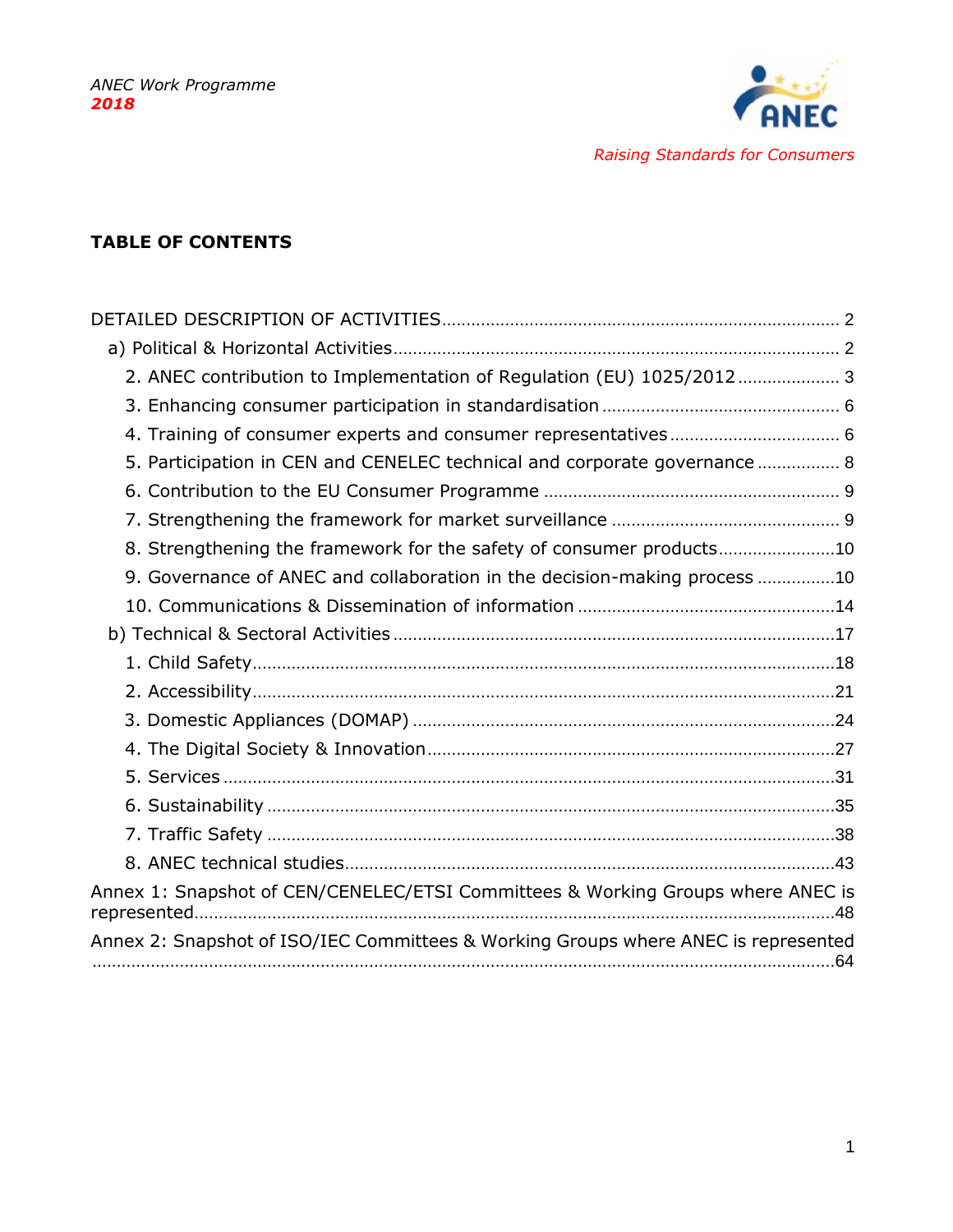

**TABLE OF CONTENTS**

| 2. ANEC contribution to Implementation of Regulation (EU) 1025/2012 3              |
|------------------------------------------------------------------------------------|
|                                                                                    |
| 4. Training of consumer experts and consumer representatives 6                     |
| 5. Participation in CEN and CENELEC technical and corporate governance 8           |
|                                                                                    |
|                                                                                    |
| 8. Strengthening the framework for the safety of consumer products10               |
| 9. Governance of ANEC and collaboration in the decision-making process 10          |
|                                                                                    |
|                                                                                    |
|                                                                                    |
|                                                                                    |
|                                                                                    |
|                                                                                    |
|                                                                                    |
|                                                                                    |
|                                                                                    |
|                                                                                    |
| Annex 1: Snapshot of CEN/CENELEC/ETSI Committees & Working Groups where ANEC is    |
| Annex 2: Snapshot of ISO/IEC Committees & Working Groups where ANEC is represented |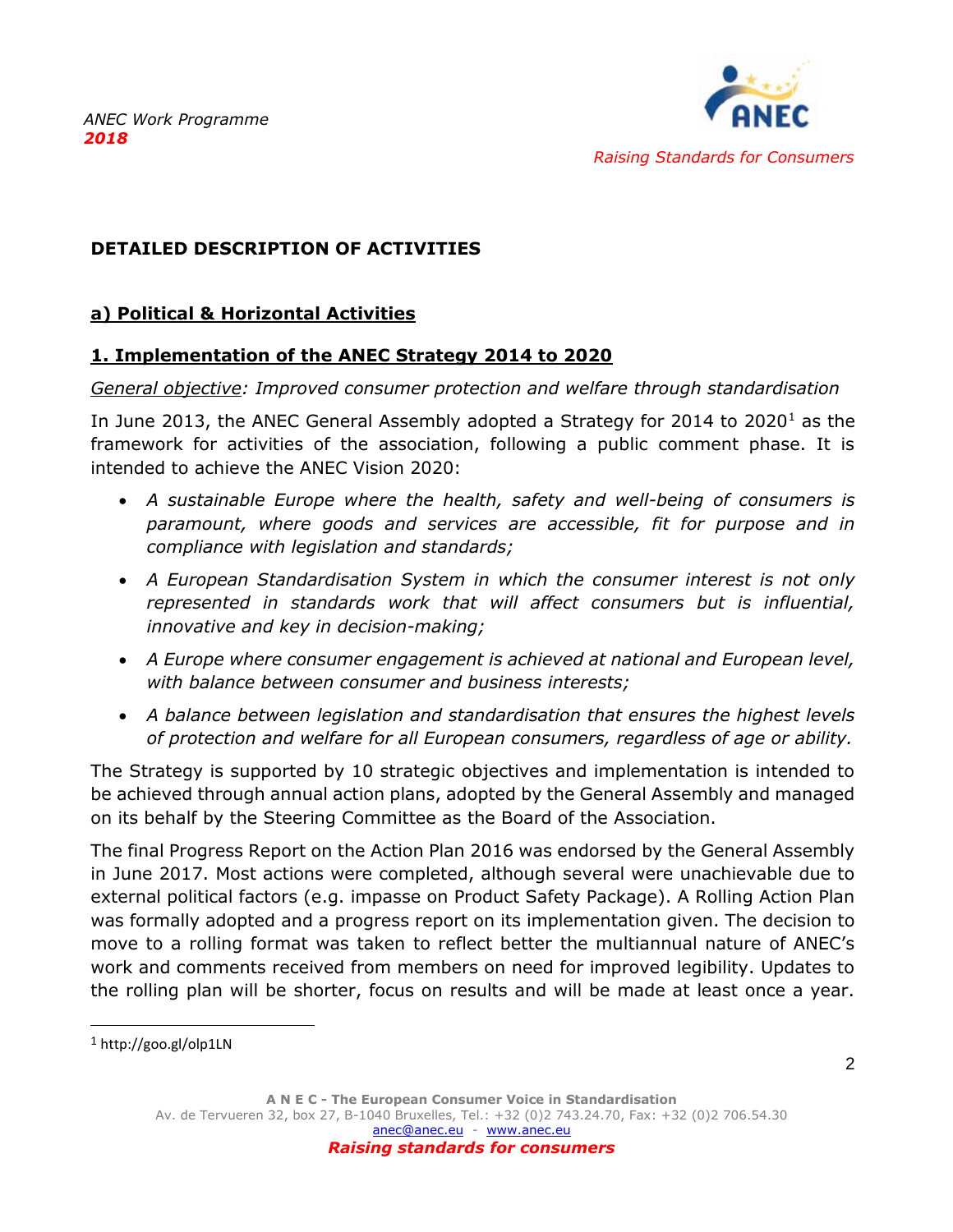

# <span id="page-2-0"></span>**DETAILED DESCRIPTION OF ACTIVITIES**

### <span id="page-2-1"></span>**a) Political & Horizontal Activities**

#### **1. Implementation of the ANEC Strategy 2014 to 2020**

#### *General objective: Improved consumer protection and welfare through standardisation*

In June 2013, the ANEC General Assembly adopted a Strategy for 2014 to  $2020<sup>1</sup>$  as the framework for activities of the association, following a public comment phase. It is intended to achieve the ANEC Vision 2020:

- *A sustainable Europe where the health, safety and well-being of consumers is paramount, where goods and services are accessible, fit for purpose and in compliance with legislation and standards;*
- *A European Standardisation System in which the consumer interest is not only represented in standards work that will affect consumers but is influential, innovative and key in decision-making;*
- *A Europe where consumer engagement is achieved at national and European level, with balance between consumer and business interests;*
- *A balance between legislation and standardisation that ensures the highest levels of protection and welfare for all European consumers, regardless of age or ability.*

The Strategy is supported by 10 strategic objectives and implementation is intended to be achieved through annual action plans, adopted by the General Assembly and managed on its behalf by the Steering Committee as the Board of the Association.

The final Progress Report on the Action Plan 2016 was endorsed by the General Assembly in June 2017. Most actions were completed, although several were unachievable due to external political factors (e.g. impasse on Product Safety Package). A Rolling Action Plan was formally adopted and a progress report on its implementation given. The decision to move to a rolling format was taken to reflect better the multiannual nature of ANEC's work and comments received from members on need for improved legibility. Updates to the rolling plan will be shorter, focus on results and will be made at least once a year.

<sup>1</sup> http://goo.gl/olp1LN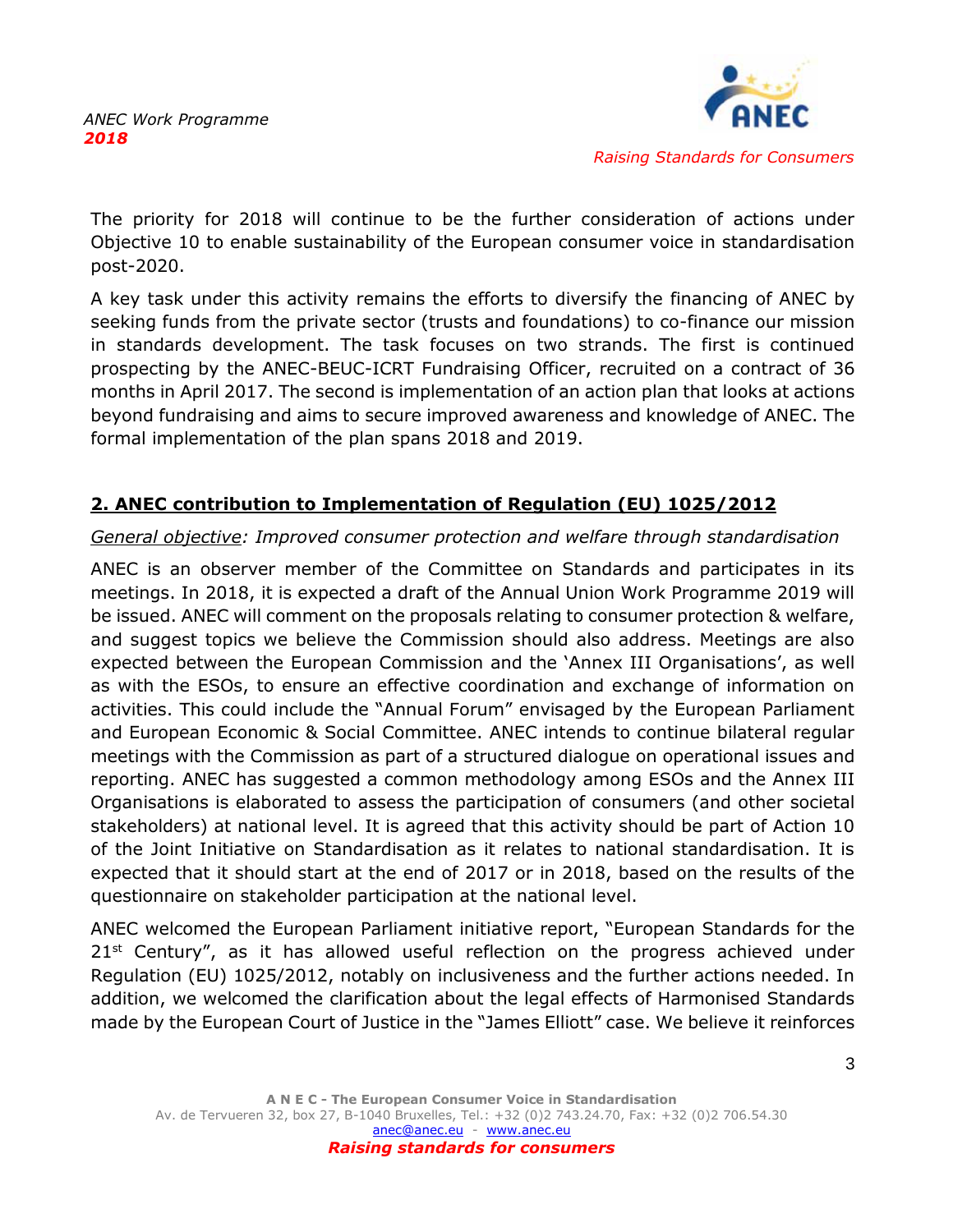

The priority for 2018 will continue to be the further consideration of actions under Objective 10 to enable sustainability of the European consumer voice in standardisation post-2020.

A key task under this activity remains the efforts to diversify the financing of ANEC by seeking funds from the private sector (trusts and foundations) to co-finance our mission in standards development. The task focuses on two strands. The first is continued prospecting by the ANEC-BEUC-ICRT Fundraising Officer, recruited on a contract of 36 months in April 2017. The second is implementation of an action plan that looks at actions beyond fundraising and aims to secure improved awareness and knowledge of ANEC. The formal implementation of the plan spans 2018 and 2019.

# <span id="page-3-0"></span>**2. ANEC contribution to Implementation of Regulation (EU) 1025/2012**

# *General objective: Improved consumer protection and welfare through standardisation*

ANEC is an observer member of the Committee on Standards and participates in its meetings. In 2018, it is expected a draft of the Annual Union Work Programme 2019 will be issued. ANEC will comment on the proposals relating to consumer protection & welfare, and suggest topics we believe the Commission should also address. Meetings are also expected between the European Commission and the 'Annex III Organisations', as well as with the ESOs, to ensure an effective coordination and exchange of information on activities. This could include the "Annual Forum" envisaged by the European Parliament and European Economic & Social Committee. ANEC intends to continue bilateral regular meetings with the Commission as part of a structured dialogue on operational issues and reporting. ANEC has suggested a common methodology among ESOs and the Annex III Organisations is elaborated to assess the participation of consumers (and other societal stakeholders) at national level. It is agreed that this activity should be part of Action 10 of the Joint Initiative on Standardisation as it relates to national standardisation. It is expected that it should start at the end of 2017 or in 2018, based on the results of the questionnaire on stakeholder participation at the national level.

ANEC welcomed the European Parliament initiative report, "European Standards for the  $21<sup>st</sup>$  Century", as it has allowed useful reflection on the progress achieved under Regulation (EU) 1025/2012, notably on inclusiveness and the further actions needed. In addition, we welcomed the clarification about the legal effects of Harmonised Standards made by the European Court of Justice in the "James Elliott" case. We believe it reinforces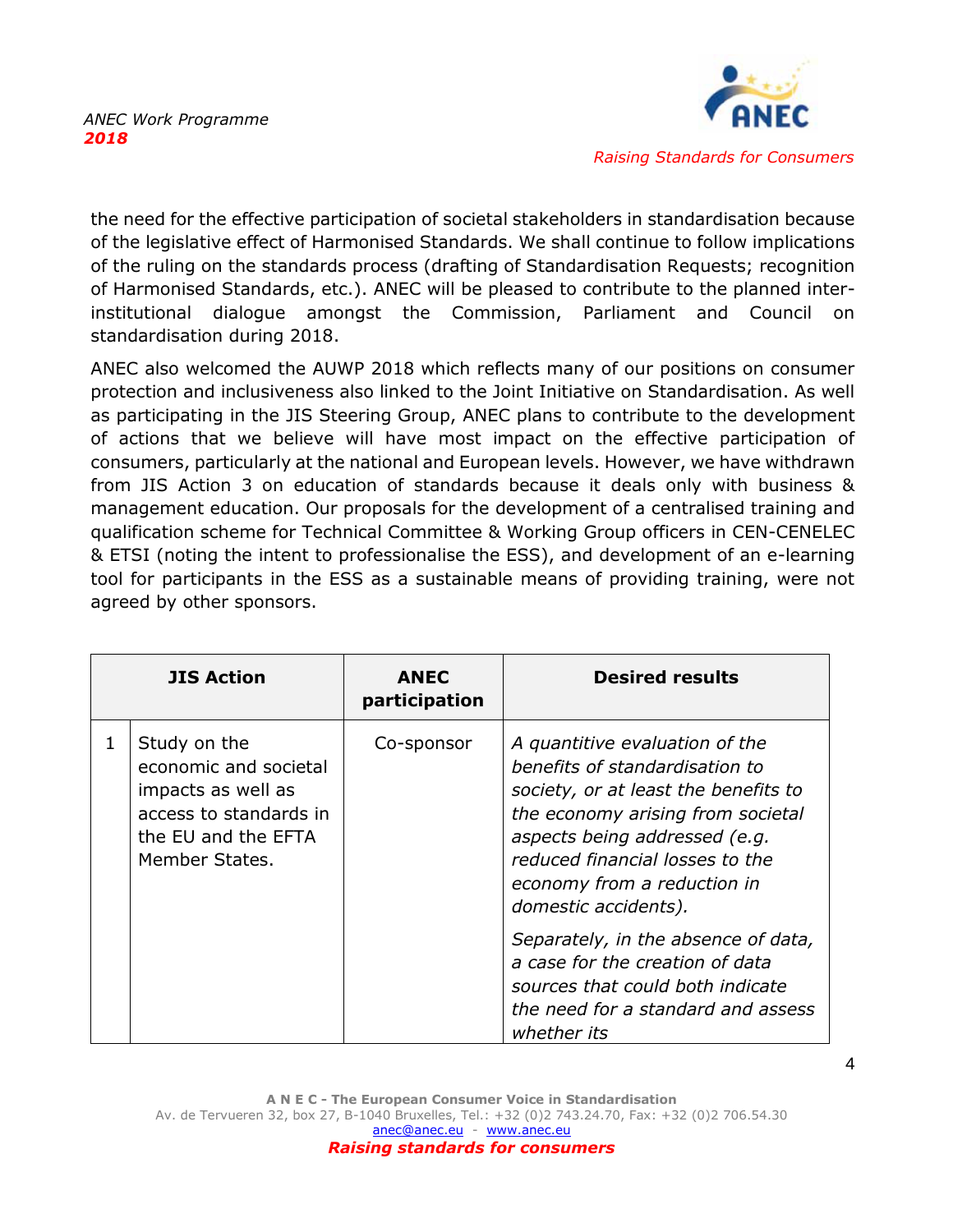

the need for the effective participation of societal stakeholders in standardisation because of the legislative effect of Harmonised Standards. We shall continue to follow implications of the ruling on the standards process (drafting of Standardisation Requests; recognition of Harmonised Standards, etc.). ANEC will be pleased to contribute to the planned interinstitutional dialogue amongst the Commission, Parliament and Council on standardisation during 2018.

ANEC also welcomed the AUWP 2018 which reflects many of our positions on consumer protection and inclusiveness also linked to the Joint Initiative on Standardisation. As well as participating in the JIS Steering Group, ANEC plans to contribute to the development of actions that we believe will have most impact on the effective participation of consumers, particularly at the national and European levels. However, we have withdrawn from JIS Action 3 on education of standards because it deals only with business & management education. Our proposals for the development of a centralised training and qualification scheme for Technical Committee & Working Group officers in CEN-CENELEC & ETSI (noting the intent to professionalise the ESS), and development of an e-learning tool for participants in the ESS as a sustainable means of providing training, were not agreed by other sponsors.

|   | <b>JIS Action</b>                                                                                                              | <b>ANEC</b><br>participation | <b>Desired results</b>                                                                                                                                                                                                                                                   |
|---|--------------------------------------------------------------------------------------------------------------------------------|------------------------------|--------------------------------------------------------------------------------------------------------------------------------------------------------------------------------------------------------------------------------------------------------------------------|
| 1 | Study on the<br>economic and societal<br>impacts as well as<br>access to standards in<br>the EU and the EFTA<br>Member States. | Co-sponsor                   | A quantitive evaluation of the<br>benefits of standardisation to<br>society, or at least the benefits to<br>the economy arising from societal<br>aspects being addressed (e.g.<br>reduced financial losses to the<br>economy from a reduction in<br>domestic accidents). |
|   |                                                                                                                                |                              | Separately, in the absence of data,<br>a case for the creation of data<br>sources that could both indicate<br>the need for a standard and assess<br>whether its                                                                                                          |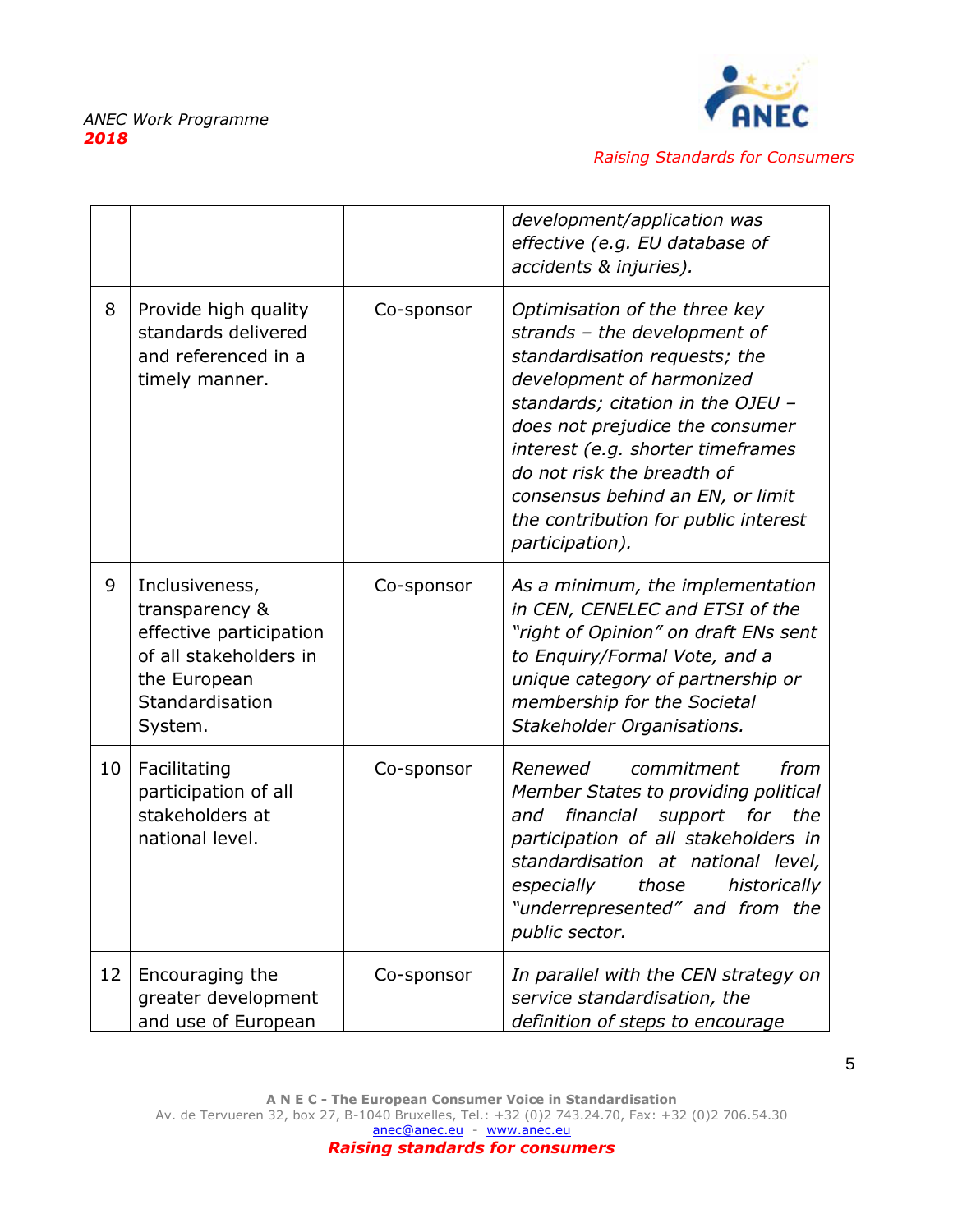

|    |                                                                                                                                     |            | development/application was<br>effective (e.g. EU database of<br>accidents & injuries).                                                                                                                                                                                                                                                                               |
|----|-------------------------------------------------------------------------------------------------------------------------------------|------------|-----------------------------------------------------------------------------------------------------------------------------------------------------------------------------------------------------------------------------------------------------------------------------------------------------------------------------------------------------------------------|
| 8  | Provide high quality<br>standards delivered<br>and referenced in a<br>timely manner.                                                | Co-sponsor | Optimisation of the three key<br>strands - the development of<br>standardisation requests; the<br>development of harmonized<br>standards; citation in the OJEU -<br>does not prejudice the consumer<br>interest (e.g. shorter timeframes<br>do not risk the breadth of<br>consensus behind an EN, or limit<br>the contribution for public interest<br>participation). |
| 9  | Inclusiveness,<br>transparency &<br>effective participation<br>of all stakeholders in<br>the European<br>Standardisation<br>System. | Co-sponsor | As a minimum, the implementation<br>in CEN, CENELEC and ETSI of the<br>"right of Opinion" on draft ENs sent<br>to Enguiry/Formal Vote, and a<br>unique category of partnership or<br>membership for the Societal<br>Stakeholder Organisations.                                                                                                                        |
| 10 | Facilitating<br>participation of all<br>stakeholders at<br>national level.                                                          | Co-sponsor | from<br>Renewed<br>commitment<br>Member States to providing political<br>financial support for the<br>and<br>participation of all stakeholders in<br>standardisation at national level,<br>especially<br>those<br>historically<br>"underrepresented" and from the<br>public sector.                                                                                   |
| 12 | Encouraging the<br>greater development<br>and use of European                                                                       | Co-sponsor | In parallel with the CEN strategy on<br>service standardisation, the<br>definition of steps to encourage                                                                                                                                                                                                                                                              |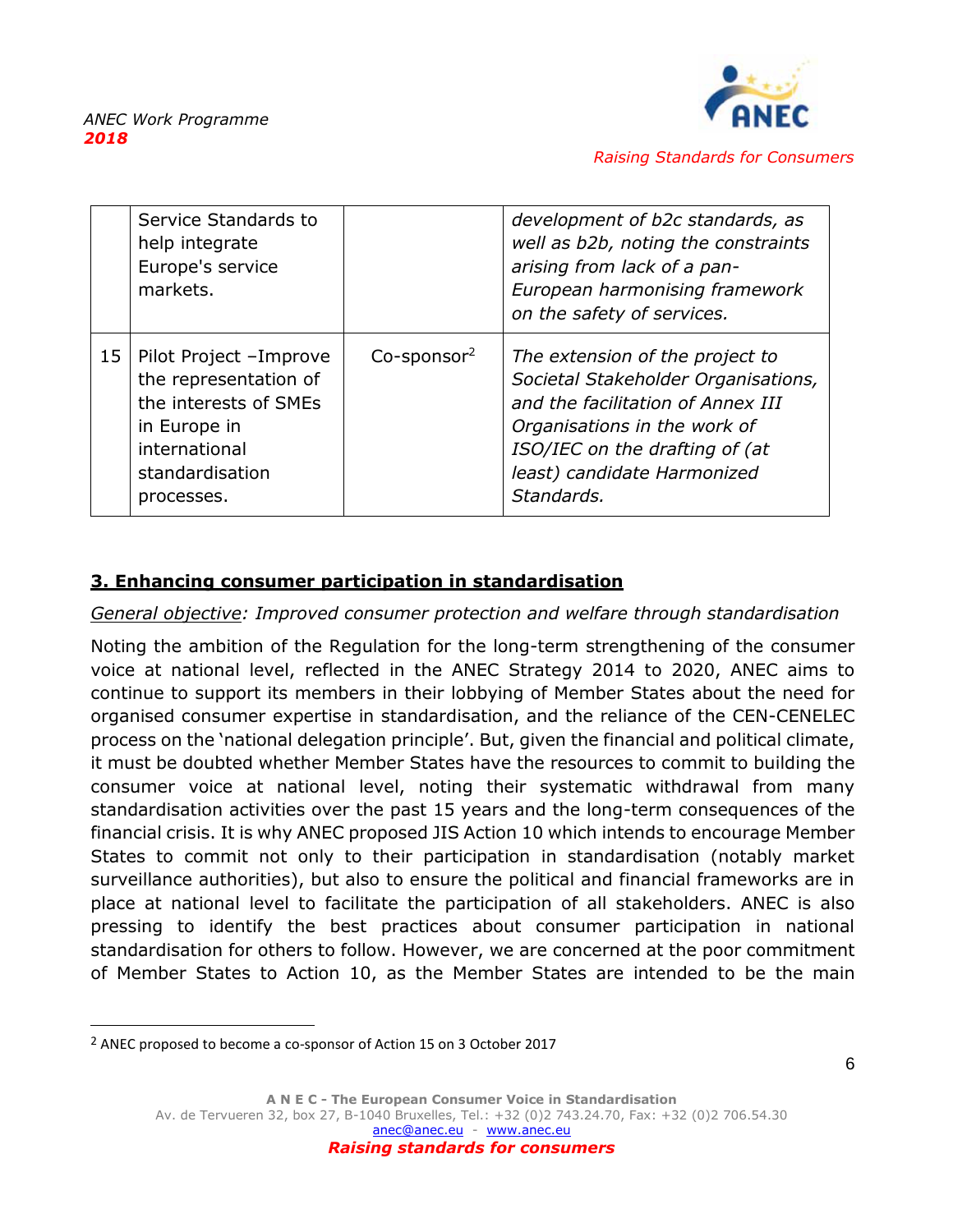

|    | Service Standards to<br>help integrate<br>Europe's service<br>markets.                                                                     |                            | development of b2c standards, as<br>well as b2b, noting the constraints<br>arising from lack of a pan-<br>European harmonising framework<br>on the safety of services.                                                     |
|----|--------------------------------------------------------------------------------------------------------------------------------------------|----------------------------|----------------------------------------------------------------------------------------------------------------------------------------------------------------------------------------------------------------------------|
| 15 | Pilot Project -Improve<br>the representation of<br>the interests of SMEs<br>in Europe in<br>international<br>standardisation<br>processes. | $Co$ -sponsor <sup>2</sup> | The extension of the project to<br>Societal Stakeholder Organisations,<br>and the facilitation of Annex III<br>Organisations in the work of<br>ISO/IEC on the drafting of (at<br>least) candidate Harmonized<br>Standards. |

# <span id="page-6-0"></span>**3. Enhancing consumer participation in standardisation**

### *General objective: Improved consumer protection and welfare through standardisation*

<span id="page-6-1"></span>Noting the ambition of the Regulation for the long-term strengthening of the consumer voice at national level, reflected in the ANEC Strategy 2014 to 2020, ANEC aims to continue to support its members in their lobbying of Member States about the need for organised consumer expertise in standardisation, and the reliance of the CEN-CENELEC process on the 'national delegation principle'. But, given the financial and political climate, it must be doubted whether Member States have the resources to commit to building the consumer voice at national level, noting their systematic withdrawal from many standardisation activities over the past 15 years and the long-term consequences of the financial crisis. It is why ANEC proposed JIS Action 10 which intends to encourage Member States to commit not only to their participation in standardisation (notably market surveillance authorities), but also to ensure the political and financial frameworks are in place at national level to facilitate the participation of all stakeholders. ANEC is also pressing to identify the best practices about consumer participation in national standardisation for others to follow. However, we are concerned at the poor commitment of Member States to Action 10, as the Member States are intended to be the main

<sup>&</sup>lt;sup>2</sup> ANEC proposed to become a co-sponsor of Action 15 on 3 October 2017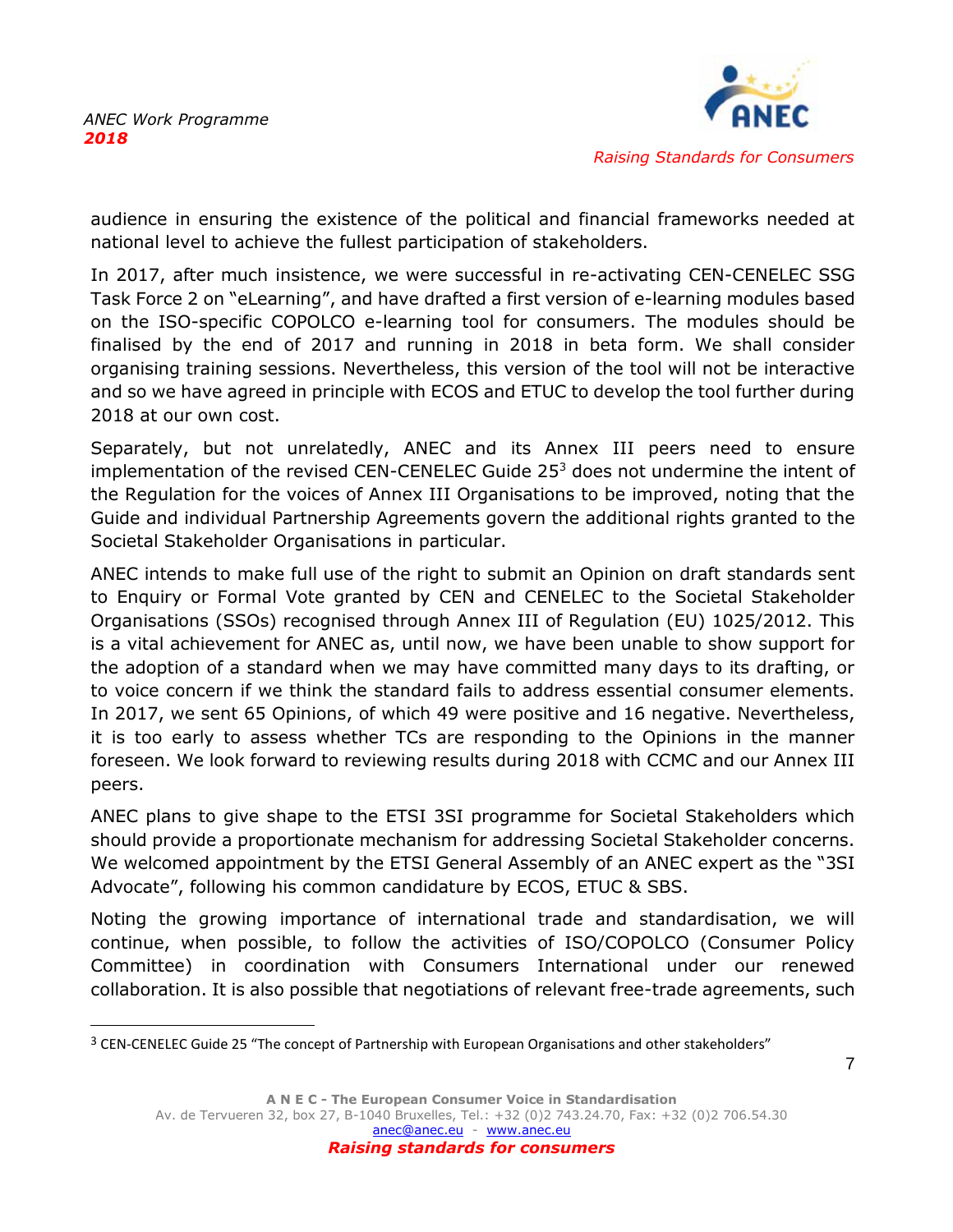

audience in ensuring the existence of the political and financial frameworks needed at national level to achieve the fullest participation of stakeholders.

In 2017, after much insistence, we were successful in re-activating CEN-CENELEC SSG Task Force 2 on "eLearning", and have drafted a first version of e-learning modules based on the ISO-specific COPOLCO e-learning tool for consumers. The modules should be finalised by the end of 2017 and running in 2018 in beta form. We shall consider organising training sessions. Nevertheless, this version of the tool will not be interactive and so we have agreed in principle with ECOS and ETUC to develop the tool further during 2018 at our own cost.

Separately, but not unrelatedly, ANEC and its Annex III peers need to ensure implementation of the revised CEN-CENELEC Guide  $25<sup>3</sup>$  does not undermine the intent of the Regulation for the voices of Annex III Organisations to be improved, noting that the Guide and individual Partnership Agreements govern the additional rights granted to the Societal Stakeholder Organisations in particular.

ANEC intends to make full use of the right to submit an Opinion on draft standards sent to Enquiry or Formal Vote granted by CEN and CENELEC to the Societal Stakeholder Organisations (SSOs) recognised through Annex III of Regulation (EU) 1025/2012. This is a vital achievement for ANEC as, until now, we have been unable to show support for the adoption of a standard when we may have committed many days to its drafting, or to voice concern if we think the standard fails to address essential consumer elements. In 2017, we sent 65 Opinions, of which 49 were positive and 16 negative. Nevertheless, it is too early to assess whether TCs are responding to the Opinions in the manner foreseen. We look forward to reviewing results during 2018 with CCMC and our Annex III peers.

ANEC plans to give shape to the ETSI 3SI programme for Societal Stakeholders which should provide a proportionate mechanism for addressing Societal Stakeholder concerns. We welcomed appointment by the ETSI General Assembly of an ANEC expert as the "3SI Advocate", following his common candidature by ECOS, ETUC & SBS.

Noting the growing importance of international trade and standardisation, we will continue, when possible, to follow the activities of ISO/COPOLCO (Consumer Policy Committee) in coordination with Consumers International under our renewed collaboration. It is also possible that negotiations of relevant free-trade agreements, such

<sup>&</sup>lt;sup>3</sup> CEN-CENELEC Guide 25 "The concept of Partnership with European Organisations and other stakeholders"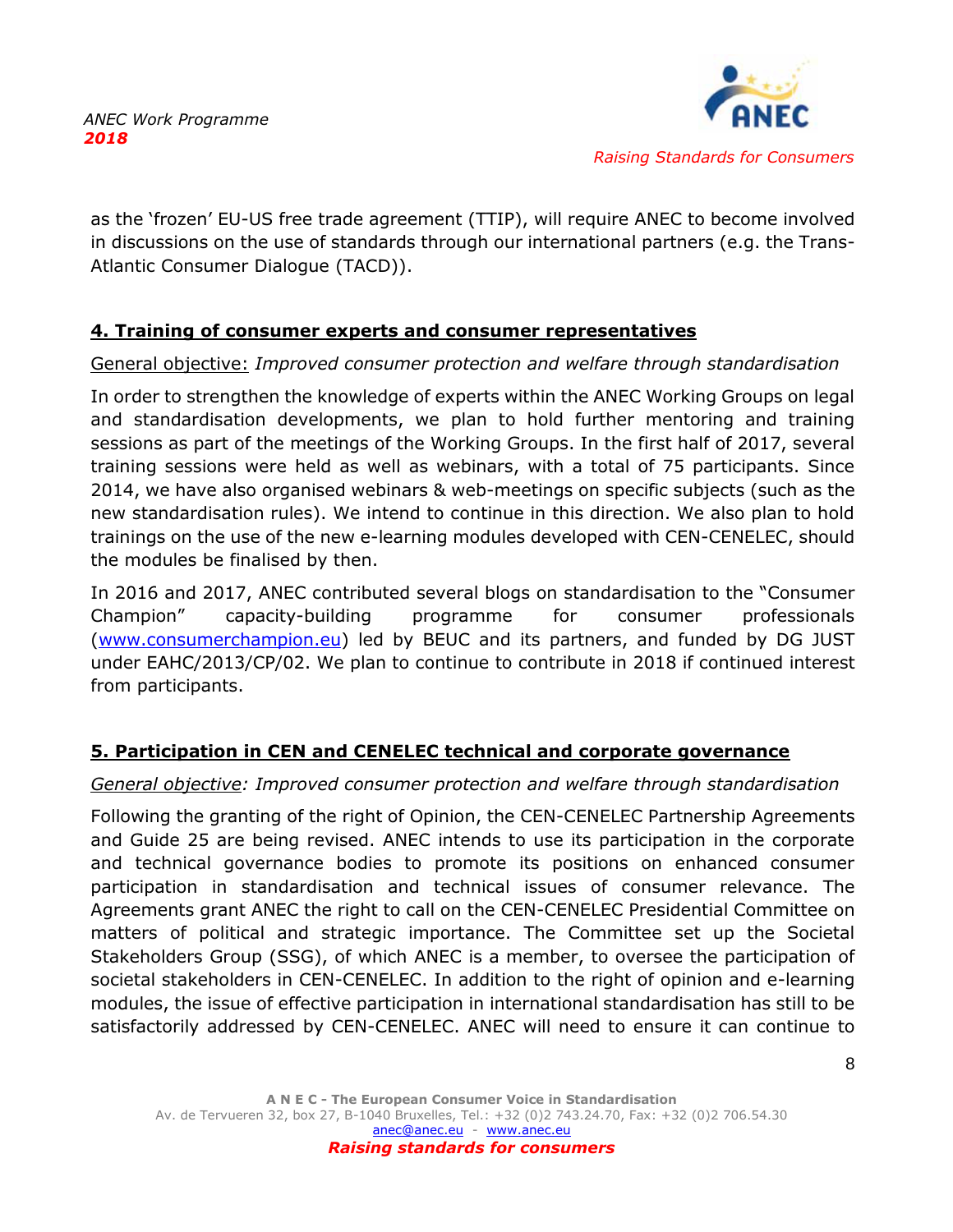

as the 'frozen' EU-US free trade agreement (TTIP), will require ANEC to become involved in discussions on the use of standards through our international partners (e.g. the Trans-Atlantic Consumer Dialogue (TACD)).

# **4. Training of consumer experts and consumer representatives**

# General objective: *Improved consumer protection and welfare through standardisation*

In order to strengthen the knowledge of experts within the ANEC Working Groups on legal and standardisation developments, we plan to hold further mentoring and training sessions as part of the meetings of the Working Groups. In the first half of 2017, several training sessions were held as well as webinars, with a total of 75 participants. Since 2014, we have also organised webinars & web-meetings on specific subjects (such as the new standardisation rules). We intend to continue in this direction. We also plan to hold trainings on the use of the new e-learning modules developed with CEN-CENELEC, should the modules be finalised by then.

In 2016 and 2017, ANEC contributed several blogs on standardisation to the "Consumer Champion" capacity-building programme for consumer professionals [\(www.consumerchampion.eu\)](http://www.consumerchampion.eu/) led by BEUC and its partners, and funded by DG JUST under EAHC/2013/CP/02. We plan to continue to contribute in 2018 if continued interest from participants.

# <span id="page-8-0"></span>**5. Participation in CEN and CENELEC technical and corporate governance**

# *General objective: Improved consumer protection and welfare through standardisation*

Following the granting of the right of Opinion, the CEN-CENELEC Partnership Agreements and Guide 25 are being revised. ANEC intends to use its participation in the corporate and technical governance bodies to promote its positions on enhanced consumer participation in standardisation and technical issues of consumer relevance. The Agreements grant ANEC the right to call on the CEN-CENELEC Presidential Committee on matters of political and strategic importance. The Committee set up the Societal Stakeholders Group (SSG), of which ANEC is a member, to oversee the participation of societal stakeholders in CEN-CENELEC. In addition to the right of opinion and e-learning modules, the issue of effective participation in international standardisation has still to be satisfactorily addressed by CEN-CENELEC. ANEC will need to ensure it can continue to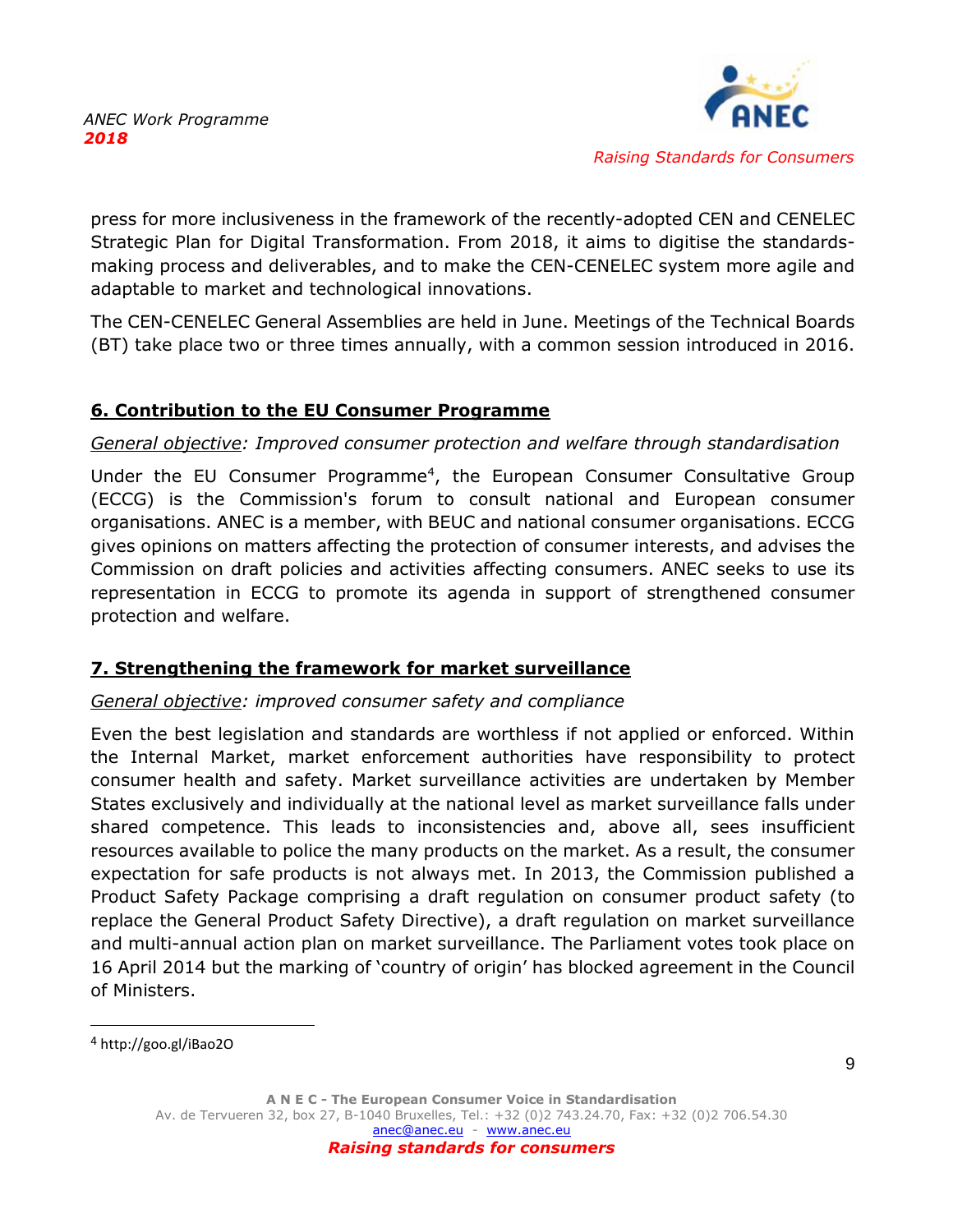<span id="page-9-0"></span>

press for more inclusiveness in the framework of the recently-adopted CEN and CENELEC Strategic Plan for Digital Transformation. From 2018, it aims to digitise the standardsmaking process and deliverables, and to make the CEN-CENELEC system more agile and adaptable to market and technological innovations.

The CEN-CENELEC General Assemblies are held in June. Meetings of the Technical Boards (BT) take place two or three times annually, with a common session introduced in 2016.

# **6. Contribution to the EU Consumer Programme**

# *General objective: Improved consumer protection and welfare through standardisation*

Under the EU Consumer Programme<sup>4</sup>, the European Consumer Consultative Group (ECCG) is the Commission's forum to consult national and European consumer organisations. ANEC is a member, with BEUC and national consumer organisations. ECCG gives opinions on matters affecting the protection of consumer interests, and advises the Commission on draft policies and activities affecting consumers. ANEC seeks to use its representation in ECCG to promote its agenda in support of strengthened consumer protection and welfare.

# <span id="page-9-1"></span>**7. Strengthening the framework for market surveillance**

# *General objective: improved consumer safety and compliance*

Even the best legislation and standards are worthless if not applied or enforced. Within the Internal Market, market enforcement authorities have responsibility to protect consumer health and safety. Market surveillance activities are undertaken by Member States exclusively and individually at the national level as market surveillance falls under shared competence. This leads to inconsistencies and, above all, sees insufficient resources available to police the many products on the market. As a result, the consumer expectation for safe products is not always met. In 2013, the Commission published a Product Safety Package comprising a draft regulation on consumer product safety (to replace the General Product Safety Directive), a draft regulation on market surveillance and multi-annual action plan on market surveillance. The Parliament votes took place on 16 April 2014 but the marking of 'country of origin' has blocked agreement in the Council of Ministers.

<sup>4</sup> http://goo.gl/iBao2O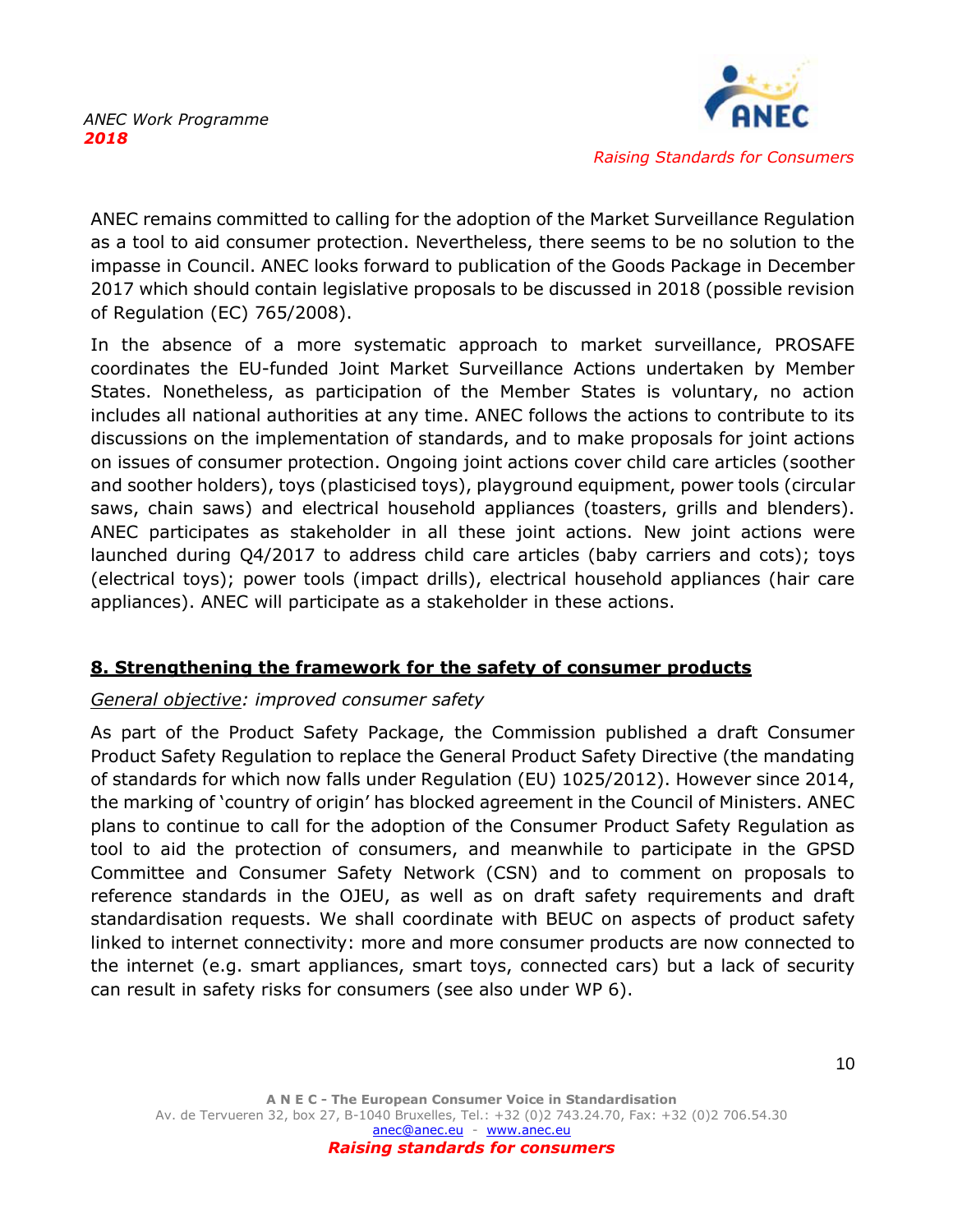

ANEC remains committed to calling for the adoption of the Market Surveillance Regulation as a tool to aid consumer protection. Nevertheless, there seems to be no solution to the impasse in Council. ANEC looks forward to publication of the Goods Package in December 2017 which should contain legislative proposals to be discussed in 2018 (possible revision of Regulation (EC) 765/2008).

In the absence of a more systematic approach to market surveillance, PROSAFE coordinates the EU-funded Joint Market Surveillance Actions undertaken by Member States. Nonetheless, as participation of the Member States is voluntary, no action includes all national authorities at any time. ANEC follows the actions to contribute to its discussions on the implementation of standards, and to make proposals for joint actions on issues of consumer protection. Ongoing joint actions cover child care articles (soother and soother holders), toys (plasticised toys), playground equipment, power tools (circular saws, chain saws) and electrical household appliances (toasters, grills and blenders). ANEC participates as stakeholder in all these joint actions. New joint actions were launched during Q4/2017 to address child care articles (baby carriers and cots); toys (electrical toys); power tools (impact drills), electrical household appliances (hair care appliances). ANEC will participate as a stakeholder in these actions.

# <span id="page-10-0"></span>**8. Strengthening the framework for the safety of consumer products**

#### *General objective: improved consumer safety*

<span id="page-10-1"></span>As part of the Product Safety Package, the Commission published a draft Consumer Product Safety Regulation to replace the General Product Safety Directive (the mandating of standards for which now falls under Regulation (EU) 1025/2012). However since 2014, the marking of 'country of origin' has blocked agreement in the Council of Ministers. ANEC plans to continue to call for the adoption of the Consumer Product Safety Regulation as tool to aid the protection of consumers, and meanwhile to participate in the GPSD Committee and Consumer Safety Network (CSN) and to comment on proposals to reference standards in the OJEU, as well as on draft safety requirements and draft standardisation requests. We shall coordinate with BEUC on aspects of product safety linked to internet connectivity: more and more consumer products are now connected to the internet (e.g. smart appliances, smart toys, connected cars) but a lack of security can result in safety risks for consumers (see also under WP 6).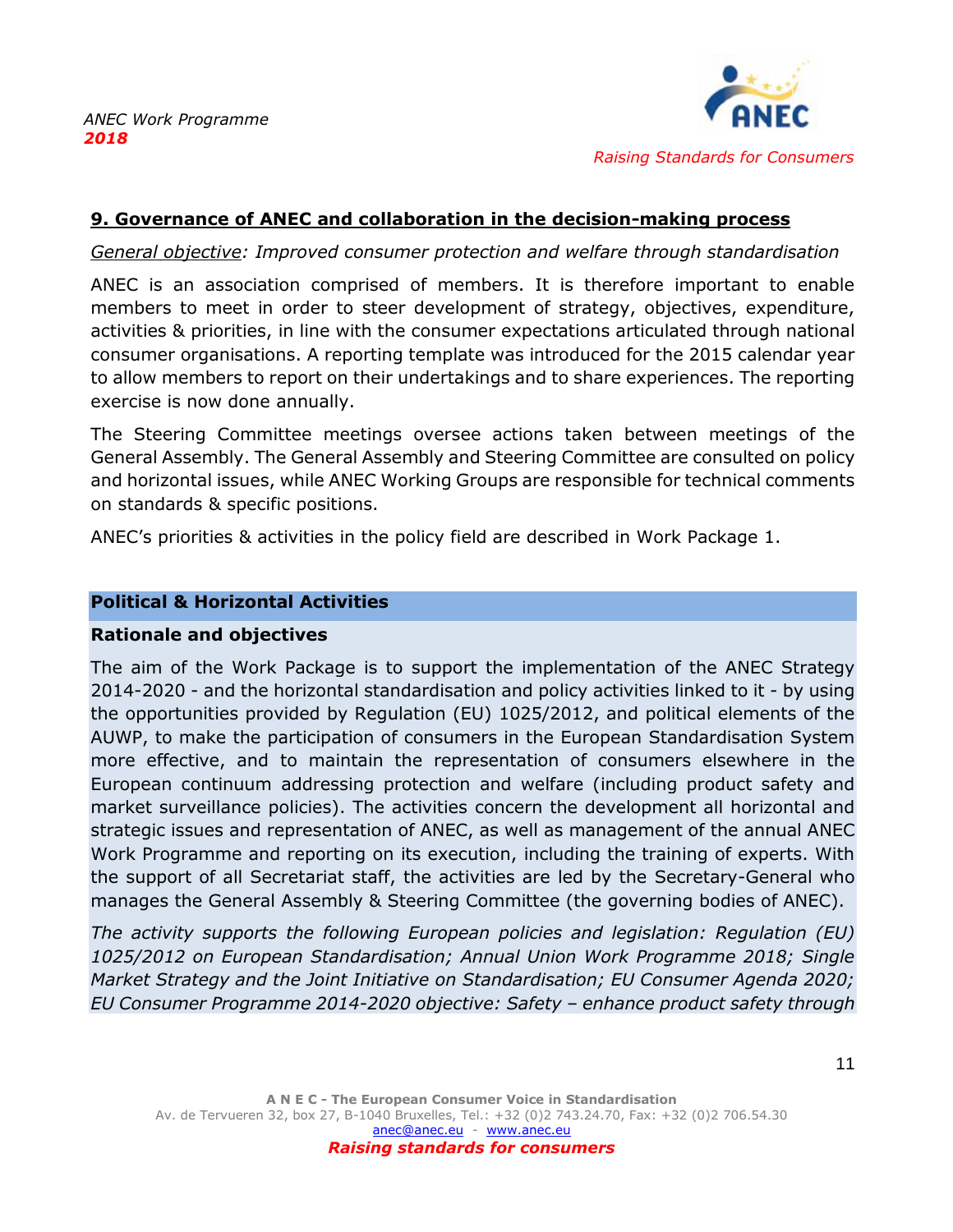

### **9. Governance of ANEC and collaboration in the decision-making process**

*General objective: Improved consumer protection and welfare through standardisation*

ANEC is an association comprised of members. It is therefore important to enable members to meet in order to steer development of strategy, objectives, expenditure, activities & priorities, in line with the consumer expectations articulated through national consumer organisations. A reporting template was introduced for the 2015 calendar year to allow members to report on their undertakings and to share experiences. The reporting exercise is now done annually.

The Steering Committee meetings oversee actions taken between meetings of the General Assembly. The General Assembly and Steering Committee are consulted on policy and horizontal issues, while ANEC Working Groups are responsible for technical comments on standards & specific positions.

ANEC's priorities & activities in the policy field are described in Work Package 1.

#### **Political & Horizontal Activities**

#### **Rationale and objectives**

The aim of the Work Package is to support the implementation of the ANEC Strategy 2014-2020 - and the horizontal standardisation and policy activities linked to it - by using the opportunities provided by Regulation (EU) 1025/2012, and political elements of the AUWP, to make the participation of consumers in the European Standardisation System more effective, and to maintain the representation of consumers elsewhere in the European continuum addressing protection and welfare (including product safety and market surveillance policies). The activities concern the development all horizontal and strategic issues and representation of ANEC, as well as management of the annual ANEC Work Programme and reporting on its execution, including the training of experts. With the support of all Secretariat staff, the activities are led by the Secretary-General who manages the General Assembly & Steering Committee (the governing bodies of ANEC).

*The activity supports the following European policies and legislation: Regulation (EU) 1025/2012 on European Standardisation; Annual Union Work Programme 2018; Single Market Strategy and the Joint Initiative on Standardisation; EU Consumer Agenda 2020; EU Consumer Programme 2014-2020 objective: Safety – enhance product safety through*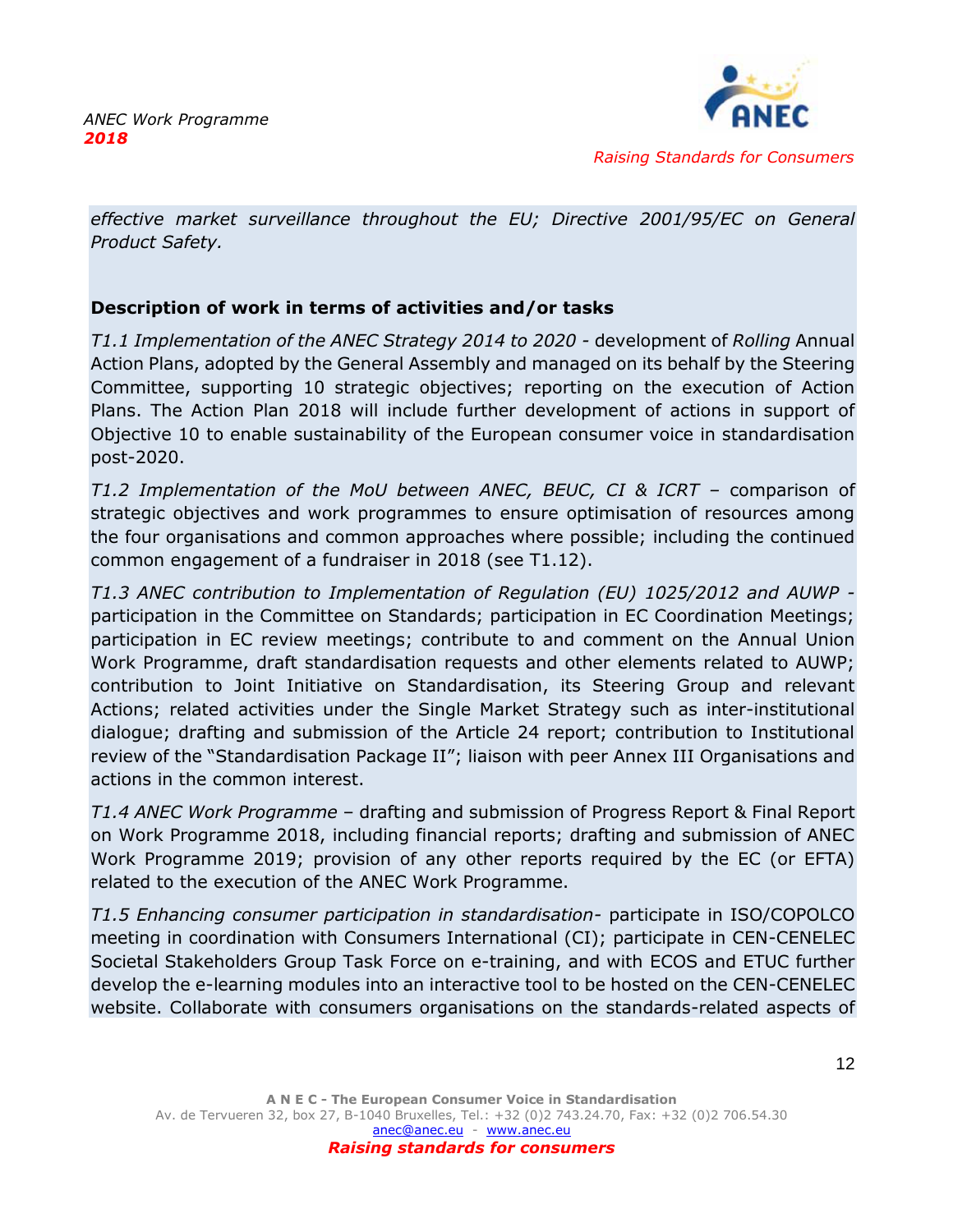

*effective market surveillance throughout the EU; Directive 2001/95/EC on General Product Safety.*

# **Description of work in terms of activities and/or tasks**

*T1.1 Implementation of the ANEC Strategy 2014 to 2020 -* development of *Rolling* Annual Action Plans, adopted by the General Assembly and managed on its behalf by the Steering Committee, supporting 10 strategic objectives; reporting on the execution of Action Plans. The Action Plan 2018 will include further development of actions in support of Objective 10 to enable sustainability of the European consumer voice in standardisation post-2020.

*T1.2 Implementation of the MoU between ANEC, BEUC, CI & ICRT –* comparison of strategic objectives and work programmes to ensure optimisation of resources among the four organisations and common approaches where possible; including the continued common engagement of a fundraiser in 2018 (see T1.12).

*T1.3 ANEC contribution to Implementation of Regulation (EU) 1025/2012 and AUWP*  participation in the Committee on Standards; participation in EC Coordination Meetings; participation in EC review meetings; contribute to and comment on the Annual Union Work Programme, draft standardisation requests and other elements related to AUWP; contribution to Joint Initiative on Standardisation, its Steering Group and relevant Actions; related activities under the Single Market Strategy such as inter-institutional dialogue; drafting and submission of the Article 24 report; contribution to Institutional review of the "Standardisation Package II"; liaison with peer Annex III Organisations and actions in the common interest.

*T1.4 ANEC Work Programme* – drafting and submission of Progress Report & Final Report on Work Programme 2018, including financial reports; drafting and submission of ANEC Work Programme 2019; provision of any other reports required by the EC (or EFTA) related to the execution of the ANEC Work Programme.

*T1.5 Enhancing consumer participation in standardisation-* participate in ISO/COPOLCO meeting in coordination with Consumers International (CI); participate in CEN-CENELEC Societal Stakeholders Group Task Force on e-training, and with ECOS and ETUC further develop the e-learning modules into an interactive tool to be hosted on the CEN-CENELEC website. Collaborate with consumers organisations on the standards-related aspects of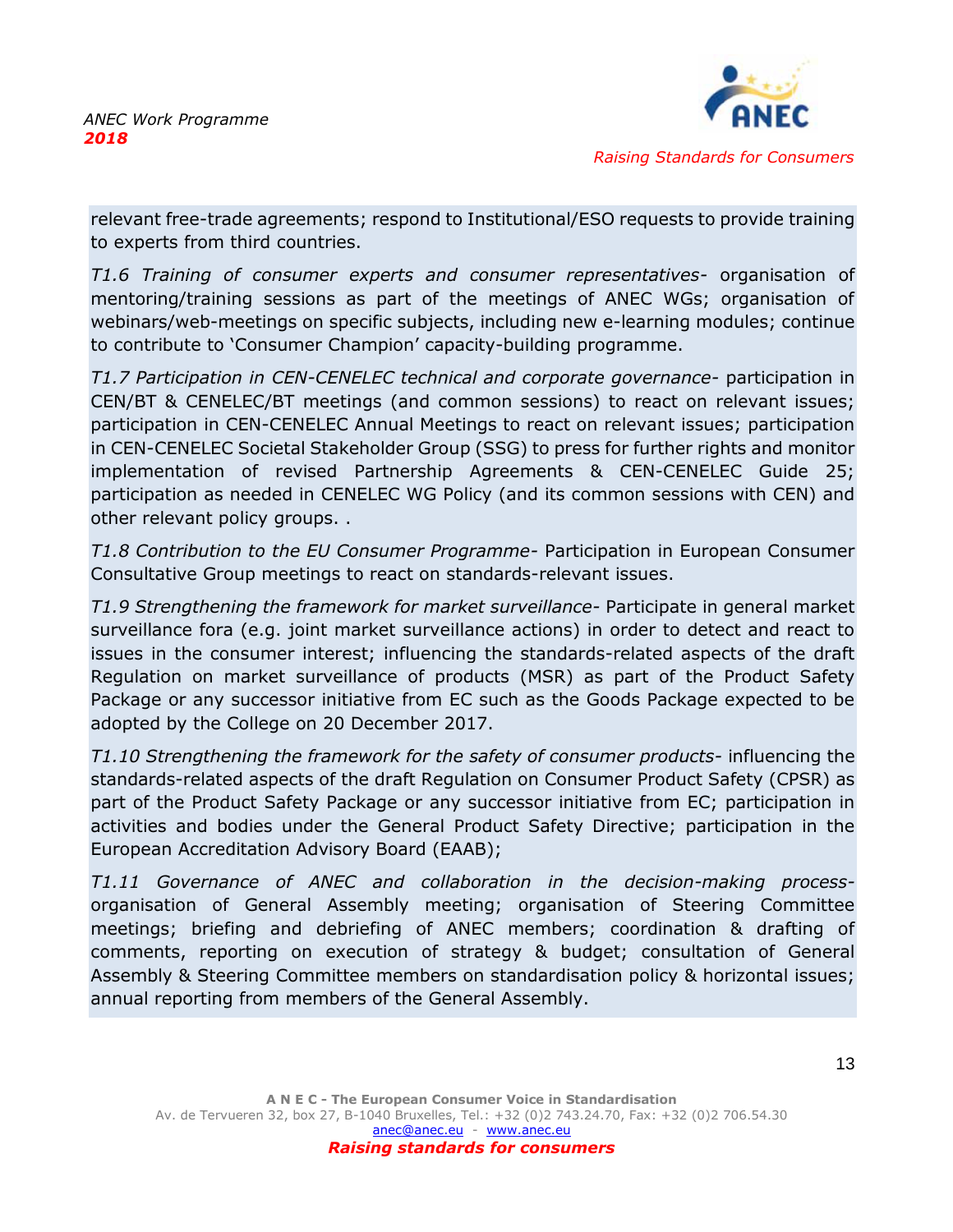

relevant free-trade agreements; respond to Institutional/ESO requests to provide training to experts from third countries.

*T1.6 Training of consumer experts and consumer representatives-* organisation of mentoring/training sessions as part of the meetings of ANEC WGs; organisation of webinars/web-meetings on specific subjects, including new e-learning modules; continue to contribute to 'Consumer Champion' capacity-building programme.

*T1.7 Participation in CEN-CENELEC technical and corporate governance-* participation in CEN/BT & CENELEC/BT meetings (and common sessions) to react on relevant issues; participation in CEN-CENELEC Annual Meetings to react on relevant issues; participation in CEN-CENELEC Societal Stakeholder Group (SSG) to press for further rights and monitor implementation of revised Partnership Agreements & CEN-CENELEC Guide 25; participation as needed in CENELEC WG Policy (and its common sessions with CEN) and other relevant policy groups. .

*T1.8 Contribution to the EU Consumer Programme-* Participation in European Consumer Consultative Group meetings to react on standards-relevant issues.

*T1.9 Strengthening the framework for market surveillance-* Participate in general market surveillance fora (e.g. joint market surveillance actions) in order to detect and react to issues in the consumer interest; influencing the standards-related aspects of the draft Regulation on market surveillance of products (MSR) as part of the Product Safety Package or any successor initiative from EC such as the Goods Package expected to be adopted by the College on 20 December 2017.

*T1.10 Strengthening the framework for the safety of consumer products-* influencing the standards-related aspects of the draft Regulation on Consumer Product Safety (CPSR) as part of the Product Safety Package or any successor initiative from EC; participation in activities and bodies under the General Product Safety Directive; participation in the European Accreditation Advisory Board (EAAB);

*T1.11 Governance of ANEC and collaboration in the decision-making process*organisation of General Assembly meeting; organisation of Steering Committee meetings; briefing and debriefing of ANEC members; coordination & drafting of comments, reporting on execution of strategy & budget; consultation of General Assembly & Steering Committee members on standardisation policy & horizontal issues; annual reporting from members of the General Assembly.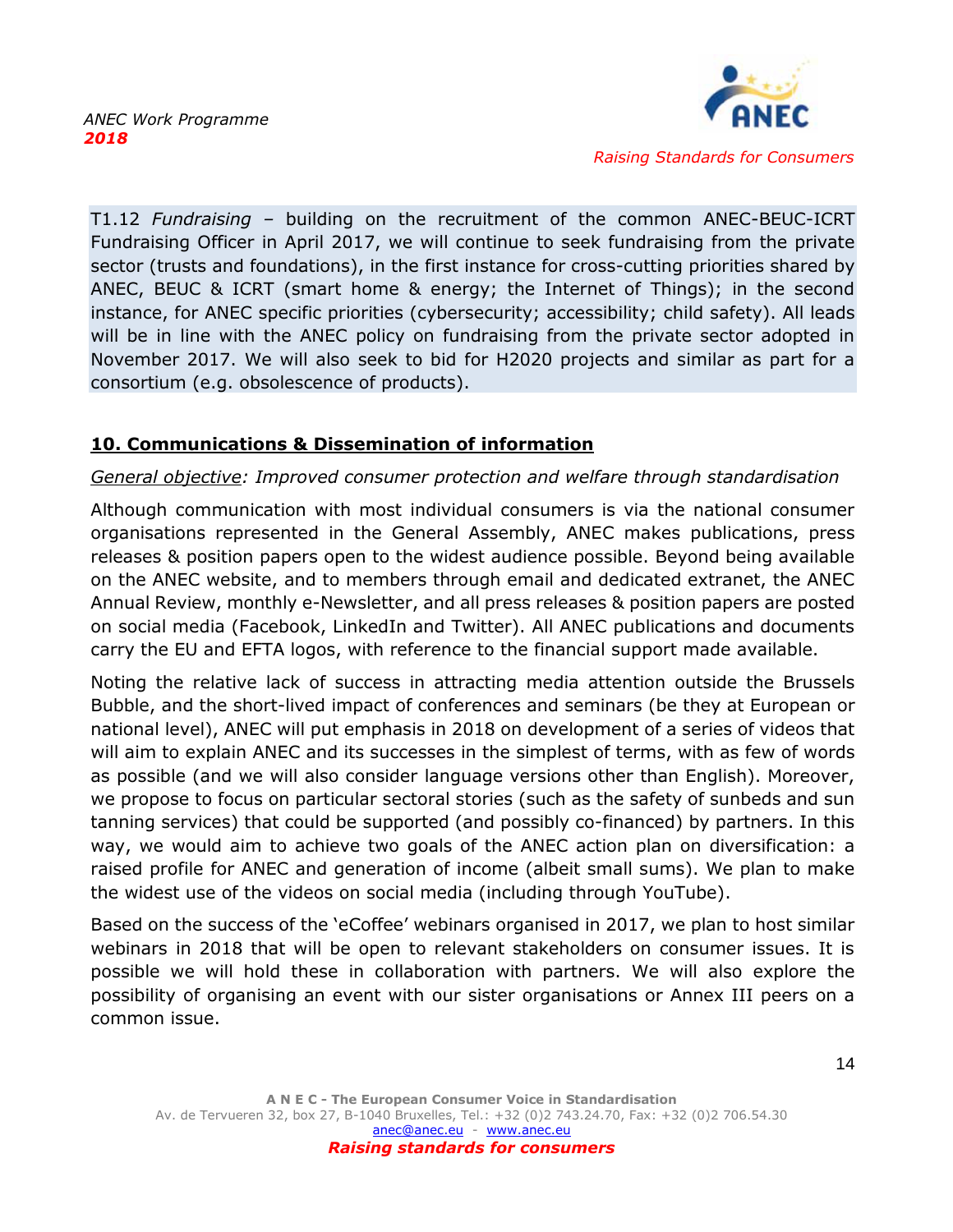

T1.12 *Fundraising –* building on the recruitment of the common ANEC-BEUC-ICRT Fundraising Officer in April 2017, we will continue to seek fundraising from the private sector (trusts and foundations), in the first instance for cross-cutting priorities shared by ANEC, BEUC & ICRT (smart home & energy; the Internet of Things); in the second instance, for ANEC specific priorities (cybersecurity; accessibility; child safety). All leads will be in line with the ANEC policy on fundraising from the private sector adopted in November 2017. We will also seek to bid for H2020 projects and similar as part for a consortium (e.g. obsolescence of products).

# <span id="page-14-0"></span>**10. Communications & Dissemination of information**

### *General objective: Improved consumer protection and welfare through standardisation*

Although communication with most individual consumers is via the national consumer organisations represented in the General Assembly, ANEC makes publications, press releases & position papers open to the widest audience possible. Beyond being available on the ANEC website, and to members through email and dedicated extranet, the ANEC Annual Review, monthly e-Newsletter, and all press releases & position papers are posted on social media (Facebook, LinkedIn and Twitter). All ANEC publications and documents carry the EU and EFTA logos, with reference to the financial support made available.

Noting the relative lack of success in attracting media attention outside the Brussels Bubble, and the short-lived impact of conferences and seminars (be they at European or national level), ANEC will put emphasis in 2018 on development of a series of videos that will aim to explain ANEC and its successes in the simplest of terms, with as few of words as possible (and we will also consider language versions other than English). Moreover, we propose to focus on particular sectoral stories (such as the safety of sunbeds and sun tanning services) that could be supported (and possibly co-financed) by partners. In this way, we would aim to achieve two goals of the ANEC action plan on diversification: a raised profile for ANEC and generation of income (albeit small sums). We plan to make the widest use of the videos on social media (including through YouTube).

Based on the success of the 'eCoffee' webinars organised in 2017, we plan to host similar webinars in 2018 that will be open to relevant stakeholders on consumer issues. It is possible we will hold these in collaboration with partners. We will also explore the possibility of organising an event with our sister organisations or Annex III peers on a common issue.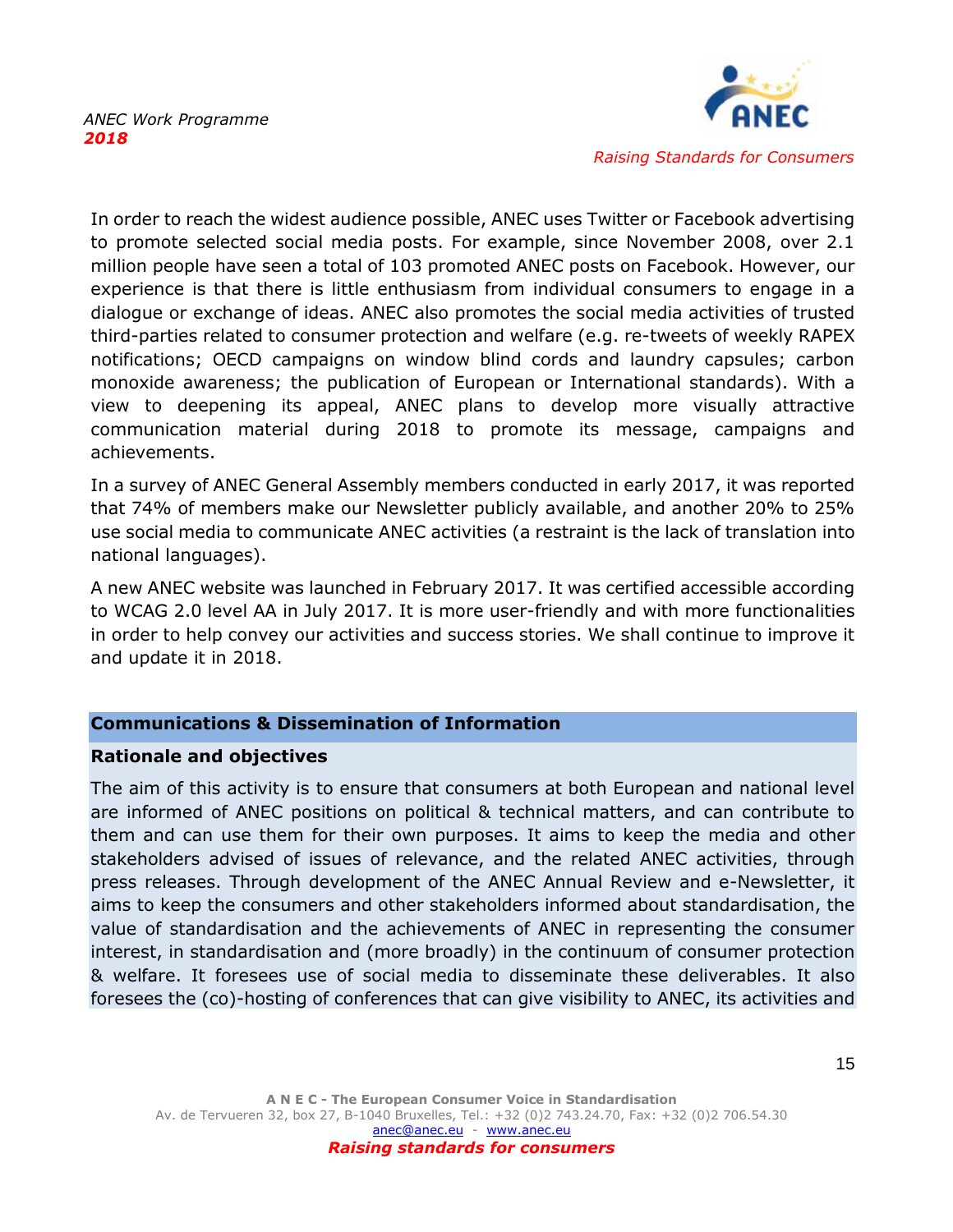

In order to reach the widest audience possible, ANEC uses Twitter or Facebook advertising to promote selected social media posts. For example, since November 2008, over 2.1 million people have seen a total of 103 promoted ANEC posts on Facebook. However, our experience is that there is little enthusiasm from individual consumers to engage in a dialogue or exchange of ideas. ANEC also promotes the social media activities of trusted third-parties related to consumer protection and welfare (e.g. re-tweets of weekly RAPEX notifications; OECD campaigns on window blind cords and laundry capsules; carbon monoxide awareness; the publication of European or International standards). With a view to deepening its appeal, ANEC plans to develop more visually attractive communication material during 2018 to promote its message, campaigns and achievements.

In a survey of ANEC General Assembly members conducted in early 2017, it was reported that 74% of members make our Newsletter publicly available, and another 20% to 25% use social media to communicate ANEC activities (a restraint is the lack of translation into national languages).

A new ANEC website was launched in February 2017. It was certified accessible according to WCAG 2.0 level AA in July 2017. It is more user-friendly and with more functionalities in order to help convey our activities and success stories. We shall continue to improve it and update it in 2018.

#### **Communications & Dissemination of Information**

#### **Rationale and objectives**

The aim of this activity is to ensure that consumers at both European and national level are informed of ANEC positions on political & technical matters, and can contribute to them and can use them for their own purposes. It aims to keep the media and other stakeholders advised of issues of relevance, and the related ANEC activities, through press releases. Through development of the ANEC Annual Review and e-Newsletter, it aims to keep the consumers and other stakeholders informed about standardisation, the value of standardisation and the achievements of ANEC in representing the consumer interest, in standardisation and (more broadly) in the continuum of consumer protection & welfare. It foresees use of social media to disseminate these deliverables. It also foresees the (co)-hosting of conferences that can give visibility to ANEC, its activities and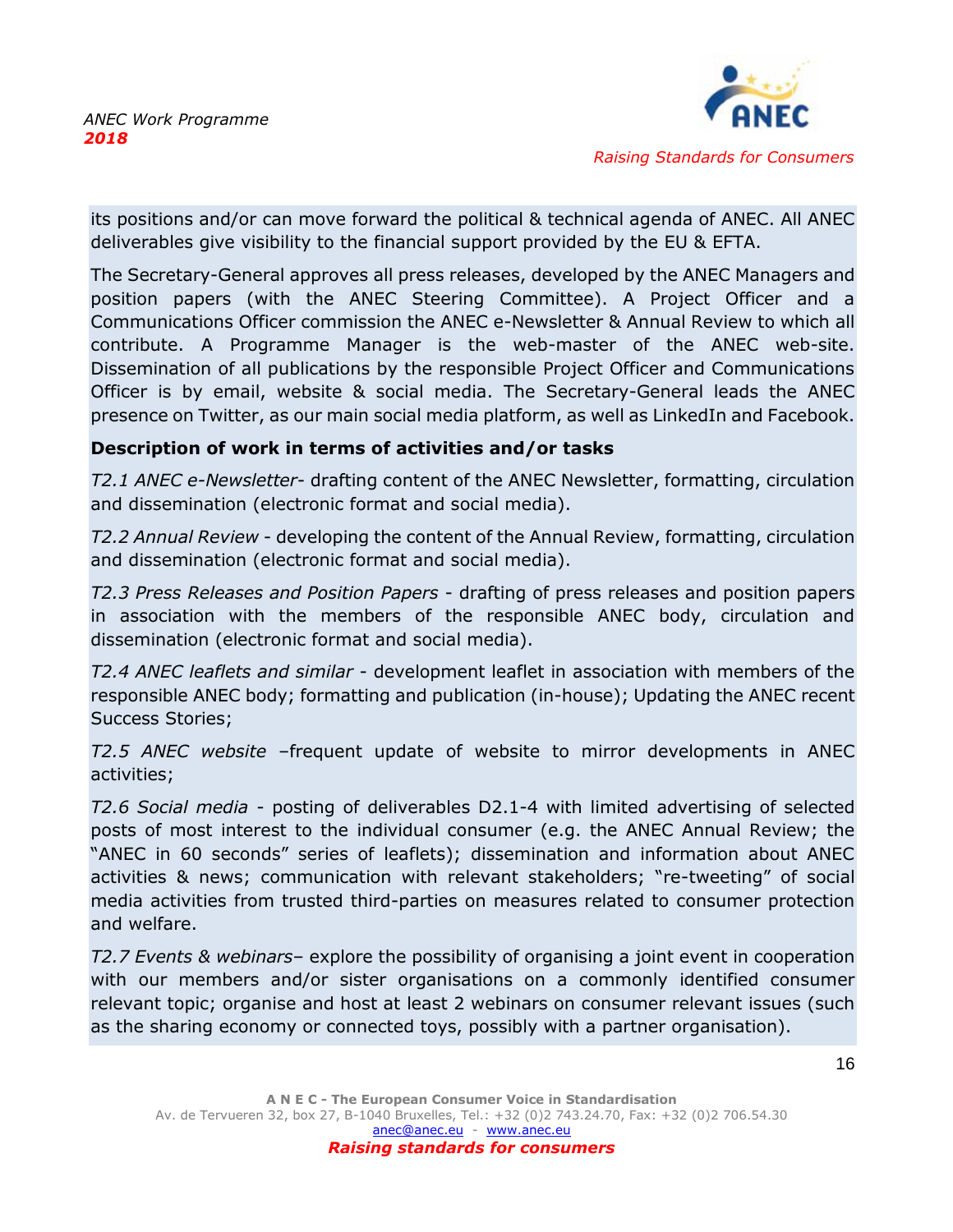

its positions and/or can move forward the political & technical agenda of ANEC. All ANEC deliverables give visibility to the financial support provided by the EU & EFTA.

The Secretary-General approves all press releases, developed by the ANEC Managers and position papers (with the ANEC Steering Committee). A Project Officer and a Communications Officer commission the ANEC e-Newsletter & Annual Review to which all contribute. A Programme Manager is the web-master of the ANEC web-site. Dissemination of all publications by the responsible Project Officer and Communications Officer is by email, website & social media. The Secretary-General leads the ANEC presence on Twitter, as our main social media platform, as well as LinkedIn and Facebook.

### **Description of work in terms of activities and/or tasks**

*T2.1 ANEC e-Newsletter*- drafting content of the ANEC Newsletter, formatting, circulation and dissemination (electronic format and social media).

*T2.2 Annual Review* - developing the content of the Annual Review, formatting, circulation and dissemination (electronic format and social media).

*T2.3 Press Releases and Position Papers* - drafting of press releases and position papers in association with the members of the responsible ANEC body, circulation and dissemination (electronic format and social media).

*T2.4 ANEC leaflets and similar* - development leaflet in association with members of the responsible ANEC body; formatting and publication (in-house); Updating the ANEC recent Success Stories;

*T2.5 ANEC website* –frequent update of website to mirror developments in ANEC activities;

*T2.6 Social media* - posting of deliverables D2.1-4 with limited advertising of selected posts of most interest to the individual consumer (e.g. the ANEC Annual Review; the "ANEC in 60 seconds" series of leaflets); dissemination and information about ANEC activities & news; communication with relevant stakeholders; "re-tweeting" of social media activities from trusted third-parties on measures related to consumer protection and welfare.

*T2.7 Events & webinars*– explore the possibility of organising a joint event in cooperation with our members and/or sister organisations on a commonly identified consumer relevant topic; organise and host at least 2 webinars on consumer relevant issues (such as the sharing economy or connected toys, possibly with a partner organisation).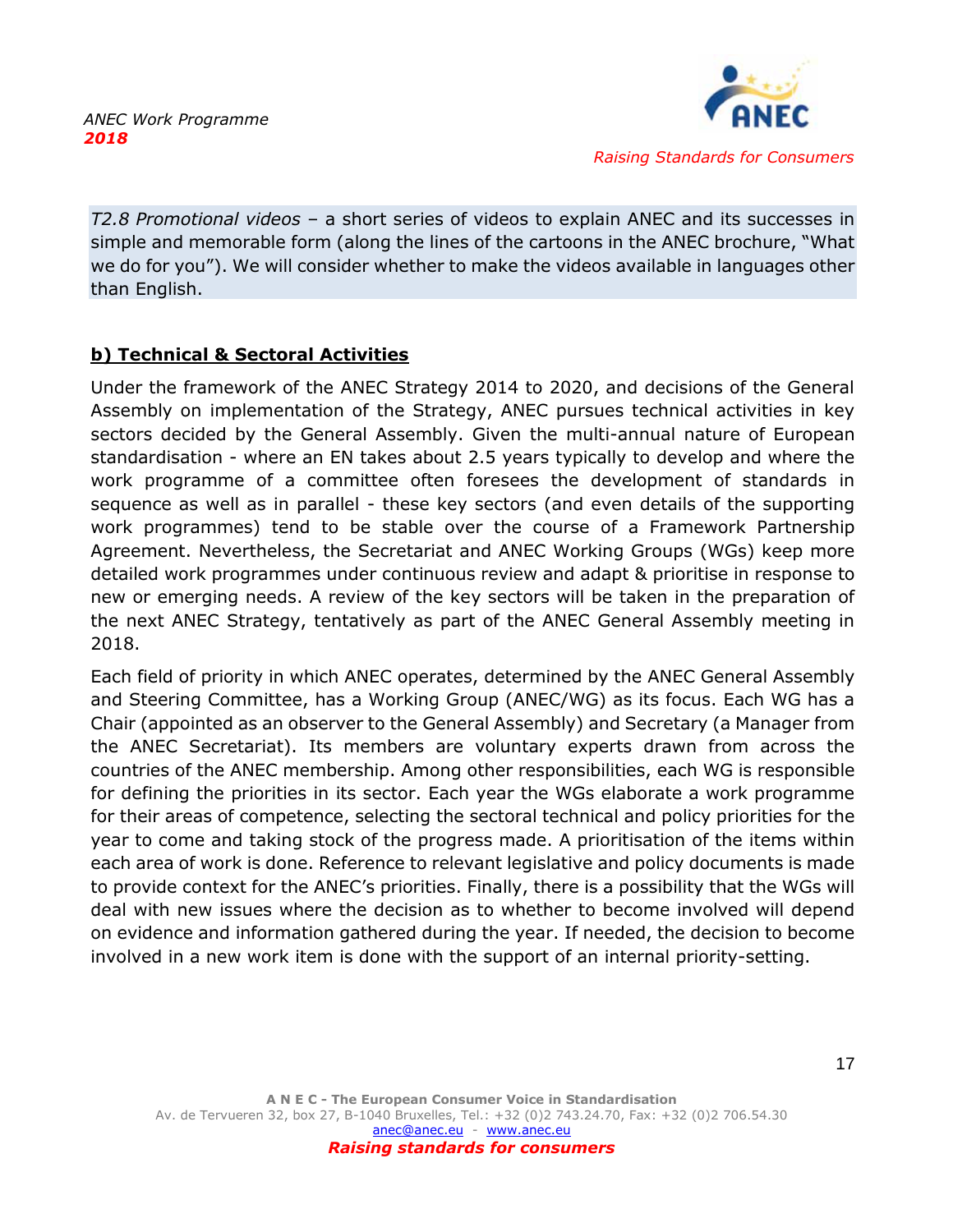

*T2.8 Promotional videos* – a short series of videos to explain ANEC and its successes in simple and memorable form (along the lines of the cartoons in the ANEC brochure, "What we do for you"). We will consider whether to make the videos available in languages other than English.

# <span id="page-17-0"></span>**b) Technical & Sectoral Activities**

Under the framework of the ANEC Strategy 2014 to 2020, and decisions of the General Assembly on implementation of the Strategy, ANEC pursues technical activities in key sectors decided by the General Assembly. Given the multi-annual nature of European standardisation - where an EN takes about 2.5 years typically to develop and where the work programme of a committee often foresees the development of standards in sequence as well as in parallel - these key sectors (and even details of the supporting work programmes) tend to be stable over the course of a Framework Partnership Agreement. Nevertheless, the Secretariat and ANEC Working Groups (WGs) keep more detailed work programmes under continuous review and adapt & prioritise in response to new or emerging needs. A review of the key sectors will be taken in the preparation of the next ANEC Strategy, tentatively as part of the ANEC General Assembly meeting in 2018.

Each field of priority in which ANEC operates, determined by the ANEC General Assembly and Steering Committee, has a Working Group (ANEC/WG) as its focus. Each WG has a Chair (appointed as an observer to the General Assembly) and Secretary (a Manager from the ANEC Secretariat). Its members are voluntary experts drawn from across the countries of the ANEC membership. Among other responsibilities, each WG is responsible for defining the priorities in its sector. Each year the WGs elaborate a work programme for their areas of competence, selecting the sectoral technical and policy priorities for the year to come and taking stock of the progress made. A prioritisation of the items within each area of work is done. Reference to relevant legislative and policy documents is made to provide context for the ANEC's priorities. Finally, there is a possibility that the WGs will deal with new issues where the decision as to whether to become involved will depend on evidence and information gathered during the year. If needed, the decision to become involved in a new work item is done with the support of an internal priority-setting.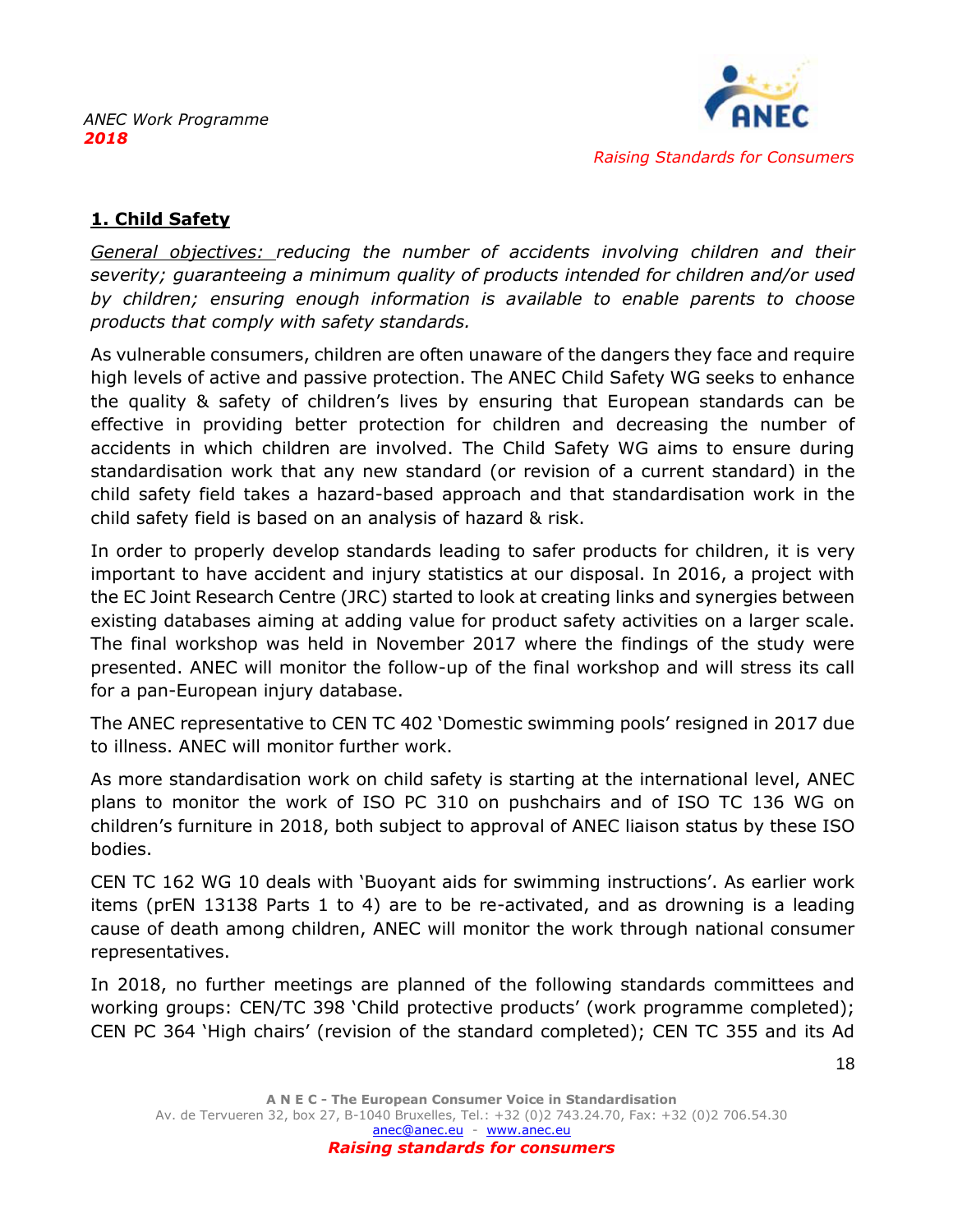

# <span id="page-18-0"></span>**1. Child Safety**

*General objectives: reducing the number of accidents involving children and their severity; guaranteeing a minimum quality of products intended for children and/or used by children; ensuring enough information is available to enable parents to choose products that comply with safety standards.* 

As vulnerable consumers, children are often unaware of the dangers they face and require high levels of active and passive protection. The ANEC Child Safety WG seeks to enhance the quality & safety of children's lives by ensuring that European standards can be effective in providing better protection for children and decreasing the number of accidents in which children are involved. The Child Safety WG aims to ensure during standardisation work that any new standard (or revision of a current standard) in the child safety field takes a hazard-based approach and that standardisation work in the child safety field is based on an analysis of hazard & risk.

In order to properly develop standards leading to safer products for children, it is very important to have accident and injury statistics at our disposal. In 2016, a project with the EC Joint Research Centre (JRC) started to look at creating links and synergies between existing databases aiming at adding value for product safety activities on a larger scale. The final workshop was held in November 2017 where the findings of the study were presented. ANEC will monitor the follow-up of the final workshop and will stress its call for a pan-European injury database.

The ANEC representative to CEN TC 402 'Domestic swimming pools' resigned in 2017 due to illness. ANEC will monitor further work.

As more standardisation work on child safety is starting at the international level, ANEC plans to monitor the work of ISO PC 310 on pushchairs and of ISO TC 136 WG on children's furniture in 2018, both subject to approval of ANEC liaison status by these ISO bodies.

CEN TC 162 WG 10 deals with 'Buoyant aids for swimming instructions'. As earlier work items (prEN 13138 Parts 1 to 4) are to be re-activated, and as drowning is a leading cause of death among children, ANEC will monitor the work through national consumer representatives.

In 2018, no further meetings are planned of the following standards committees and working groups: CEN/TC 398 'Child protective products' (work programme completed); CEN PC 364 'High chairs' (revision of the standard completed); CEN TC 355 and its Ad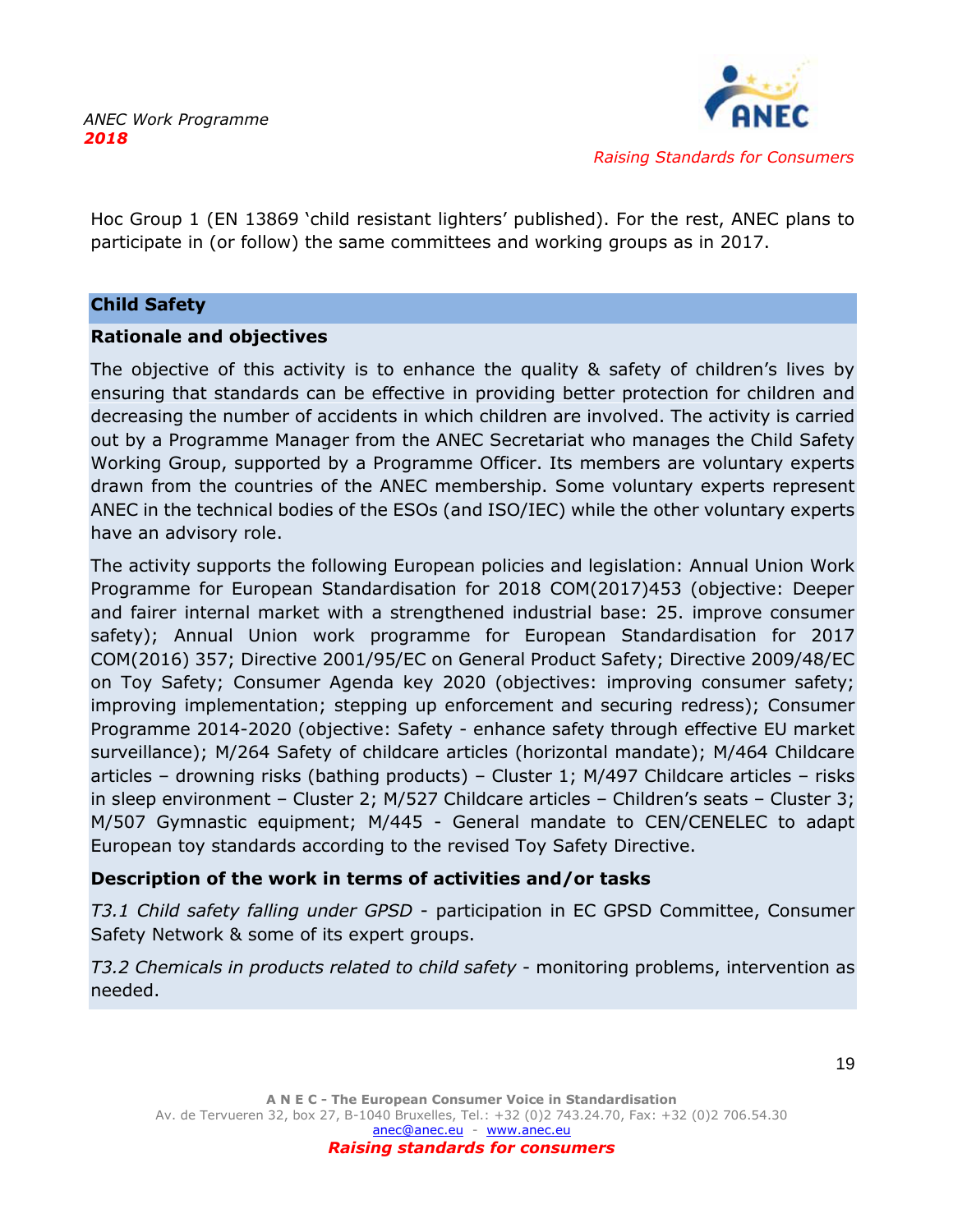

Hoc Group 1 (EN 13869 'child resistant lighters' published). For the rest, ANEC plans to participate in (or follow) the same committees and working groups as in 2017.

#### **Child Safety**

### **Rationale and objectives**

The objective of this activity is to enhance the quality & safety of children's lives by ensuring that standards can be effective in providing better protection for children and decreasing the number of accidents in which children are involved. The activity is carried out by a Programme Manager from the ANEC Secretariat who manages the Child Safety Working Group, supported by a Programme Officer. Its members are voluntary experts drawn from the countries of the ANEC membership. Some voluntary experts represent ANEC in the technical bodies of the ESOs (and ISO/IEC) while the other voluntary experts have an advisory role.

The activity supports the following European policies and legislation: Annual Union Work Programme for European Standardisation for 2018 COM(2017)453 (objective: Deeper and fairer internal market with a strengthened industrial base: 25. improve consumer safety); Annual Union work programme for European Standardisation for 2017 COM(2016) 357; Directive 2001/95/EC on General Product Safety; Directive 2009/48/EC on Toy Safety; Consumer Agenda key 2020 (objectives: improving consumer safety; improving implementation; stepping up enforcement and securing redress); Consumer Programme 2014-2020 (objective: Safety - enhance safety through effective EU market surveillance); M/264 Safety of childcare articles (horizontal mandate); M/464 Childcare articles – drowning risks (bathing products) – Cluster 1; M/497 Childcare articles – risks in sleep environment – Cluster 2; M/527 Childcare articles – Children's seats – Cluster 3; M/507 Gymnastic equipment; M/445 - General mandate to CEN/CENELEC to adapt European toy standards according to the revised Toy Safety Directive.

# **Description of the work in terms of activities and/or tasks**

*T3.1 Child safety falling under GPSD* - participation in EC GPSD Committee, Consumer Safety Network & some of its expert groups.

*T3.2 Chemicals in products related to child safety* - monitoring problems, intervention as needed.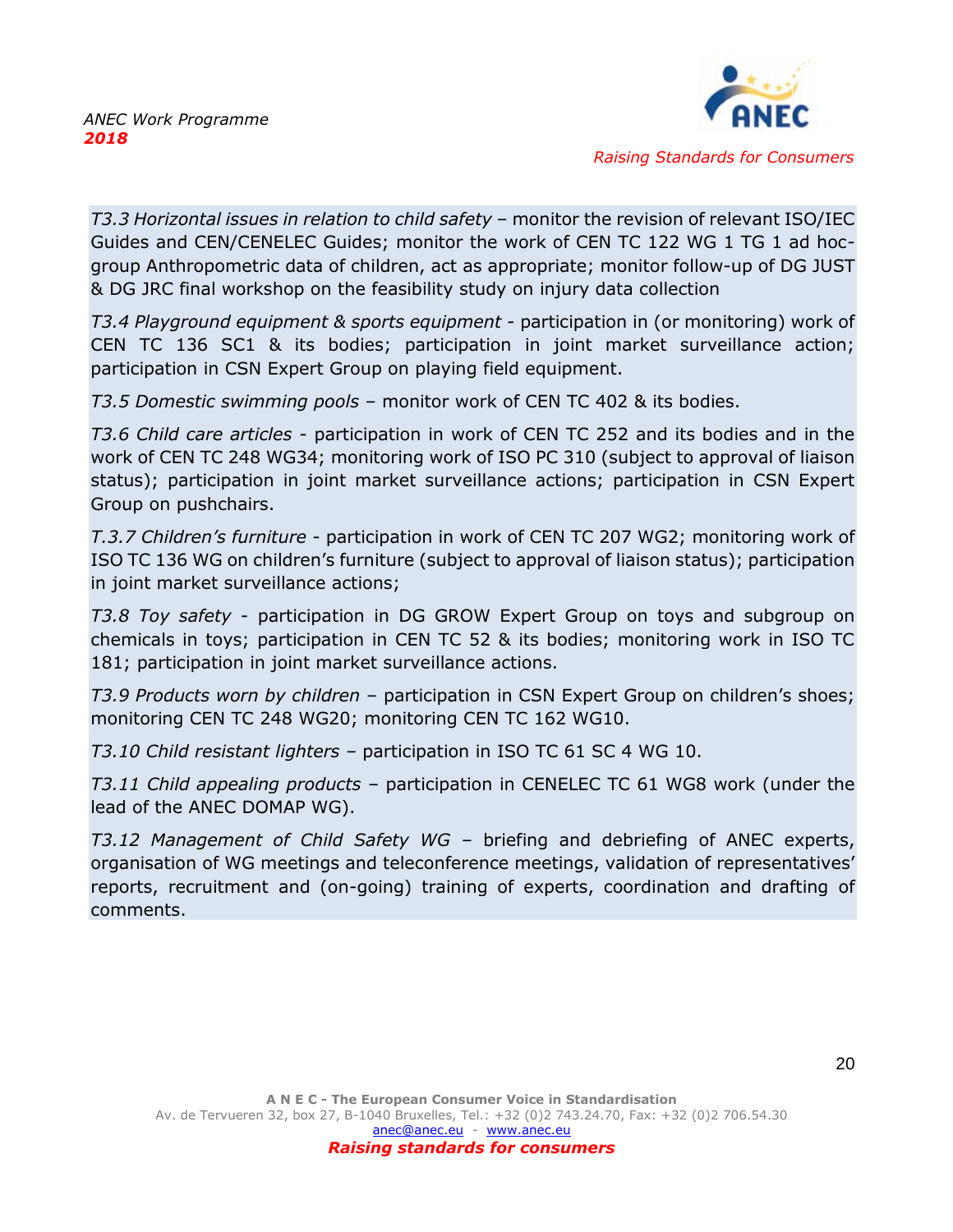

*T3.3 Horizontal issues in relation to child safety* – monitor the revision of relevant ISO/IEC Guides and CEN/CENELEC Guides; monitor the work of CEN TC 122 WG 1 TG 1 ad hocgroup Anthropometric data of children, act as appropriate; monitor follow-up of DG JUST & DG JRC final workshop on the feasibility study on injury data collection

*T3.4 Playground equipment & sports equipment* - participation in (or monitoring) work of CEN TC 136 SC1 & its bodies; participation in joint market surveillance action; participation in CSN Expert Group on playing field equipment.

*T3.5 Domestic swimming pools* – monitor work of CEN TC 402 & its bodies.

*T3.6 Child care articles* - participation in work of CEN TC 252 and its bodies and in the work of CEN TC 248 WG34; monitoring work of ISO PC 310 (subject to approval of liaison status); participation in joint market surveillance actions; participation in CSN Expert Group on pushchairs.

*T.3.7 Children's furniture* - participation in work of CEN TC 207 WG2; monitoring work of ISO TC 136 WG on children's furniture (subject to approval of liaison status); participation in joint market surveillance actions;

*T3.8 Toy safety* - participation in DG GROW Expert Group on toys and subgroup on chemicals in toys; participation in CEN TC 52 & its bodies; monitoring work in ISO TC 181; participation in joint market surveillance actions.

*T3.9 Products worn by children* – participation in CSN Expert Group on children's shoes; monitoring CEN TC 248 WG20; monitoring CEN TC 162 WG10.

*T3.10 Child resistant lighters* – participation in ISO TC 61 SC 4 WG 10.

*T3.11 Child appealing products* – participation in CENELEC TC 61 WG8 work (under the lead of the ANEC DOMAP WG).

*T3.12 Management of Child Safety WG* – briefing and debriefing of ANEC experts, organisation of WG meetings and teleconference meetings, validation of representatives' reports, recruitment and (on-going) training of experts, coordination and drafting of comments.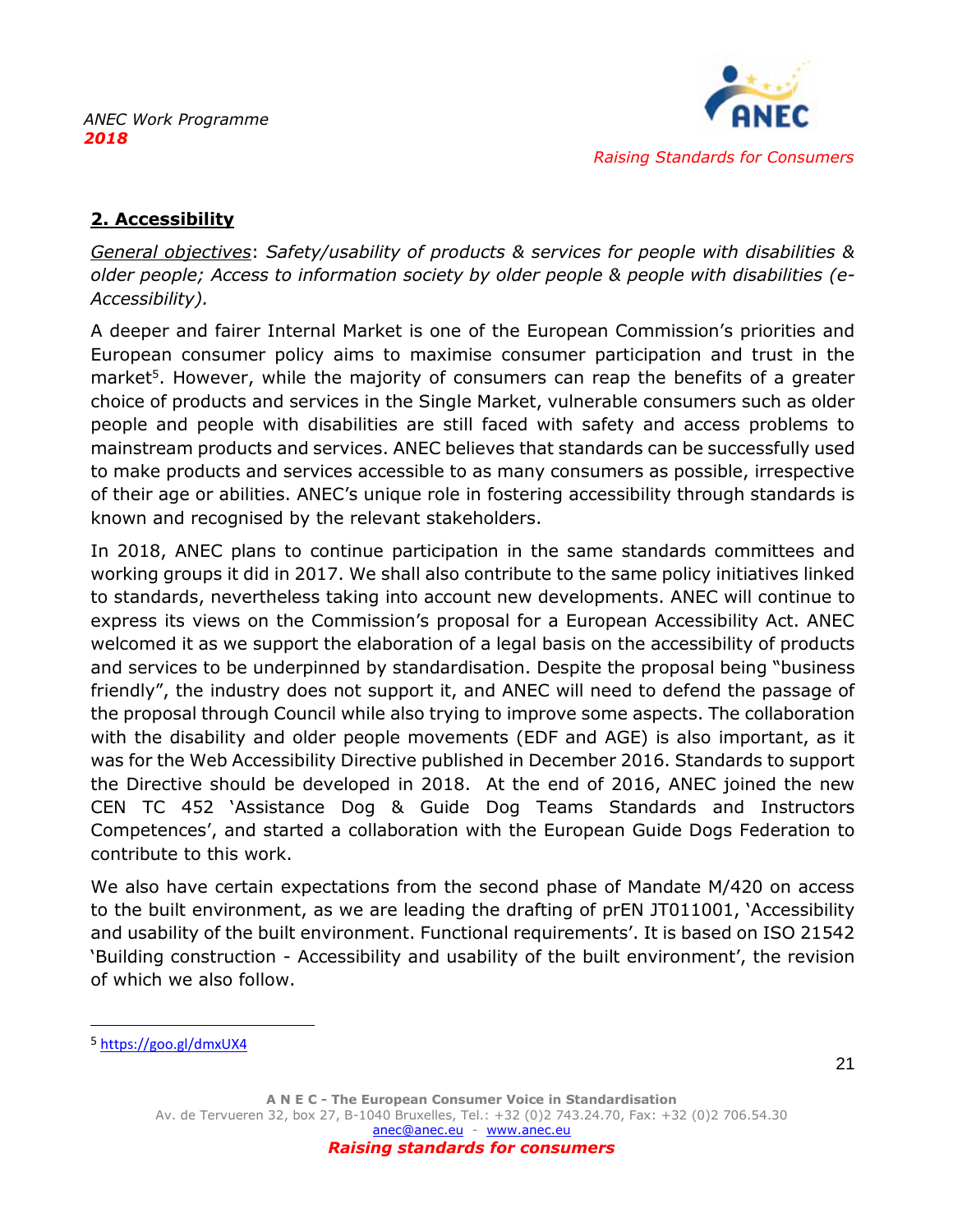

# <span id="page-21-0"></span>**2. Accessibility**

*General objectives*: *Safety/usability of products & services for people with disabilities & older people; Access to information society by older people & people with disabilities (e-Accessibility).*

A deeper and fairer Internal Market is one of the European Commission's priorities and European consumer policy aims to maximise consumer participation and trust in the market<sup>5</sup>. However, while the majority of consumers can reap the benefits of a greater choice of products and services in the Single Market, vulnerable consumers such as older people and people with disabilities are still faced with safety and access problems to mainstream products and services. ANEC believes that standards can be successfully used to make products and services accessible to as many consumers as possible, irrespective of their age or abilities. ANEC's unique role in fostering accessibility through standards is known and recognised by the relevant stakeholders.

In 2018, ANEC plans to continue participation in the same standards committees and working groups it did in 2017. We shall also contribute to the same policy initiatives linked to standards, nevertheless taking into account new developments. ANEC will continue to express its views on the Commission's proposal for a European Accessibility Act. ANEC welcomed it as we support the elaboration of a legal basis on the accessibility of products and services to be underpinned by standardisation. Despite the proposal being "business friendly", the industry does not support it, and ANEC will need to defend the passage of the proposal through Council while also trying to improve some aspects. The collaboration with the disability and older people movements (EDF and AGE) is also important, as it was for the Web Accessibility Directive published in December 2016. Standards to support the Directive should be developed in 2018. At the end of 2016, ANEC joined the new CEN TC 452 'Assistance Dog & Guide Dog Teams Standards and Instructors Competences', and started a collaboration with the European Guide Dogs Federation to contribute to this work.

We also have certain expectations from the second phase of Mandate M/420 on access to the built environment, as we are leading the drafting of prEN JT011001, 'Accessibility and usability of the built environment. Functional requirements'. It is based on ISO 21542 'Building construction - Accessibility and usability of the built environment', the revision of which we also follow.

<sup>5</sup> <https://goo.gl/dmxUX4>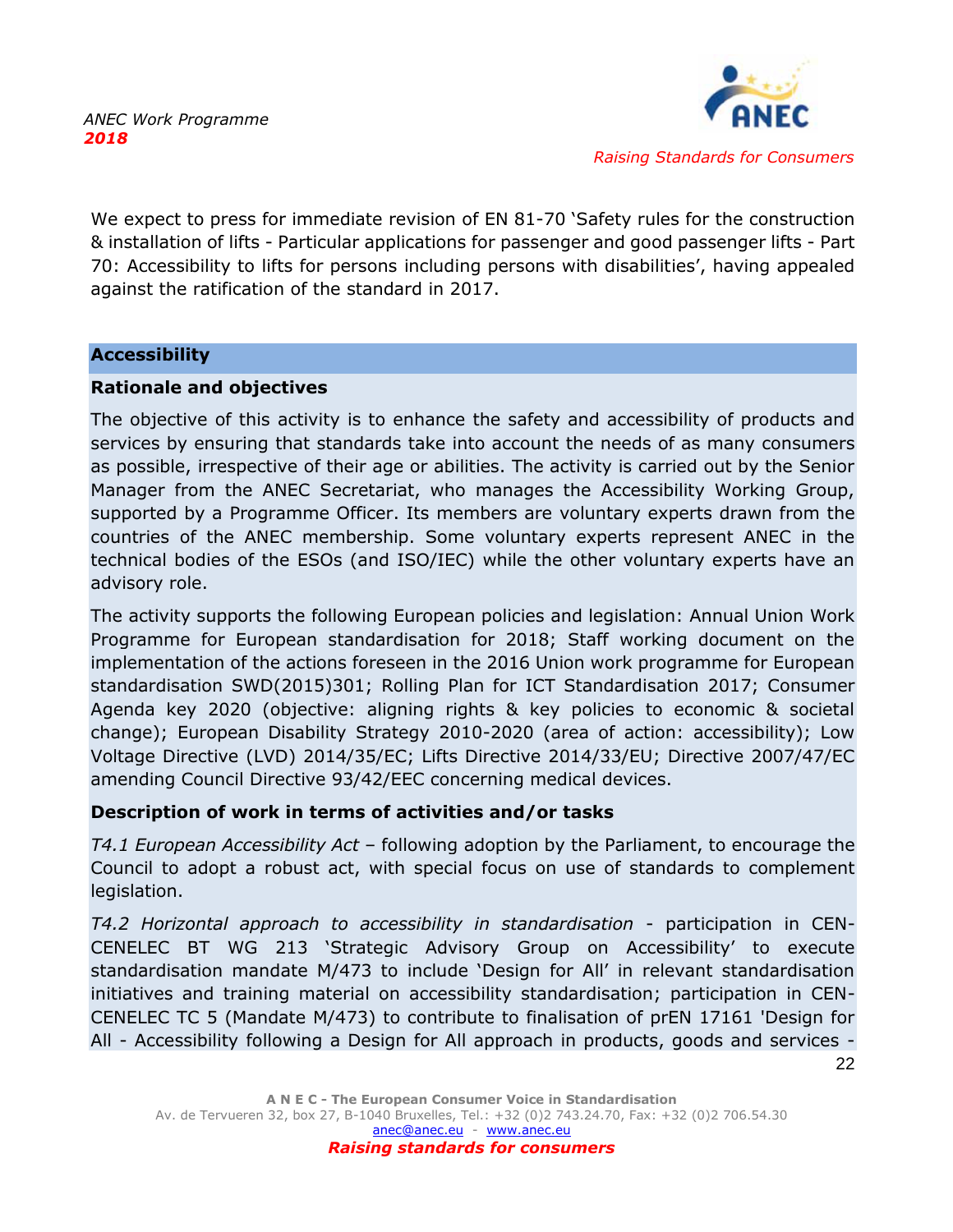

We expect to press for immediate revision of EN 81-70 'Safety rules for the construction & installation of lifts - Particular applications for passenger and good passenger lifts - Part 70: Accessibility to lifts for persons including persons with disabilities', having appealed against the ratification of the standard in 2017.

#### **Accessibility**

#### **Rationale and objectives**

The objective of this activity is to enhance the safety and accessibility of products and services by ensuring that standards take into account the needs of as many consumers as possible, irrespective of their age or abilities. The activity is carried out by the Senior Manager from the ANEC Secretariat, who manages the Accessibility Working Group, supported by a Programme Officer. Its members are voluntary experts drawn from the countries of the ANEC membership. Some voluntary experts represent ANEC in the technical bodies of the ESOs (and ISO/IEC) while the other voluntary experts have an advisory role.

The activity supports the following European policies and legislation: Annual Union Work Programme for European standardisation for 2018; Staff working document on the implementation of the actions foreseen in the 2016 Union work programme for European standardisation SWD(2015)301; Rolling Plan for ICT Standardisation 2017; Consumer Agenda key 2020 (objective: aligning rights & key policies to economic & societal change); European Disability Strategy 2010-2020 (area of action: accessibility); Low Voltage Directive (LVD) 2014/35/EC; Lifts Directive 2014/33/EU; Directive 2007/47/EC amending Council Directive 93/42/EEC concerning medical devices.

# **Description of work in terms of activities and/or tasks**

*T4.1 European Accessibility Act* – following adoption by the Parliament, to encourage the Council to adopt a robust act, with special focus on use of standards to complement legislation.

*T4.2 Horizontal approach to accessibility in standardisation* - participation in CEN-CENELEC BT WG 213 'Strategic Advisory Group on Accessibility' to execute standardisation mandate M/473 to include 'Design for All' in relevant standardisation initiatives and training material on accessibility standardisation; participation in CEN-CENELEC TC 5 (Mandate M/473) to contribute to finalisation of prEN 17161 'Design for All - Accessibility following a Design for All approach in products, goods and services -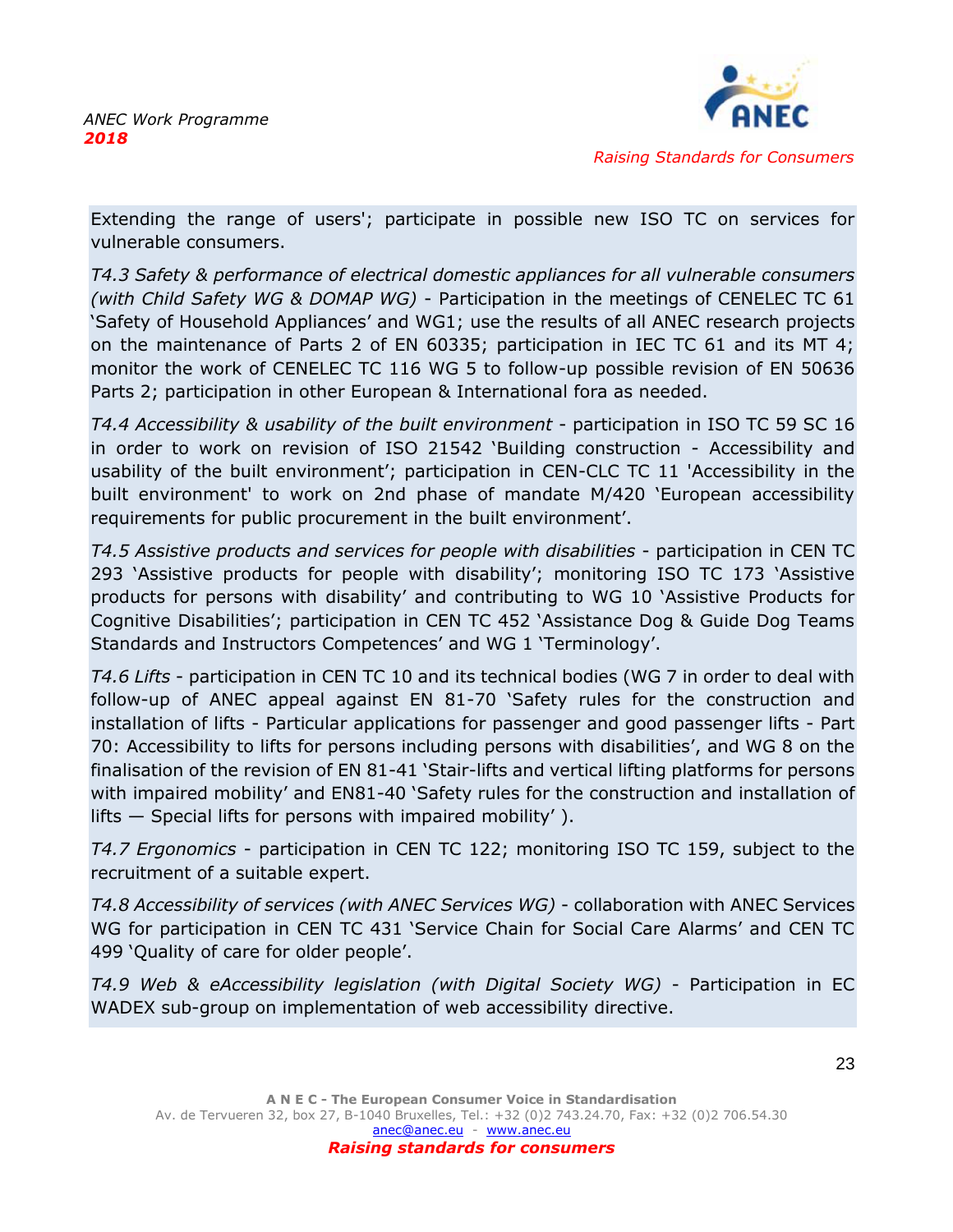

Extending the range of users'; participate in possible new ISO TC on services for vulnerable consumers.

*T4.3 Safety & performance of electrical domestic appliances for all vulnerable consumers (with Child Safety WG & DOMAP WG)* - Participation in the meetings of CENELEC TC 61 'Safety of Household Appliances' and WG1; use the results of all ANEC research projects on the maintenance of Parts 2 of EN 60335; participation in IEC TC 61 and its MT 4; monitor the work of CENELEC TC 116 WG 5 to follow-up possible revision of EN 50636 Parts 2; participation in other European & International fora as needed.

*T4.4 Accessibility & usability of the built environment* - participation in ISO TC 59 SC 16 in order to work on revision of ISO 21542 'Building construction - Accessibility and usability of the built environment'; participation in CEN-CLC TC 11 'Accessibility in the built environment' to work on 2nd phase of mandate M/420 'European accessibility requirements for public procurement in the built environment'.

*T4.5 Assistive products and services for people with disabilities* - participation in CEN TC 293 'Assistive products for people with disability'; monitoring ISO TC 173 'Assistive products for persons with disability' and contributing to WG 10 'Assistive Products for Cognitive Disabilities'; participation in CEN TC 452 'Assistance Dog & Guide Dog Teams Standards and Instructors Competences' and WG 1 'Terminology'.

*T4.6 Lifts* - participation in CEN TC 10 and its technical bodies (WG 7 in order to deal with follow-up of ANEC appeal against EN 81-70 'Safety rules for the construction and installation of lifts - Particular applications for passenger and good passenger lifts - Part 70: Accessibility to lifts for persons including persons with disabilities', and WG 8 on the finalisation of the revision of EN 81-41 'Stair-lifts and vertical lifting platforms for persons with impaired mobility' and EN81-40 'Safety rules for the construction and installation of lifts — Special lifts for persons with impaired mobility' ).

*T4.7 Ergonomics* - participation in CEN TC 122; monitoring ISO TC 159, subject to the recruitment of a suitable expert.

*T4.8 Accessibility of services (with ANEC Services WG)* - collaboration with ANEC Services WG for participation in CEN TC 431 'Service Chain for Social Care Alarms' and CEN TC 499 'Quality of care for older people'.

*T4.9 Web & eAccessibility legislation (with Digital Society WG)* - Participation in EC WADEX sub-group on implementation of web accessibility directive.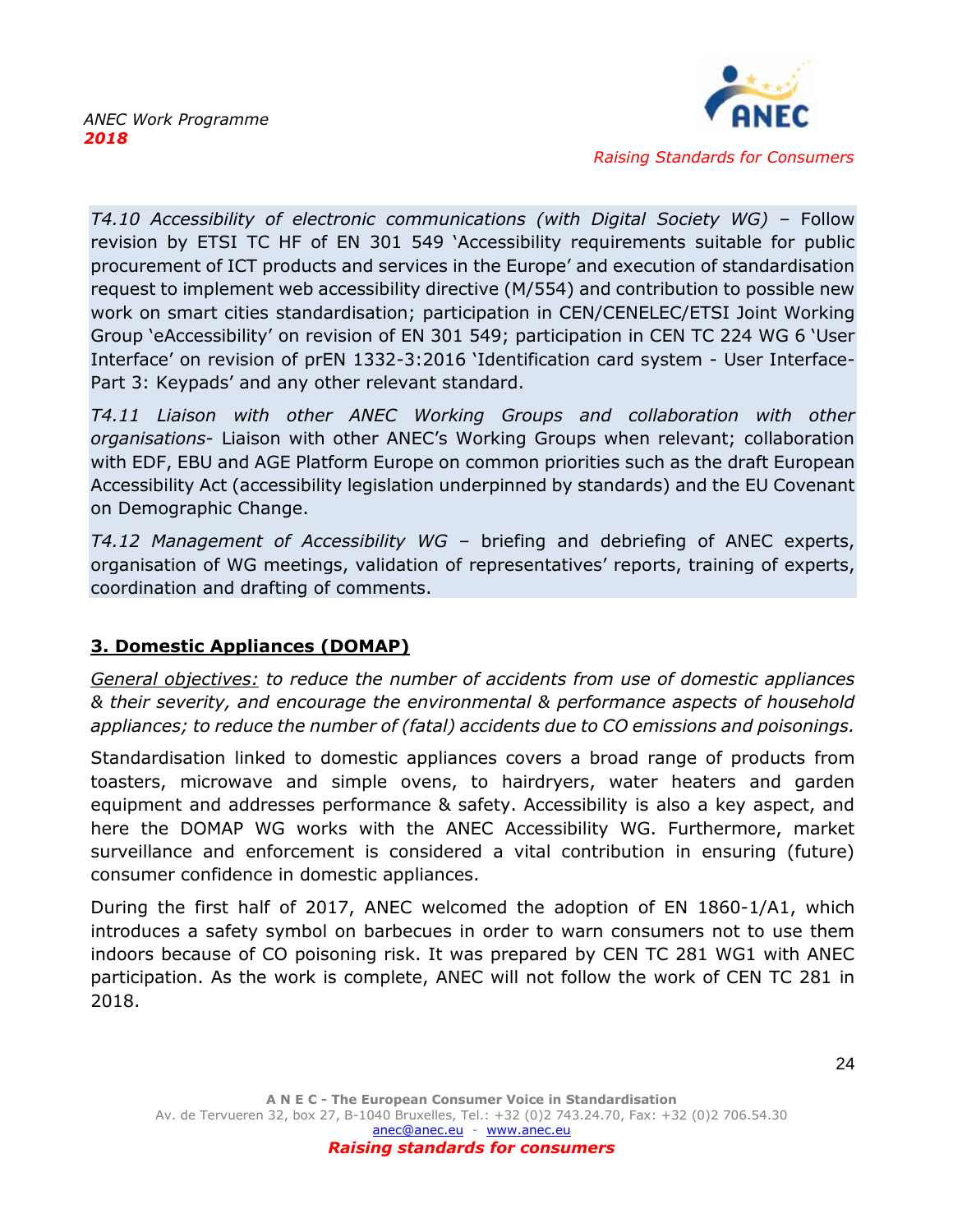

*T4.10 Accessibility of electronic communications (with Digital Society WG)* – Follow revision by ETSI TC HF of EN 301 549 'Accessibility requirements suitable for public procurement of ICT products and services in the Europe' and execution of standardisation request to implement web accessibility directive (M/554) and contribution to possible new work on smart cities standardisation; participation in CEN/CENELEC/ETSI Joint Working Group 'eAccessibility' on revision of EN 301 549; participation in CEN TC 224 WG 6 'User Interface' on revision of prEN 1332-3:2016 'Identification card system - User Interface-Part 3: Keypads' and any other relevant standard.

*T4.11 Liaison with other ANEC Working Groups and collaboration with other organisations*- Liaison with other ANEC's Working Groups when relevant; collaboration with EDF, EBU and AGE Platform Europe on common priorities such as the draft European Accessibility Act (accessibility legislation underpinned by standards) and the EU Covenant on Demographic Change.

*T4.12 Management of Accessibility WG* – briefing and debriefing of ANEC experts, organisation of WG meetings, validation of representatives' reports, training of experts, coordination and drafting of comments.

# <span id="page-24-0"></span>**3. Domestic Appliances (DOMAP)**

*General objectives: to reduce the number of accidents from use of domestic appliances & their severity, and encourage the environmental & performance aspects of household appliances; to reduce the number of (fatal) accidents due to CO emissions and poisonings.*

Standardisation linked to domestic appliances covers a broad range of products from toasters, microwave and simple ovens, to hairdryers, water heaters and garden equipment and addresses performance & safety. Accessibility is also a key aspect, and here the DOMAP WG works with the ANEC Accessibility WG. Furthermore, market surveillance and enforcement is considered a vital contribution in ensuring (future) consumer confidence in domestic appliances.

During the first half of 2017, ANEC welcomed the adoption of EN 1860-1/A1, which introduces a safety symbol on barbecues in order to warn consumers not to use them indoors because of CO poisoning risk. It was prepared by CEN TC 281 WG1 with ANEC participation. As the work is complete, ANEC will not follow the work of CEN TC 281 in 2018.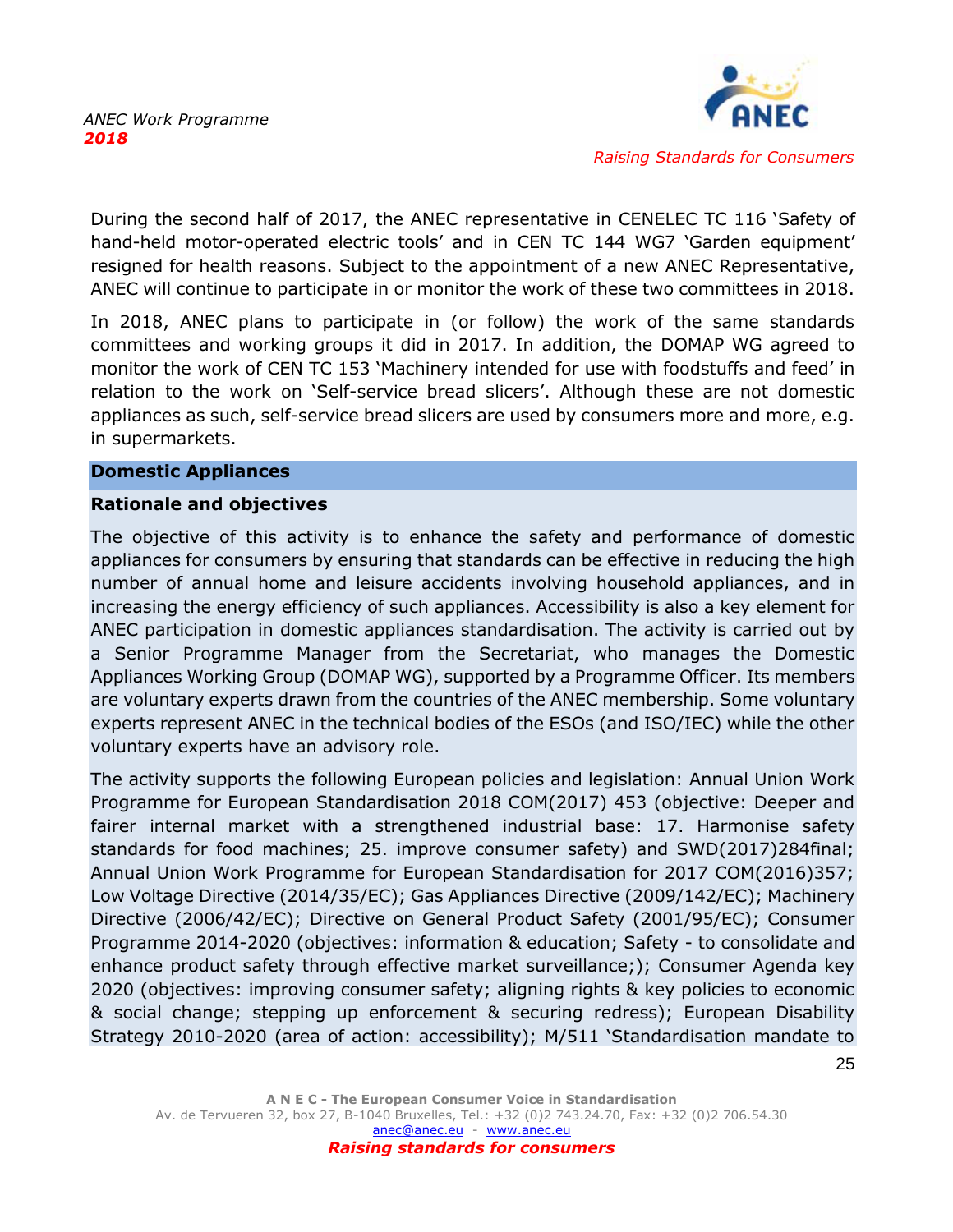

During the second half of 2017, the ANEC representative in CENELEC TC 116 'Safety of hand-held motor-operated electric tools' and in CEN TC 144 WG7 'Garden equipment' resigned for health reasons. Subject to the appointment of a new ANEC Representative, ANEC will continue to participate in or monitor the work of these two committees in 2018.

In 2018, ANEC plans to participate in (or follow) the work of the same standards committees and working groups it did in 2017. In addition, the DOMAP WG agreed to monitor the work of CEN TC 153 'Machinery intended for use with foodstuffs and feed' in relation to the work on 'Self-service bread slicers'. Although these are not domestic appliances as such, self-service bread slicers are used by consumers more and more, e.g. in supermarkets.

#### **Domestic Appliances**

#### **Rationale and objectives**

The objective of this activity is to enhance the safety and performance of domestic appliances for consumers by ensuring that standards can be effective in reducing the high number of annual home and leisure accidents involving household appliances, and in increasing the energy efficiency of such appliances. Accessibility is also a key element for ANEC participation in domestic appliances standardisation. The activity is carried out by a Senior Programme Manager from the Secretariat, who manages the Domestic Appliances Working Group (DOMAP WG), supported by a Programme Officer. Its members are voluntary experts drawn from the countries of the ANEC membership. Some voluntary experts represent ANEC in the technical bodies of the ESOs (and ISO/IEC) while the other voluntary experts have an advisory role.

The activity supports the following European policies and legislation: Annual Union Work Programme for European Standardisation 2018 COM(2017) 453 (objective: Deeper and fairer internal market with a strengthened industrial base: 17. Harmonise safety standards for food machines; 25. improve consumer safety) and SWD(2017)284final; Annual Union Work Programme for European Standardisation for 2017 COM(2016)357; Low Voltage Directive (2014/35/EC); Gas Appliances Directive (2009/142/EC); Machinery Directive (2006/42/EC); Directive on General Product Safety (2001/95/EC); Consumer Programme 2014-2020 (objectives: information & education; Safety - to consolidate and enhance product safety through effective market surveillance;); Consumer Agenda key 2020 (objectives: improving consumer safety; aligning rights & key policies to economic & social change; stepping up enforcement & securing redress); European Disability Strategy 2010-2020 (area of action: accessibility); M/511 'Standardisation mandate to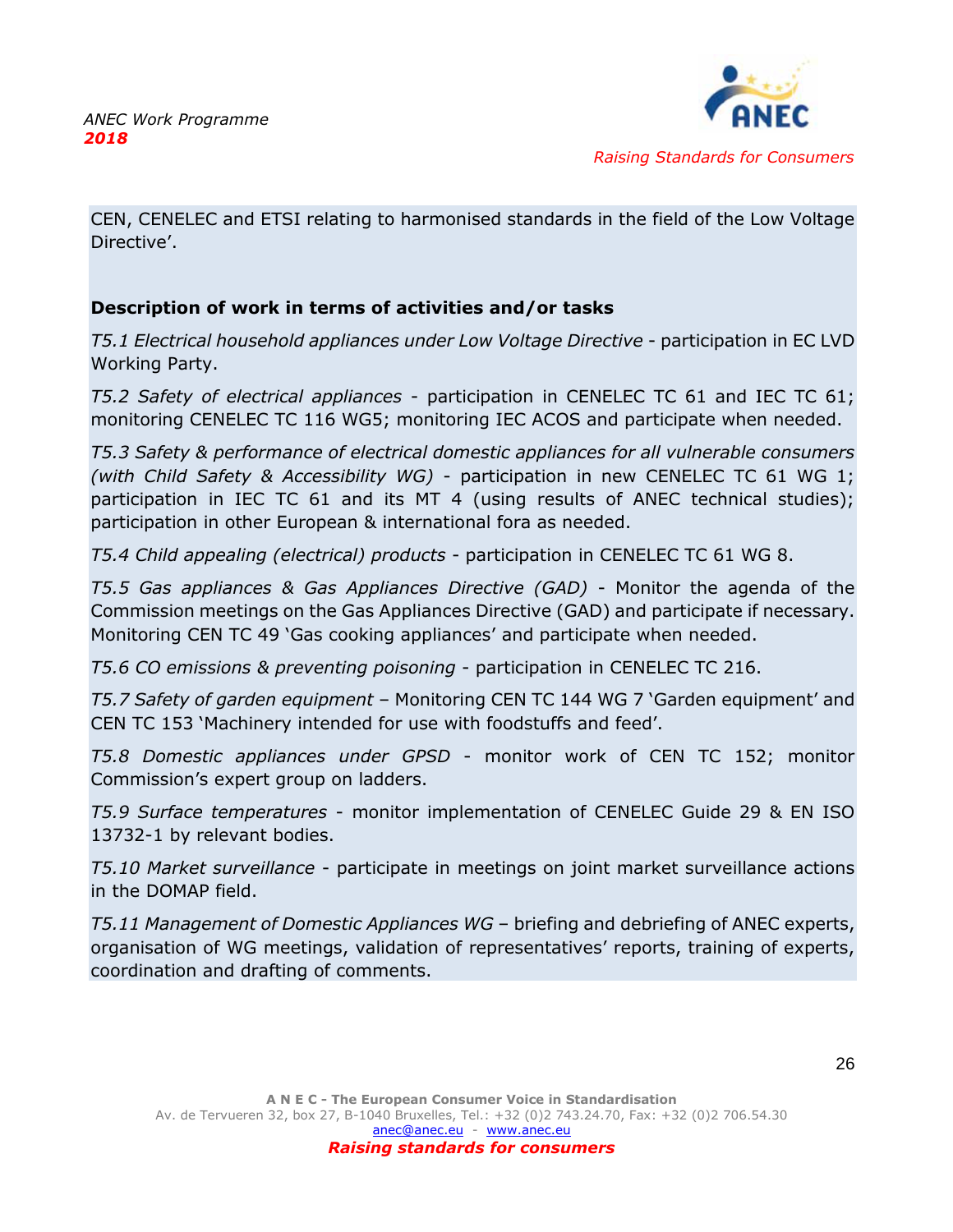

CEN, CENELEC and ETSI relating to harmonised standards in the field of the Low Voltage Directive'.

# **Description of work in terms of activities and/or tasks**

*T5.1 Electrical household appliances under Low Voltage Directive* - participation in EC LVD Working Party.

*T5.2 Safety of electrical appliances* - participation in CENELEC TC 61 and IEC TC 61; monitoring CENELEC TC 116 WG5; monitoring IEC ACOS and participate when needed.

*T5.3 Safety & performance of electrical domestic appliances for all vulnerable consumers (with Child Safety & Accessibility WG)* - participation in new CENELEC TC 61 WG 1; participation in IEC TC 61 and its MT 4 (using results of ANEC technical studies); participation in other European & international fora as needed.

*T5.4 Child appealing (electrical) products* - participation in CENELEC TC 61 WG 8.

*T5.5 Gas appliances & Gas Appliances Directive (GAD)* - Monitor the agenda of the Commission meetings on the Gas Appliances Directive (GAD) and participate if necessary. Monitoring CEN TC 49 'Gas cooking appliances' and participate when needed.

*T5.6 CO emissions & preventing poisoning* - participation in CENELEC TC 216.

*T5.7 Safety of garden equipment* – Monitoring CEN TC 144 WG 7 'Garden equipment' and CEN TC 153 'Machinery intended for use with foodstuffs and feed'.

*T5.8 Domestic appliances under GPSD* - monitor work of CEN TC 152; monitor Commission's expert group on ladders.

*T5.9 Surface temperatures* - monitor implementation of CENELEC Guide 29 & EN ISO 13732-1 by relevant bodies.

*T5.10 Market surveillance* - participate in meetings on joint market surveillance actions in the DOMAP field.

*T5.11 Management of Domestic Appliances WG* – briefing and debriefing of ANEC experts, organisation of WG meetings, validation of representatives' reports, training of experts, coordination and drafting of comments.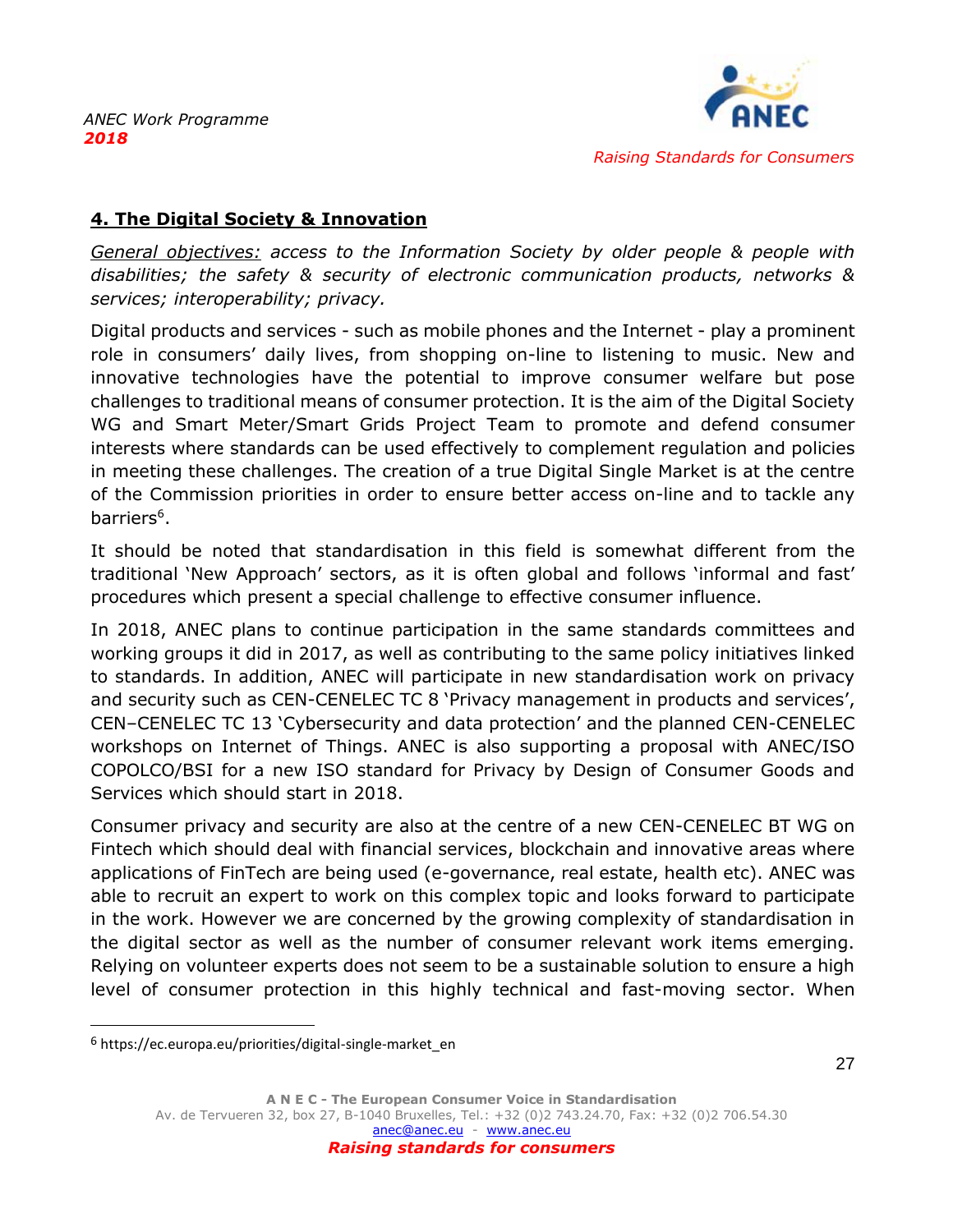

# <span id="page-27-0"></span>**4. The Digital Society & Innovation**

*General objectives: access to the Information Society by older people & people with disabilities; the safety & security of electronic communication products, networks & services; interoperability; privacy.*

Digital products and services - such as mobile phones and the Internet - play a prominent role in consumers' daily lives, from shopping on-line to listening to music. New and innovative technologies have the potential to improve consumer welfare but pose challenges to traditional means of consumer protection. It is the aim of the Digital Society WG and Smart Meter/Smart Grids Project Team to promote and defend consumer interests where standards can be used effectively to complement regulation and policies in meeting these challenges. The creation of a true Digital Single Market is at the centre of the Commission priorities in order to ensure better access on-line and to tackle any barriers<sup>6</sup>.

It should be noted that standardisation in this field is somewhat different from the traditional 'New Approach' sectors, as it is often global and follows 'informal and fast' procedures which present a special challenge to effective consumer influence.

In 2018, ANEC plans to continue participation in the same standards committees and working groups it did in 2017, as well as contributing to the same policy initiatives linked to standards. In addition, ANEC will participate in new standardisation work on privacy and security such as CEN-CENELEC TC 8 'Privacy management in products and services', CEN–CENELEC TC 13 'Cybersecurity and data protection' and the planned CEN-CENELEC workshops on Internet of Things. ANEC is also supporting a proposal with ANEC/ISO COPOLCO/BSI for a new ISO standard for Privacy by Design of Consumer Goods and Services which should start in 2018.

Consumer privacy and security are also at the centre of a new CEN-CENELEC BT WG on Fintech which should deal with financial services, blockchain and innovative areas where applications of FinTech are being used (e-governance, real estate, health etc). ANEC was able to recruit an expert to work on this complex topic and looks forward to participate in the work. However we are concerned by the growing complexity of standardisation in the digital sector as well as the number of consumer relevant work items emerging. Relying on volunteer experts does not seem to be a sustainable solution to ensure a high level of consumer protection in this highly technical and fast-moving sector. When

<sup>6</sup> https://ec.europa.eu/priorities/digital-single-market\_en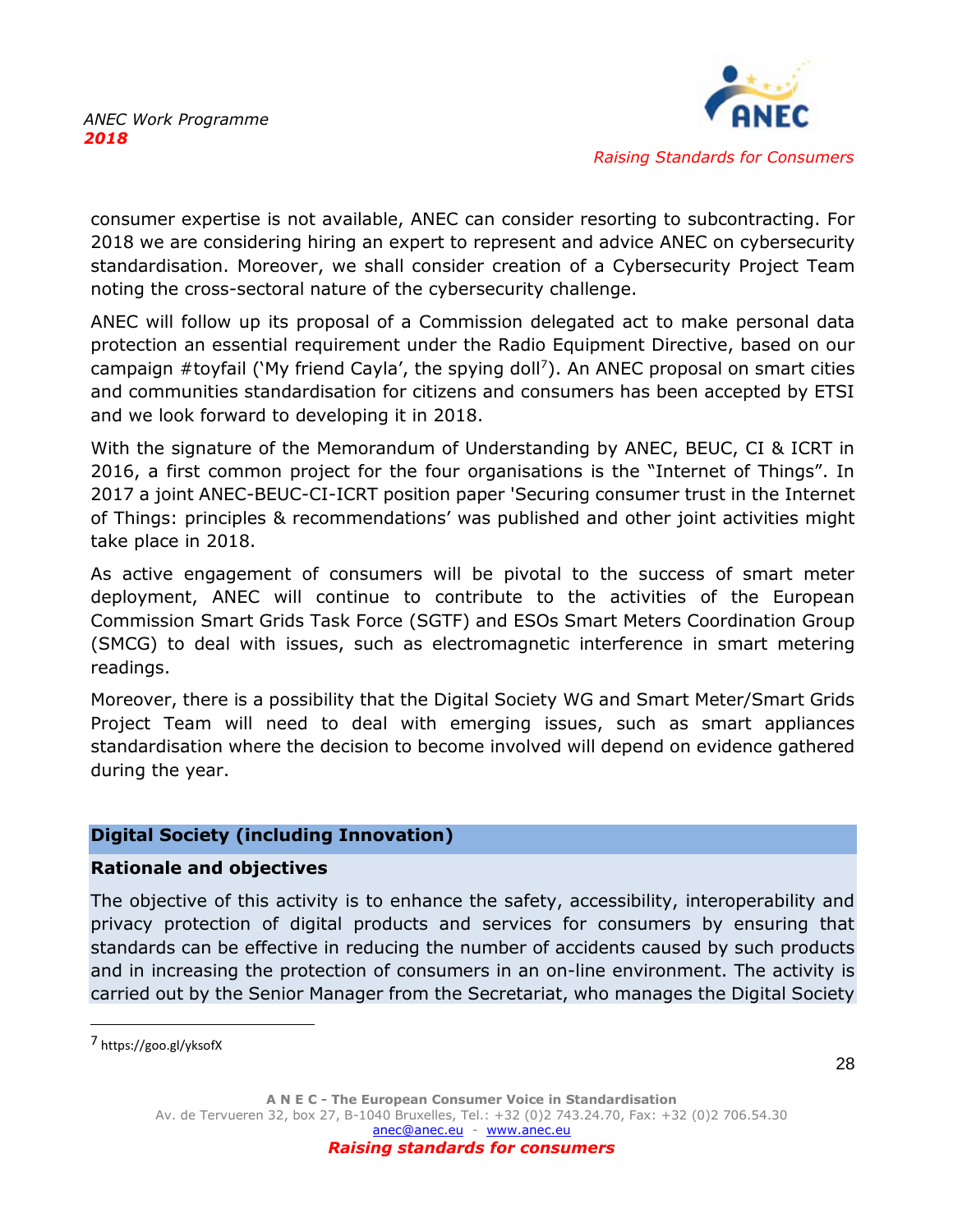

consumer expertise is not available, ANEC can consider resorting to subcontracting. For 2018 we are considering hiring an expert to represent and advice ANEC on cybersecurity standardisation. Moreover, we shall consider creation of a Cybersecurity Project Team noting the cross-sectoral nature of the cybersecurity challenge.

ANEC will follow up its proposal of a Commission delegated act to make personal data protection an essential requirement under the Radio Equipment Directive, based on our campaign #toyfail ('My friend Cayla', the spying doll<sup>7</sup>). An ANEC proposal on smart cities and communities standardisation for citizens and consumers has been accepted by ETSI and we look forward to developing it in 2018.

With the signature of the Memorandum of Understanding by ANEC, BEUC, CI & ICRT in 2016, a first common project for the four organisations is the "Internet of Things". In 2017 a joint ANEC-BEUC-CI-ICRT position paper 'Securing consumer trust in the Internet of Things: principles & recommendations' was published and other joint activities might take place in 2018.

As active engagement of consumers will be pivotal to the success of smart meter deployment, ANEC will continue to contribute to the activities of the European Commission Smart Grids Task Force (SGTF) and ESOs Smart Meters Coordination Group (SMCG) to deal with issues, such as electromagnetic interference in smart metering readings.

Moreover, there is a possibility that the Digital Society WG and Smart Meter/Smart Grids Project Team will need to deal with emerging issues, such as smart appliances standardisation where the decision to become involved will depend on evidence gathered during the year.

#### **Digital Society (including Innovation)**

#### **Rationale and objectives**

The objective of this activity is to enhance the safety, accessibility, interoperability and privacy protection of digital products and services for consumers by ensuring that standards can be effective in reducing the number of accidents caused by such products and in increasing the protection of consumers in an on-line environment. The activity is carried out by the Senior Manager from the Secretariat, who manages the Digital Society

 $\overline{a}$ 

<sup>7</sup> https://goo.gl/yksofX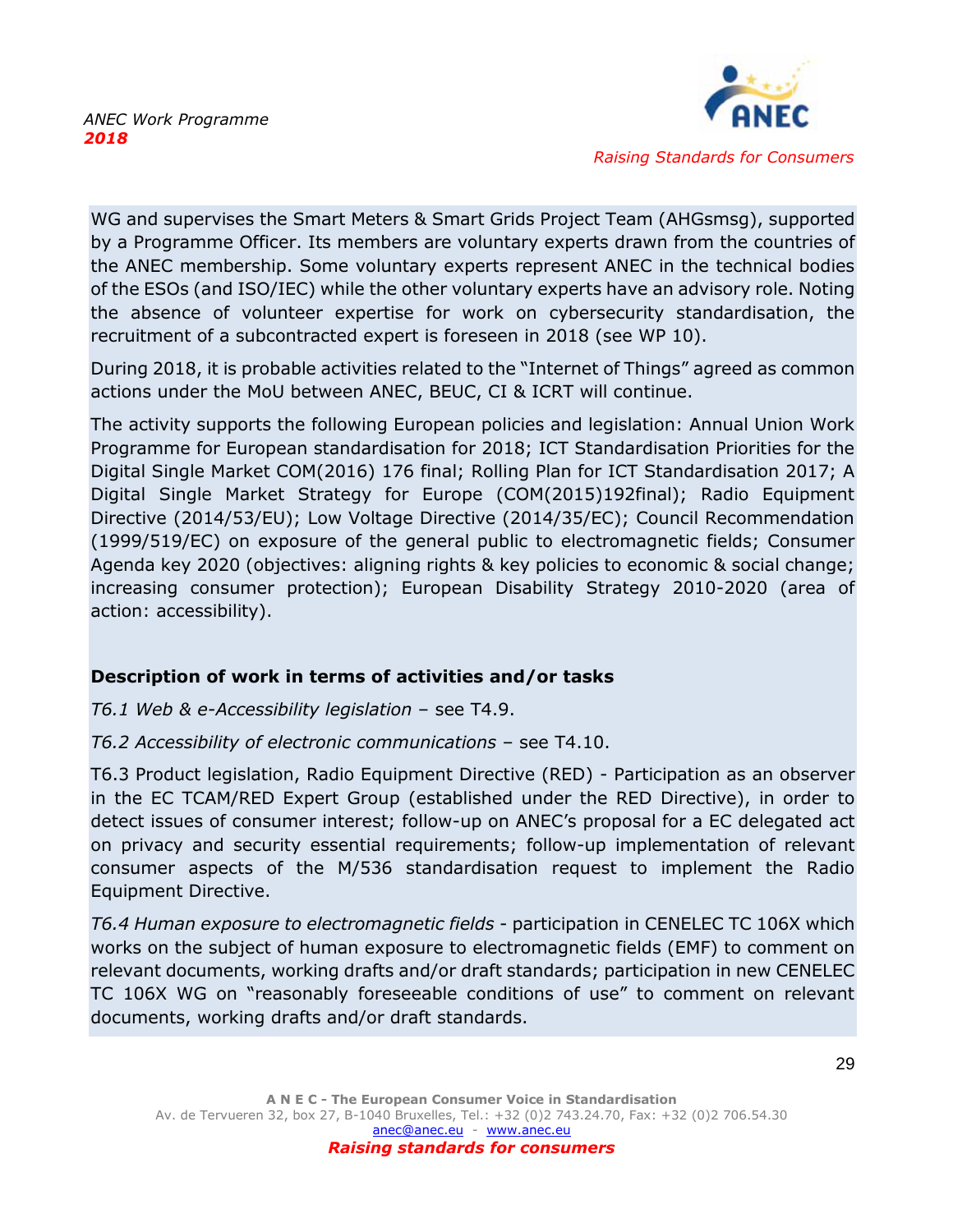

WG and supervises the Smart Meters & Smart Grids Project Team (AHGsmsg), supported by a Programme Officer. Its members are voluntary experts drawn from the countries of the ANEC membership. Some voluntary experts represent ANEC in the technical bodies of the ESOs (and ISO/IEC) while the other voluntary experts have an advisory role. Noting the absence of volunteer expertise for work on cybersecurity standardisation, the recruitment of a subcontracted expert is foreseen in 2018 (see WP 10).

During 2018, it is probable activities related to the "Internet of Things" agreed as common actions under the MoU between ANEC, BEUC, CI & ICRT will continue.

The activity supports the following European policies and legislation: Annual Union Work Programme for European standardisation for 2018; ICT Standardisation Priorities for the Digital Single Market COM(2016) 176 final; Rolling Plan for ICT Standardisation 2017; A Digital Single Market Strategy for Europe (COM(2015)192final); Radio Equipment Directive (2014/53/EU); Low Voltage Directive (2014/35/EC); Council Recommendation (1999/519/EC) on exposure of the general public to electromagnetic fields; Consumer Agenda key 2020 (objectives: aligning rights & key policies to economic & social change; increasing consumer protection); European Disability Strategy 2010-2020 (area of action: accessibility).

# **Description of work in terms of activities and/or tasks**

*T6.1 Web & e-Accessibility legislation* – see T4.9.

# *T6.2 Accessibility of electronic communications* – see T4.10.

T6.3 Product legislation, Radio Equipment Directive (RED) - Participation as an observer in the EC TCAM/RED Expert Group (established under the RED Directive), in order to detect issues of consumer interest; follow-up on ANEC's proposal for a EC delegated act on privacy and security essential requirements; follow-up implementation of relevant consumer aspects of the M/536 standardisation request to implement the Radio Equipment Directive.

*T6.4 Human exposure to electromagnetic fields* - participation in CENELEC TC 106X which works on the subject of human exposure to electromagnetic fields (EMF) to comment on relevant documents, working drafts and/or draft standards; participation in new CENELEC TC 106X WG on "reasonably foreseeable conditions of use" to comment on relevant documents, working drafts and/or draft standards.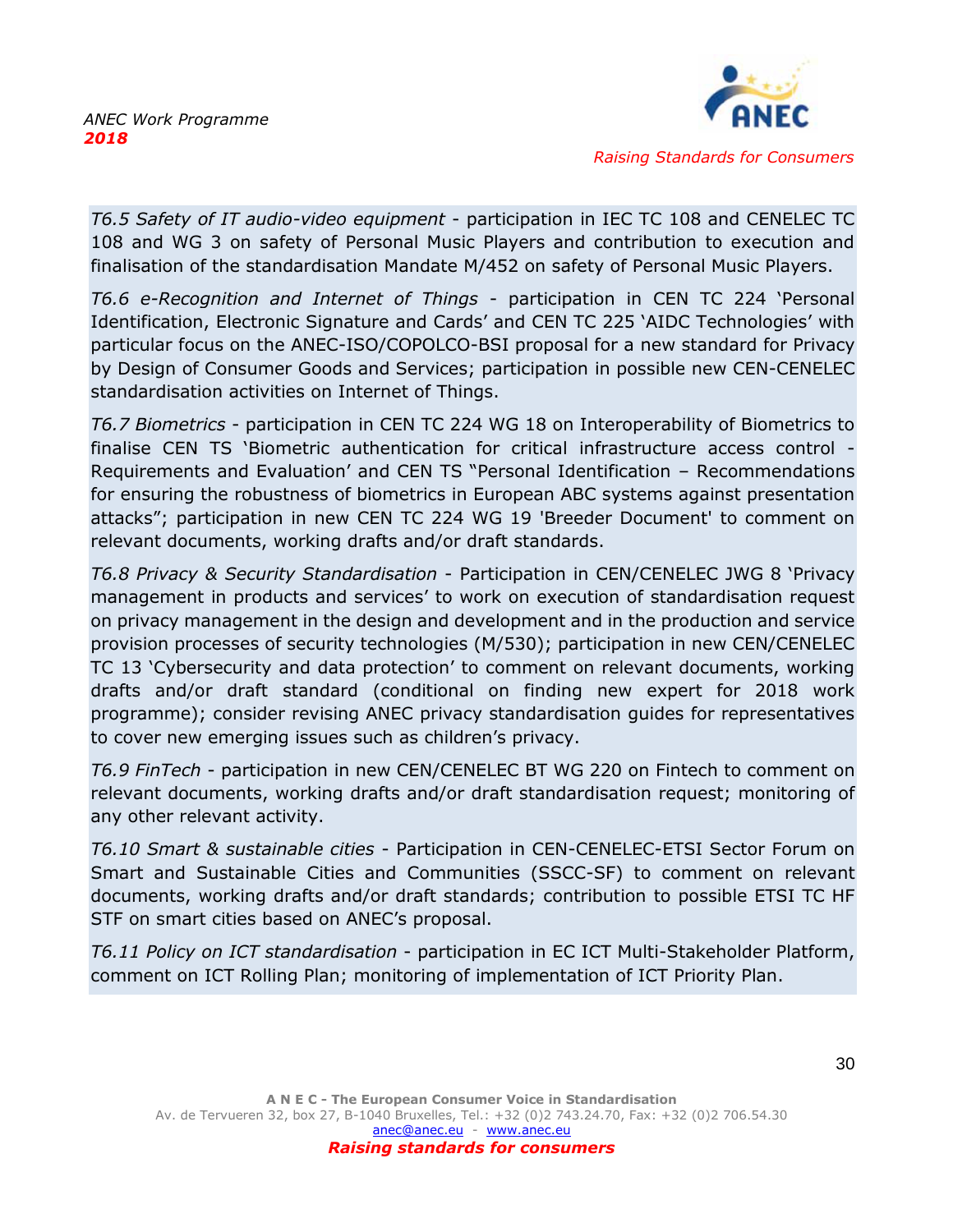

*T6.5 Safety of IT audio-video equipment* - participation in IEC TC 108 and CENELEC TC 108 and WG 3 on safety of Personal Music Players and contribution to execution and

finalisation of the standardisation Mandate M/452 on safety of Personal Music Players.

*T6.6 e-Recognition and Internet of Things* - participation in CEN TC 224 'Personal Identification, Electronic Signature and Cards' and CEN TC 225 'AIDC Technologies' with particular focus on the ANEC-ISO/COPOLCO-BSI proposal for a new standard for Privacy by Design of Consumer Goods and Services; participation in possible new CEN-CENELEC standardisation activities on Internet of Things.

*T6.7 Biometrics* - participation in CEN TC 224 WG 18 on Interoperability of Biometrics to finalise CEN TS 'Biometric authentication for critical infrastructure access control - Requirements and Evaluation' and CEN TS "Personal Identification – Recommendations for ensuring the robustness of biometrics in European ABC systems against presentation attacks"; participation in new CEN TC 224 WG 19 'Breeder Document' to comment on relevant documents, working drafts and/or draft standards.

*T6.8 Privacy & Security Standardisation* - Participation in CEN/CENELEC JWG 8 'Privacy management in products and services' to work on execution of standardisation request on privacy management in the design and development and in the production and service provision processes of security technologies (M/530); participation in new CEN/CENELEC TC 13 'Cybersecurity and data protection' to comment on relevant documents, working drafts and/or draft standard (conditional on finding new expert for 2018 work programme); consider revising ANEC privacy standardisation guides for representatives to cover new emerging issues such as children's privacy.

*T6.9 FinTech* - participation in new CEN/CENELEC BT WG 220 on Fintech to comment on relevant documents, working drafts and/or draft standardisation request; monitoring of any other relevant activity.

*T6.10 Smart & sustainable cities* - Participation in CEN-CENELEC-ETSI Sector Forum on Smart and Sustainable Cities and Communities (SSCC-SF) to comment on relevant documents, working drafts and/or draft standards; contribution to possible ETSI TC HF STF on smart cities based on ANEC's proposal.

*T6.11 Policy on ICT standardisation* - participation in EC ICT Multi-Stakeholder Platform, comment on ICT Rolling Plan; monitoring of implementation of ICT Priority Plan.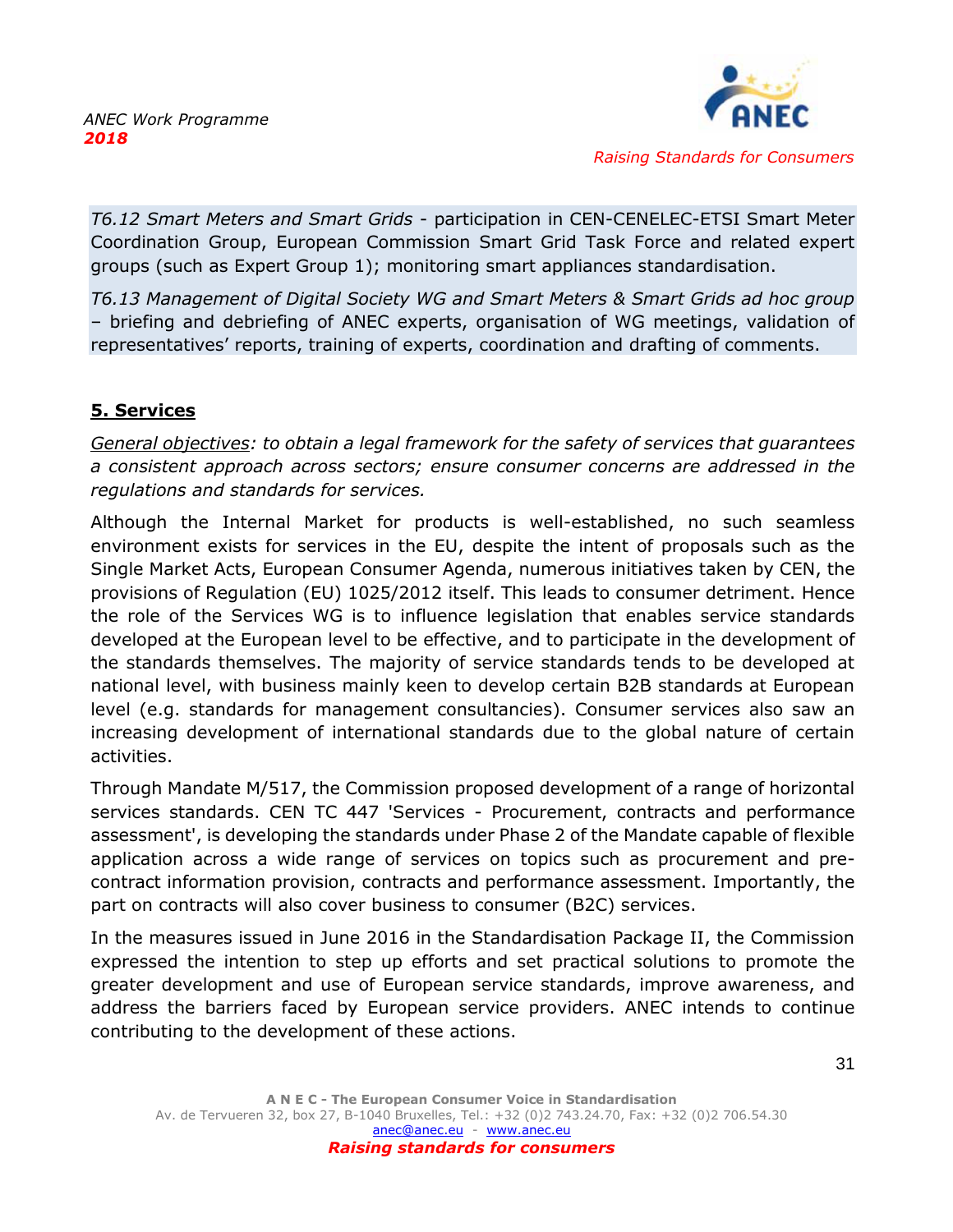

*T6.12 Smart Meters and Smart Grids* - participation in CEN-CENELEC-ETSI Smart Meter Coordination Group, European Commission Smart Grid Task Force and related expert groups (such as Expert Group 1); monitoring smart appliances standardisation.

*T6.13 Management of Digital Society WG and Smart Meters & Smart Grids ad hoc group* – briefing and debriefing of ANEC experts, organisation of WG meetings, validation of representatives' reports, training of experts, coordination and drafting of comments.

# <span id="page-31-0"></span>**5. Services**

*General objectives: to obtain a legal framework for the safety of services that guarantees a consistent approach across sectors; ensure consumer concerns are addressed in the regulations and standards for services.*

Although the Internal Market for products is well-established, no such seamless environment exists for services in the EU, despite the intent of proposals such as the Single Market Acts, European Consumer Agenda, numerous initiatives taken by CEN, the provisions of Regulation (EU) 1025/2012 itself. This leads to consumer detriment. Hence the role of the Services WG is to influence legislation that enables service standards developed at the European level to be effective, and to participate in the development of the standards themselves. The majority of service standards tends to be developed at national level, with business mainly keen to develop certain B2B standards at European level (e.g. standards for management consultancies). Consumer services also saw an increasing development of international standards due to the global nature of certain activities.

Through Mandate M/517, the Commission proposed development of a range of horizontal services standards. CEN TC 447 'Services - Procurement, contracts and performance assessment', is developing the standards under Phase 2 of the Mandate capable of flexible application across a wide range of services on topics such as procurement and precontract information provision, contracts and performance assessment. Importantly, the part on contracts will also cover business to consumer (B2C) services.

In the measures issued in June 2016 in the Standardisation Package II, the Commission expressed the intention to step up efforts and set practical solutions to promote the greater development and use of European service standards, improve awareness, and address the barriers faced by European service providers. ANEC intends to continue contributing to the development of these actions.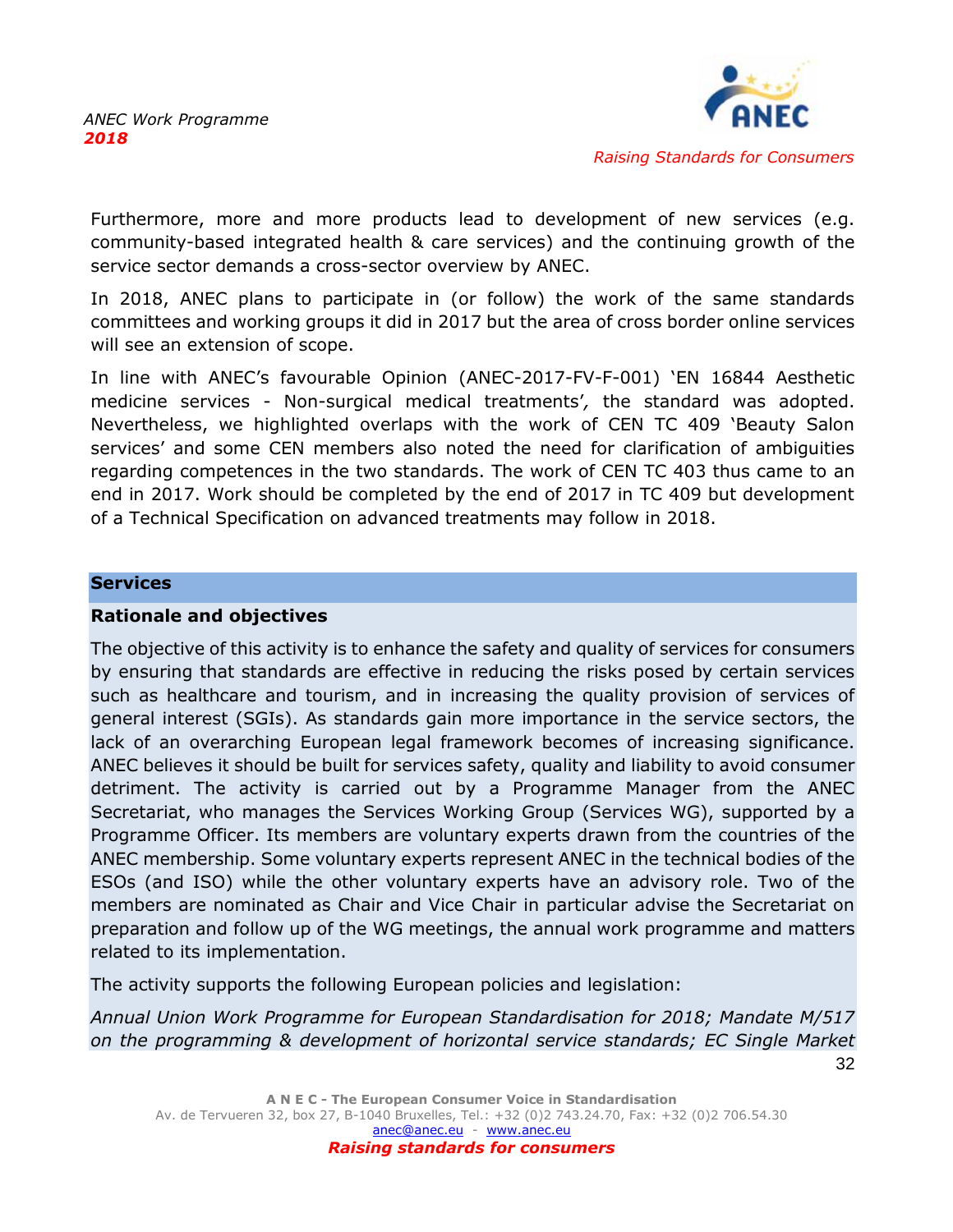

Furthermore, more and more products lead to development of new services (e.g. community-based integrated health & care services) and the continuing growth of the service sector demands a cross-sector overview by ANEC.

In 2018, ANEC plans to participate in (or follow) the work of the same standards committees and working groups it did in 2017 but the area of cross border online services will see an extension of scope.

In line with ANEC's favourable Opinion (ANEC-2017-FV-F-001) 'EN 16844 Aesthetic medicine services - Non-surgical medical treatments'*,* the standard was adopted. Nevertheless, we highlighted overlaps with the work of CEN TC 409 'Beauty Salon services' and some CEN members also noted the need for clarification of ambiguities regarding competences in the two standards. The work of CEN TC 403 thus came to an end in 2017. Work should be completed by the end of 2017 in TC 409 but development of a Technical Specification on advanced treatments may follow in 2018.

#### **Services**

#### **Rationale and objectives**

The objective of this activity is to enhance the safety and quality of services for consumers by ensuring that standards are effective in reducing the risks posed by certain services such as healthcare and tourism, and in increasing the quality provision of services of general interest (SGIs). As standards gain more importance in the service sectors, the lack of an overarching European legal framework becomes of increasing significance. ANEC believes it should be built for services safety, quality and liability to avoid consumer detriment. The activity is carried out by a Programme Manager from the ANEC Secretariat, who manages the Services Working Group (Services WG), supported by a Programme Officer. Its members are voluntary experts drawn from the countries of the ANEC membership. Some voluntary experts represent ANEC in the technical bodies of the ESOs (and ISO) while the other voluntary experts have an advisory role. Two of the members are nominated as Chair and Vice Chair in particular advise the Secretariat on preparation and follow up of the WG meetings, the annual work programme and matters related to its implementation.

The activity supports the following European policies and legislation:

32 *Annual Union Work Programme for European Standardisation for 2018; Mandate M/517 on the programming & development of horizontal service standards; EC Single Market*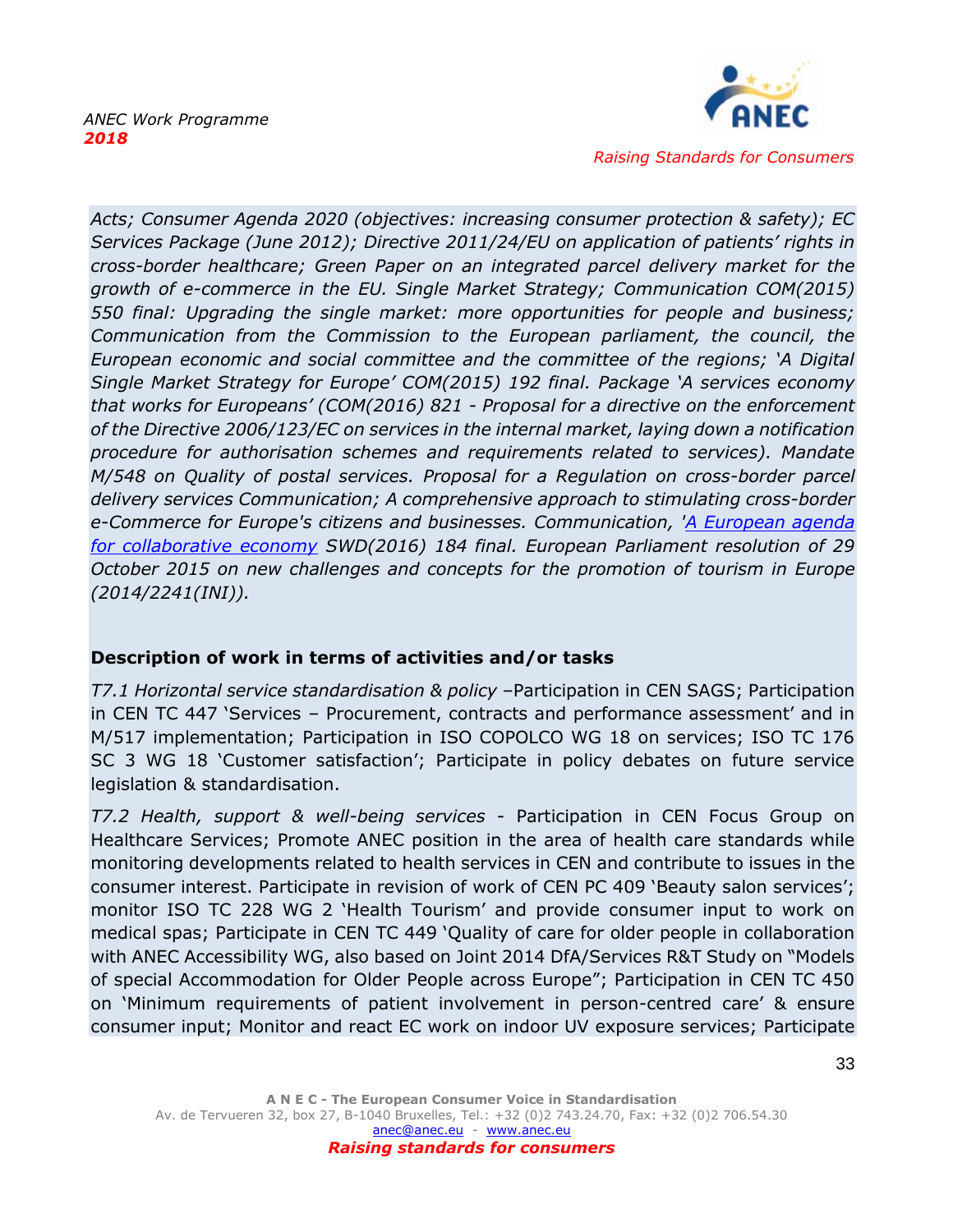

*Acts; Consumer Agenda 2020 (objectives: increasing consumer protection & safety); EC Services Package (June 2012); Directive 2011/24/EU on application of patients' rights in cross-border healthcare; Green Paper on an integrated parcel delivery market for the growth of e-commerce in the EU. Single Market Strategy; Communication COM(2015) 550 final: Upgrading the single market: more opportunities for people and business; Communication from the Commission to the European parliament, the council, the European economic and social committee and the committee of the regions; 'A Digital Single Market Strategy for Europe' COM(2015) 192 final. Package 'A services economy that works for Europeans' (COM(2016) 821 - Proposal for a directive on the enforcement of the Directive 2006/123/EC on services in the internal market, laying down a notification procedure for authorisation schemes and requirements related to services). Mandate M/548 on Quality of postal services. Proposal for a Regulation on cross-border parcel delivery services Communication; A comprehensive approach to stimulating cross-border e-Commerce for Europe's citizens and businesses. Communication, ['A European agenda](http://ec.europa.eu/DocsRoom/documents/16881/attachments/2/translations)  [for collaborative economy](http://ec.europa.eu/DocsRoom/documents/16881/attachments/2/translations) SWD(2016) 184 final. European Parliament resolution of 29 October 2015 on new challenges and concepts for the promotion of tourism in Europe (2014/2241(INI)).* 

# **Description of work in terms of activities and/or tasks**

*T7.1 Horizontal service standardisation & policy* –Participation in CEN SAGS; Participation in CEN TC 447 'Services – Procurement, contracts and performance assessment' and in M/517 implementation; Participation in ISO COPOLCO WG 18 on services; ISO TC 176 SC 3 WG 18 'Customer satisfaction'; Participate in policy debates on future service legislation & standardisation.

*T7.2 Health, support & well-being services* - Participation in CEN Focus Group on Healthcare Services; Promote ANEC position in the area of health care standards while monitoring developments related to health services in CEN and contribute to issues in the consumer interest. Participate in revision of work of CEN PC 409 'Beauty salon services'; monitor ISO TC 228 WG 2 'Health Tourism' and provide consumer input to work on medical spas; Participate in CEN TC 449 'Quality of care for older people in collaboration with ANEC Accessibility WG, also based on Joint 2014 DfA/Services R&T Study on "Models of special Accommodation for Older People across Europe"; Participation in CEN TC 450 on 'Minimum requirements of patient involvement in person-centred care' & ensure consumer input; Monitor and react EC work on indoor UV exposure services; Participate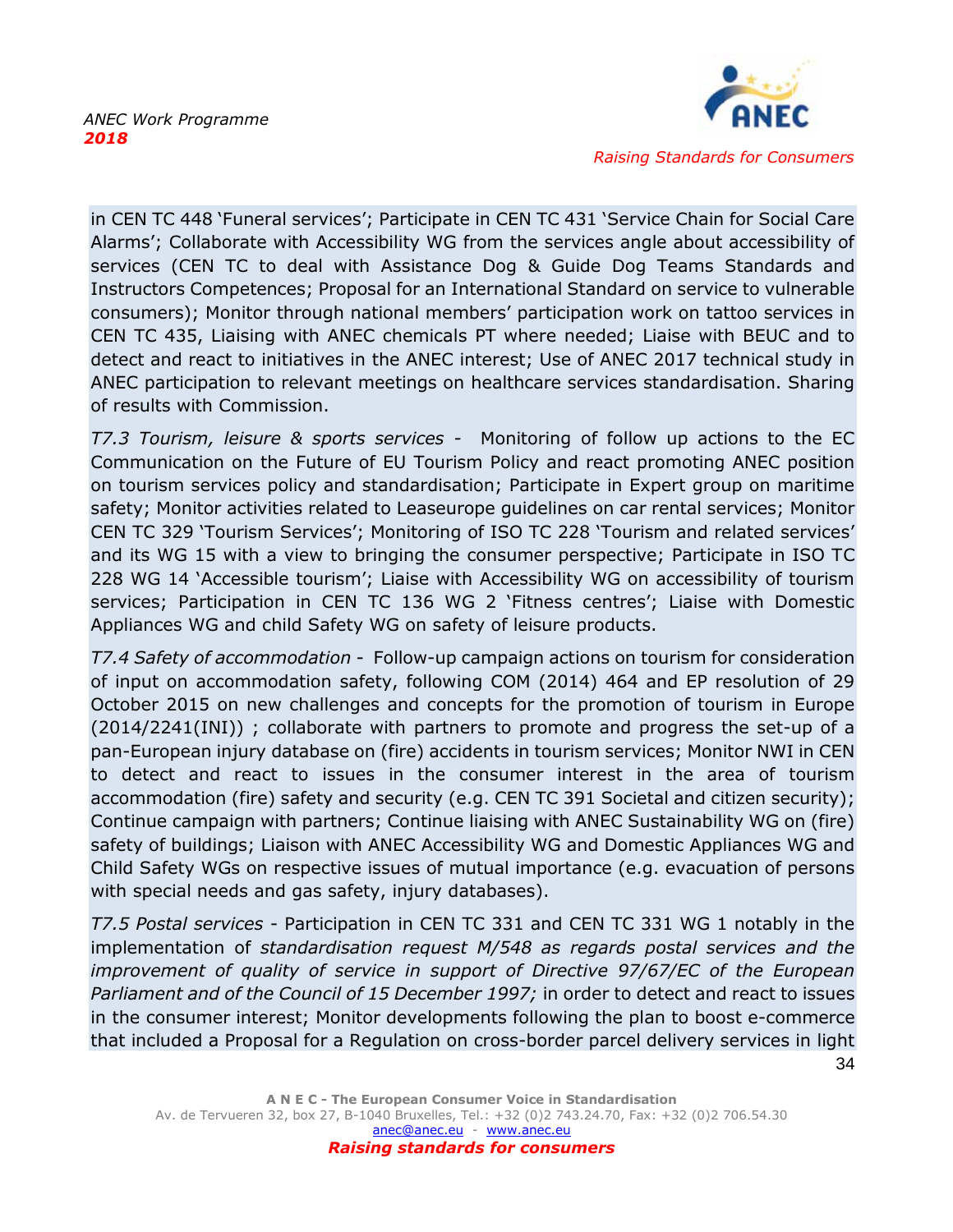

in CEN TC 448 'Funeral services'; Participate in CEN TC 431 'Service Chain for Social Care Alarms'; Collaborate with Accessibility WG from the services angle about accessibility of services (CEN TC to deal with Assistance Dog & Guide Dog Teams Standards and Instructors Competences; Proposal for an International Standard on service to vulnerable consumers); Monitor through national members' participation work on tattoo services in CEN TC 435, Liaising with ANEC chemicals PT where needed; Liaise with BEUC and to detect and react to initiatives in the ANEC interest; Use of ANEC 2017 technical study in ANEC participation to relevant meetings on healthcare services standardisation. Sharing of results with Commission.

*T7.3 Tourism, leisure & sports services -* Monitoring of follow up actions to the EC Communication on the Future of EU Tourism Policy and react promoting ANEC position on tourism services policy and standardisation; Participate in Expert group on maritime safety; Monitor activities related to Leaseurope guidelines on car rental services; Monitor CEN TC 329 'Tourism Services'; Monitoring of ISO TC 228 'Tourism and related services' and its WG 15 with a view to bringing the consumer perspective; Participate in ISO TC 228 WG 14 'Accessible tourism'; Liaise with Accessibility WG on accessibility of tourism services; Participation in CEN TC 136 WG 2 'Fitness centres'; Liaise with Domestic Appliances WG and child Safety WG on safety of leisure products.

*T7.4 Safety of accommodation* - Follow-up campaign actions on tourism for consideration of input on accommodation safety, following COM (2014) 464 and EP resolution of 29 October 2015 on new challenges and concepts for the promotion of tourism in Europe (2014/2241(INI)) ; collaborate with partners to promote and progress the set-up of a pan-European injury database on (fire) accidents in tourism services; Monitor NWI in CEN to detect and react to issues in the consumer interest in the area of tourism accommodation (fire) safety and security (e.g. CEN TC 391 Societal and citizen security); Continue campaign with partners; Continue liaising with ANEC Sustainability WG on (fire) safety of buildings; Liaison with ANEC Accessibility WG and Domestic Appliances WG and Child Safety WGs on respective issues of mutual importance (e.g. evacuation of persons with special needs and gas safety, injury databases).

*T7.5 Postal services* - Participation in CEN TC 331 and CEN TC 331 WG 1 notably in the implementation of *standardisation request M/548 as regards postal services and the improvement of quality of service in support of Directive 97/67/EC of the European Parliament and of the Council of 15 December 1997;* in order to detect and react to issues in the consumer interest; Monitor developments following the plan to boost e-commerce that included a Proposal for a Regulation on cross-border parcel delivery services in light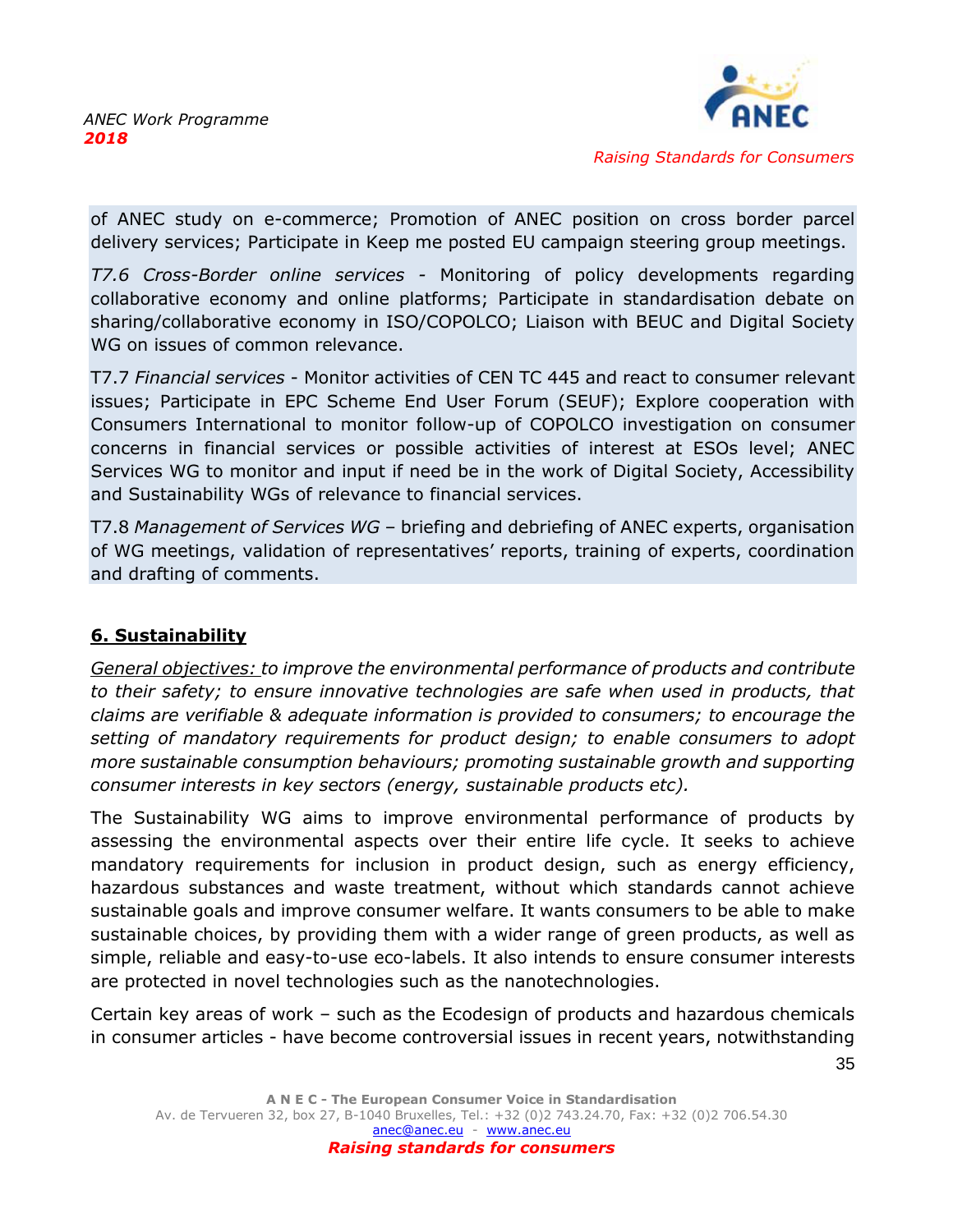

of ANEC study on e-commerce; Promotion of ANEC position on cross border parcel delivery services; Participate in Keep me posted EU campaign steering group meetings.

*T7.6 Cross-Border online services -* Monitoring of policy developments regarding collaborative economy and online platforms; Participate in standardisation debate on sharing/collaborative economy in ISO/COPOLCO; Liaison with BEUC and Digital Society WG on issues of common relevance.

T7.7 *Financial services* - Monitor activities of CEN TC 445 and react to consumer relevant issues; Participate in EPC Scheme End User Forum (SEUF); Explore cooperation with Consumers International to monitor follow-up of COPOLCO investigation on consumer concerns in financial services or possible activities of interest at ESOs level; ANEC Services WG to monitor and input if need be in the work of Digital Society, Accessibility and Sustainability WGs of relevance to financial services.

T7.8 *Management of Services WG* – briefing and debriefing of ANEC experts, organisation of WG meetings, validation of representatives' reports, training of experts, coordination and drafting of comments.

# <span id="page-35-0"></span>**6. Sustainability**

*General objectives: to improve the environmental performance of products and contribute to their safety; to ensure innovative technologies are safe when used in products, that claims are verifiable & adequate information is provided to consumers; to encourage the setting of mandatory requirements for product design; to enable consumers to adopt more sustainable consumption behaviours; promoting sustainable growth and supporting consumer interests in key sectors (energy, sustainable products etc).*

The Sustainability WG aims to improve environmental performance of products by assessing the environmental aspects over their entire life cycle. It seeks to achieve mandatory requirements for inclusion in product design, such as energy efficiency, hazardous substances and waste treatment, without which standards cannot achieve sustainable goals and improve consumer welfare. It wants consumers to be able to make sustainable choices, by providing them with a wider range of green products, as well as simple, reliable and easy-to-use eco-labels. It also intends to ensure consumer interests are protected in novel technologies such as the nanotechnologies.

Certain key areas of work – such as the Ecodesign of products and hazardous chemicals in consumer articles - have become controversial issues in recent years, notwithstanding

**A N E C - The European Consumer Voice in Standardisation** Av. de Tervueren 32, box 27, B-1040 Bruxelles, Tel.: +32 (0)2 743.24.70, Fax: +32 (0)2 706.54.30 [anec@anec.eu](mailto:anec@anec.eu) - [www.anec.eu](http://www.anec.eu/) *Raising standards for consumers*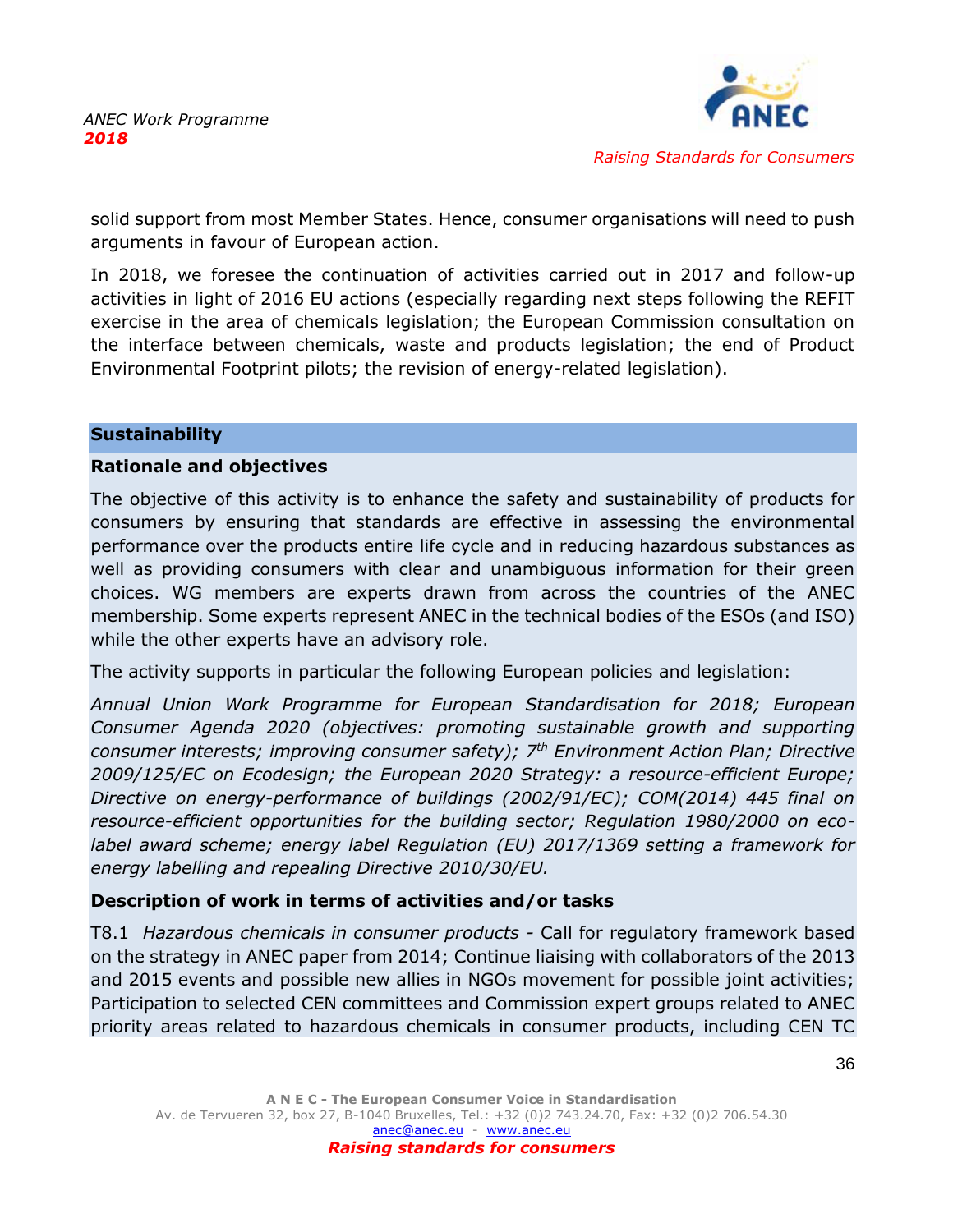

solid support from most Member States. Hence, consumer organisations will need to push arguments in favour of European action.

In 2018, we foresee the continuation of activities carried out in 2017 and follow-up activities in light of 2016 EU actions (especially regarding next steps following the REFIT exercise in the area of chemicals legislation; the European Commission consultation on the interface between chemicals, waste and products legislation; the end of Product Environmental Footprint pilots; the revision of energy-related legislation).

### **Sustainability**

#### **Rationale and objectives**

The objective of this activity is to enhance the safety and sustainability of products for consumers by ensuring that standards are effective in assessing the environmental performance over the products entire life cycle and in reducing hazardous substances as well as providing consumers with clear and unambiguous information for their green choices. WG members are experts drawn from across the countries of the ANEC membership. Some experts represent ANEC in the technical bodies of the ESOs (and ISO) while the other experts have an advisory role.

The activity supports in particular the following European policies and legislation:

*Annual Union Work Programme for European Standardisation for 2018; European Consumer Agenda 2020 (objectives: promoting sustainable growth and supporting consumer interests; improving consumer safety); 7th Environment Action Plan; Directive 2009/125/EC on Ecodesign; the European 2020 Strategy: a resource-efficient Europe; Directive on energy-performance of buildings (2002/91/EC); COM(2014) 445 final on resource-efficient opportunities for the building sector; Regulation 1980/2000 on ecolabel award scheme; energy label Regulation (EU) 2017/1369 setting a framework for energy labelling and repealing Directive 2010/30/EU.* 

# **Description of work in terms of activities and/or tasks**

T8.1 *Hazardous chemicals in consumer products -* Call for regulatory framework based on the strategy in ANEC paper from 2014; Continue liaising with collaborators of the 2013 and 2015 events and possible new allies in NGOs movement for possible joint activities; Participation to selected CEN committees and Commission expert groups related to ANEC priority areas related to hazardous chemicals in consumer products, including CEN TC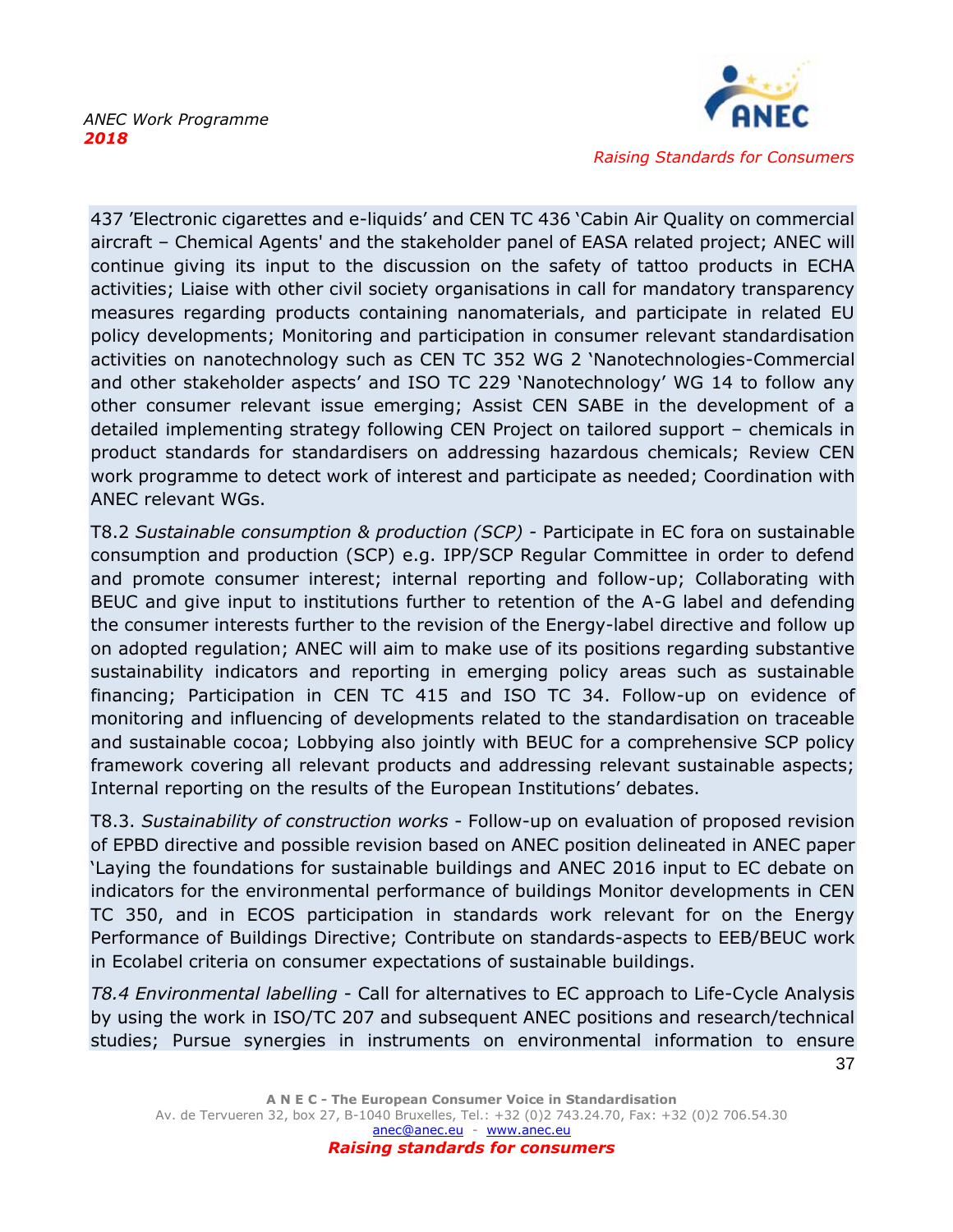

437 'Electronic cigarettes and e-liquids' and CEN TC 436 'Cabin Air Quality on commercial aircraft – Chemical Agents' and the stakeholder panel of EASA related project; ANEC will continue giving its input to the discussion on the safety of tattoo products in ECHA activities; Liaise with other civil society organisations in call for mandatory transparency measures regarding products containing nanomaterials, and participate in related EU policy developments; Monitoring and participation in consumer relevant standardisation activities on nanotechnology such as CEN TC 352 WG 2 'Nanotechnologies-Commercial and other stakeholder aspects' and ISO TC 229 'Nanotechnology' WG 14 to follow any other consumer relevant issue emerging; Assist CEN SABE in the development of a detailed implementing strategy following CEN Project on tailored support – chemicals in product standards for standardisers on addressing hazardous chemicals; Review CEN work programme to detect work of interest and participate as needed; Coordination with ANEC relevant WGs.

T8.2 *Sustainable consumption & production (SCP) -* Participate in EC fora on sustainable consumption and production (SCP) e.g. IPP/SCP Regular Committee in order to defend and promote consumer interest; internal reporting and follow-up; Collaborating with BEUC and give input to institutions further to retention of the A-G label and defending the consumer interests further to the revision of the Energy-label directive and follow up on adopted regulation; ANEC will aim to make use of its positions regarding substantive sustainability indicators and reporting in emerging policy areas such as sustainable financing; Participation in CEN TC 415 and ISO TC 34. Follow-up on evidence of monitoring and influencing of developments related to the standardisation on traceable and sustainable cocoa; Lobbying also jointly with BEUC for a comprehensive SCP policy framework covering all relevant products and addressing relevant sustainable aspects; Internal reporting on the results of the European Institutions' debates.

T8.3. *Sustainability of construction works* - Follow-up on evaluation of proposed revision of EPBD directive and possible revision based on ANEC position delineated in ANEC paper 'Laying the foundations for sustainable buildings and ANEC 2016 input to EC debate on indicators for the environmental performance of buildings Monitor developments in CEN TC 350, and in ECOS participation in standards work relevant for on the Energy Performance of Buildings Directive; Contribute on standards-aspects to EEB/BEUC work in Ecolabel criteria on consumer expectations of sustainable buildings.

*T8.4 Environmental labelling* - Call for alternatives to EC approach to Life-Cycle Analysis by using the work in ISO/TC 207 and subsequent ANEC positions and research/technical studies; Pursue synergies in instruments on environmental information to ensure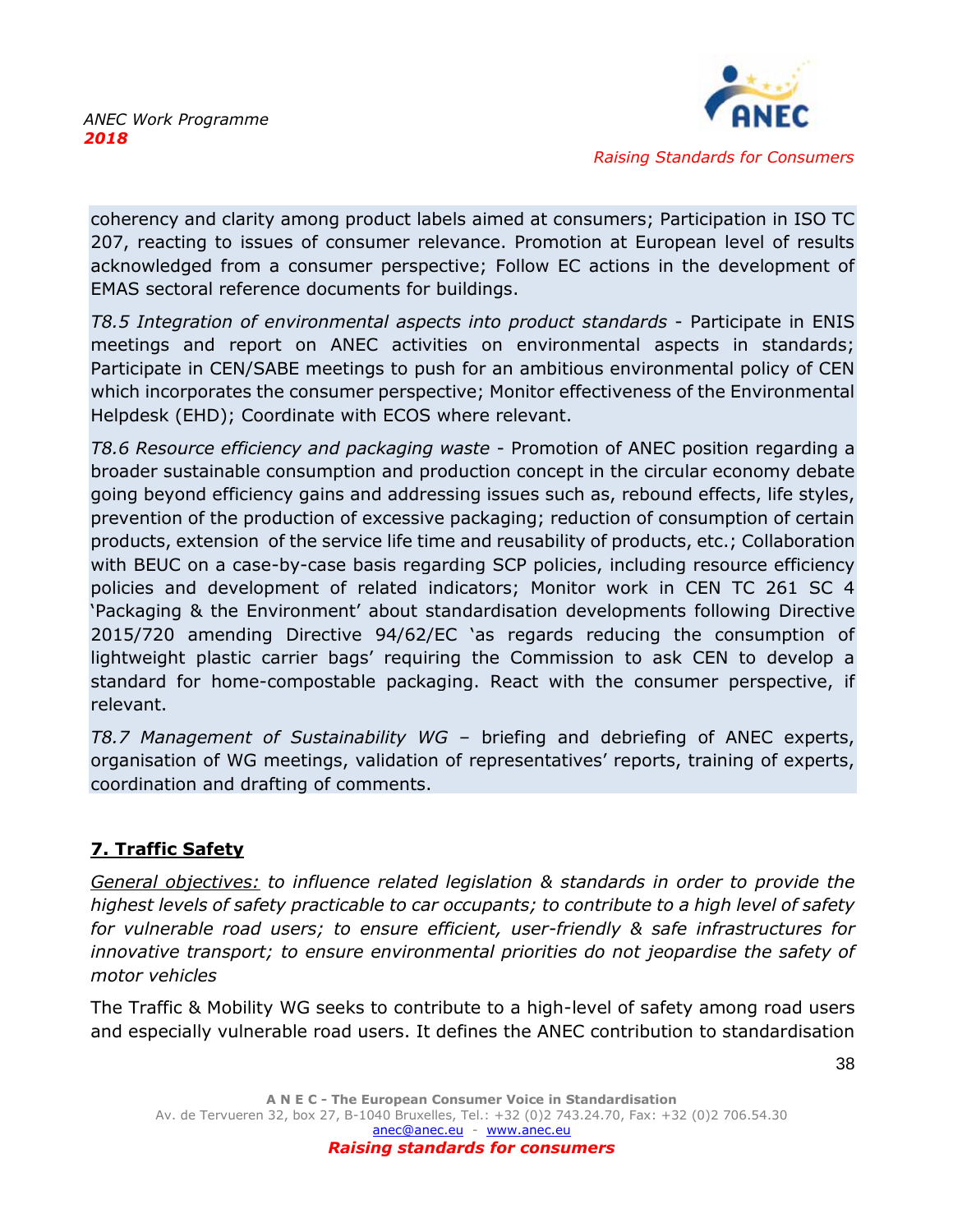

coherency and clarity among product labels aimed at consumers; Participation in ISO TC 207, reacting to issues of consumer relevance. Promotion at European level of results acknowledged from a consumer perspective; Follow EC actions in the development of EMAS sectoral reference documents for buildings.

*T8.5 Integration of environmental aspects into product standards* - Participate in ENIS meetings and report on ANEC activities on environmental aspects in standards; Participate in CEN/SABE meetings to push for an ambitious environmental policy of CEN which incorporates the consumer perspective; Monitor effectiveness of the Environmental Helpdesk (EHD); Coordinate with ECOS where relevant.

*T8.6 Resource efficiency and packaging waste* - Promotion of ANEC position regarding a broader sustainable consumption and production concept in the circular economy debate going beyond efficiency gains and addressing issues such as, rebound effects, life styles, prevention of the production of excessive packaging; reduction of consumption of certain products, extension of the service life time and reusability of products, etc.; Collaboration with BEUC on a case-by-case basis regarding SCP policies, including resource efficiency policies and development of related indicators; Monitor work in CEN TC 261 SC 4 'Packaging & the Environment' about standardisation developments following Directive 2015/720 amending Directive 94/62/EC 'as regards reducing the consumption of lightweight plastic carrier bags' requiring the Commission to ask CEN to develop a standard for home-compostable packaging. React with the consumer perspective, if relevant.

*T8.7 Management of Sustainability WG* – briefing and debriefing of ANEC experts, organisation of WG meetings, validation of representatives' reports, training of experts, coordination and drafting of comments.

# <span id="page-38-0"></span>**7. Traffic Safety**

*General objectives: to influence related legislation & standards in order to provide the highest levels of safety practicable to car occupants; to contribute to a high level of safety for vulnerable road users; to ensure efficient, user-friendly & safe infrastructures for innovative transport; to ensure environmental priorities do not jeopardise the safety of motor vehicles*

The Traffic & Mobility WG seeks to contribute to a high-level of safety among road users and especially vulnerable road users. It defines the ANEC contribution to standardisation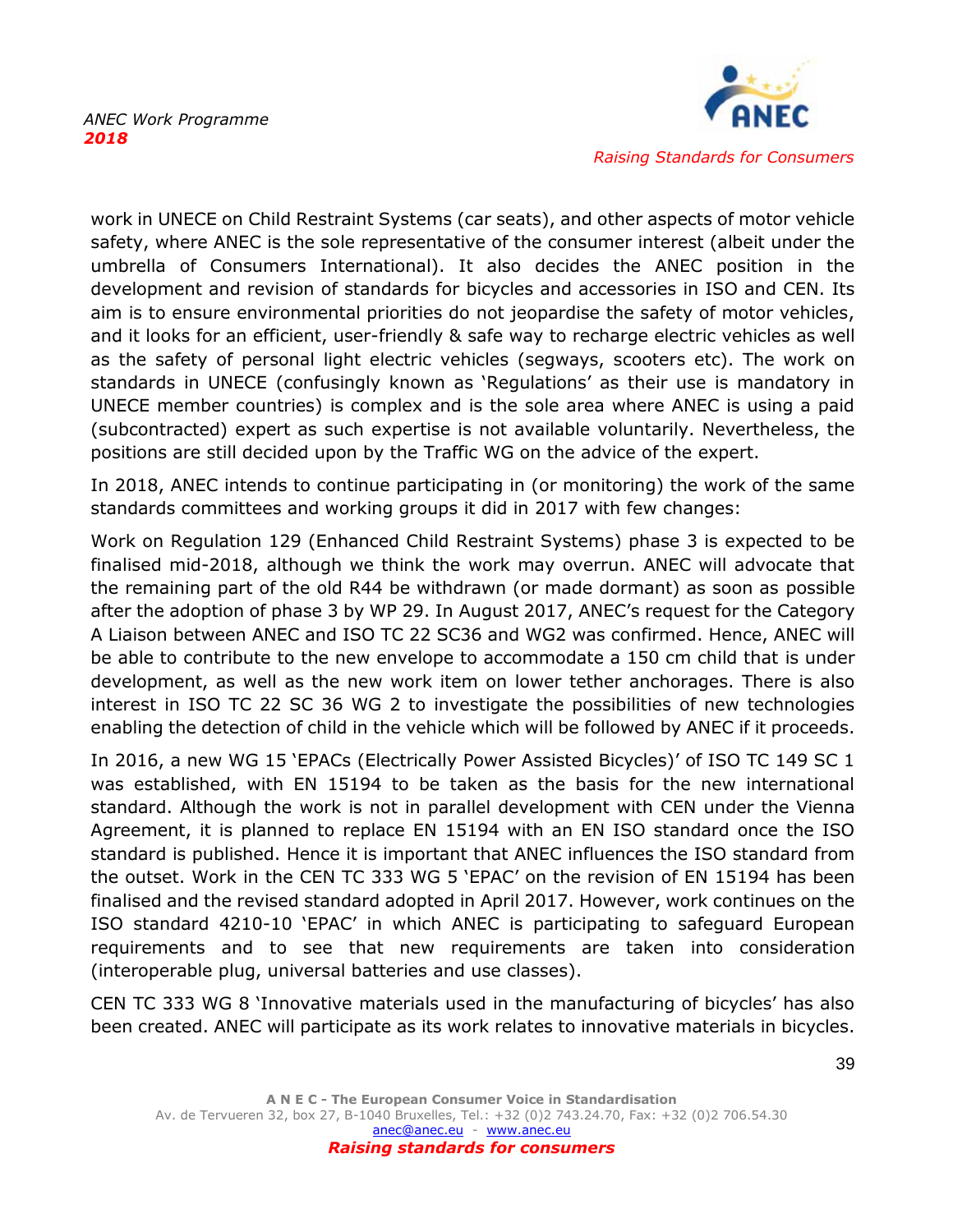

work in UNECE on Child Restraint Systems (car seats), and other aspects of motor vehicle safety, where ANEC is the sole representative of the consumer interest (albeit under the umbrella of Consumers International). It also decides the ANEC position in the development and revision of standards for bicycles and accessories in ISO and CEN. Its aim is to ensure environmental priorities do not jeopardise the safety of motor vehicles, and it looks for an efficient, user-friendly & safe way to recharge electric vehicles as well as the safety of personal light electric vehicles (segways, scooters etc). The work on standards in UNECE (confusingly known as 'Regulations' as their use is mandatory in UNECE member countries) is complex and is the sole area where ANEC is using a paid (subcontracted) expert as such expertise is not available voluntarily. Nevertheless, the positions are still decided upon by the Traffic WG on the advice of the expert.

In 2018, ANEC intends to continue participating in (or monitoring) the work of the same standards committees and working groups it did in 2017 with few changes:

Work on Regulation 129 (Enhanced Child Restraint Systems) phase 3 is expected to be finalised mid-2018, although we think the work may overrun. ANEC will advocate that the remaining part of the old R44 be withdrawn (or made dormant) as soon as possible after the adoption of phase 3 by WP 29. In August 2017, ANEC's request for the Category A Liaison between ANEC and ISO TC 22 SC36 and WG2 was confirmed. Hence, ANEC will be able to contribute to the new envelope to accommodate a 150 cm child that is under development, as well as the new work item on lower tether anchorages. There is also interest in ISO TC 22 SC 36 WG 2 to investigate the possibilities of new technologies enabling the detection of child in the vehicle which will be followed by ANEC if it proceeds.

In 2016, a new WG 15 'EPACs (Electrically Power Assisted Bicycles)' of ISO TC 149 SC 1 was established, with EN 15194 to be taken as the basis for the new international standard. Although the work is not in parallel development with CEN under the Vienna Agreement, it is planned to replace EN 15194 with an EN ISO standard once the ISO standard is published. Hence it is important that ANEC influences the ISO standard from the outset. Work in the CEN TC 333 WG 5 'EPAC' on the revision of EN 15194 has been finalised and the revised standard adopted in April 2017. However, work continues on the ISO standard 4210-10 'EPAC' in which ANEC is participating to safeguard European requirements and to see that new requirements are taken into consideration (interoperable plug, universal batteries and use classes).

CEN TC 333 WG 8 'Innovative materials used in the manufacturing of bicycles' has also been created. ANEC will participate as its work relates to innovative materials in bicycles.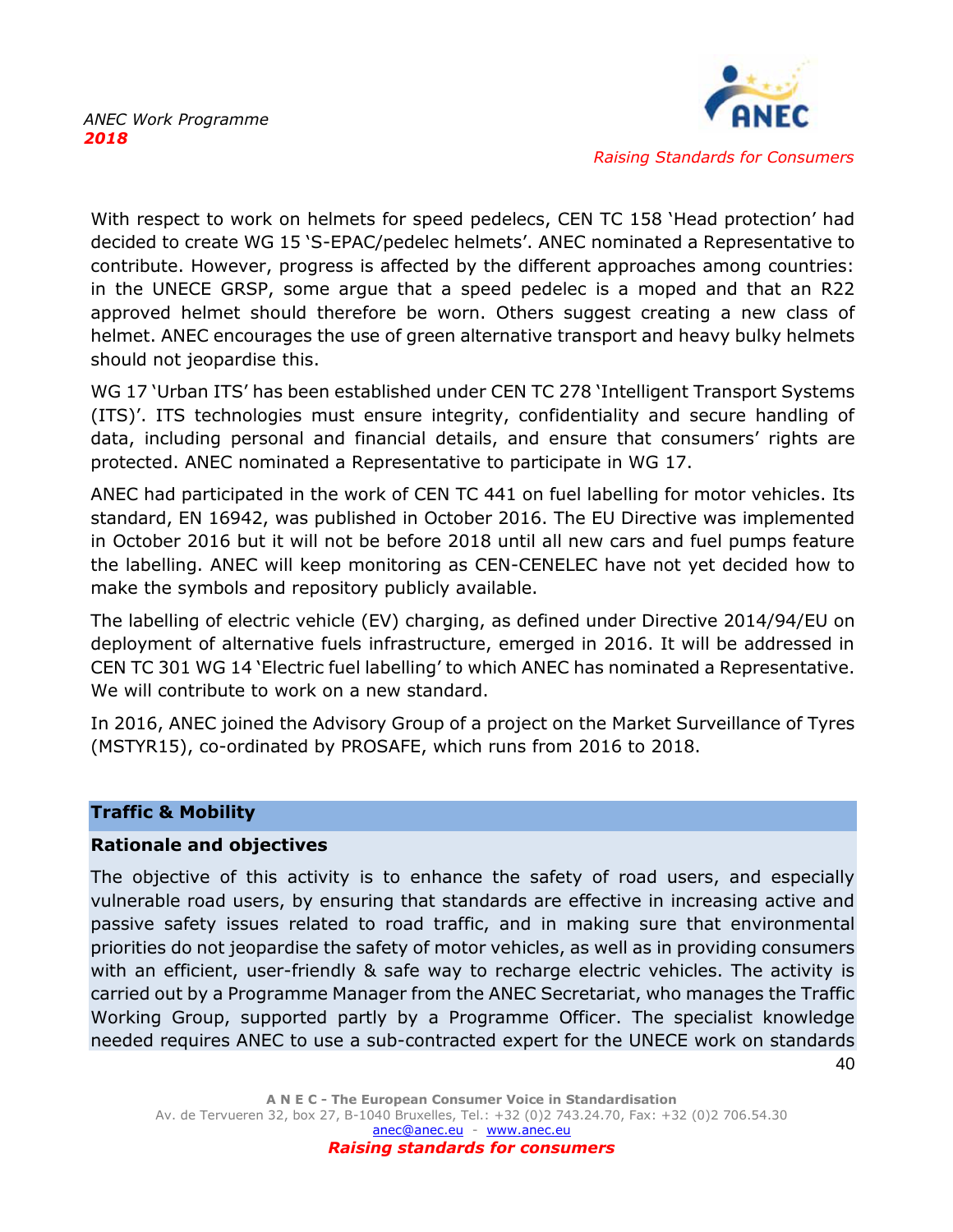

40

With respect to work on helmets for speed pedelecs, CEN TC 158 'Head protection' had decided to create WG 15 'S-EPAC/pedelec helmets'. ANEC nominated a Representative to contribute. However, progress is affected by the different approaches among countries: in the UNECE GRSP, some argue that a speed pedelec is a moped and that an R22 approved helmet should therefore be worn. Others suggest creating a new class of helmet. ANEC encourages the use of green alternative transport and heavy bulky helmets should not jeopardise this.

WG 17 'Urban ITS' has been established under CEN TC 278 'Intelligent Transport Systems (ITS)'. ITS technologies must ensure integrity, confidentiality and secure handling of data, including personal and financial details, and ensure that consumers' rights are protected. ANEC nominated a Representative to participate in WG 17.

ANEC had participated in the work of CEN TC 441 on fuel labelling for motor vehicles. Its standard, EN 16942, was published in October 2016. The EU Directive was implemented in October 2016 but it will not be before 2018 until all new cars and fuel pumps feature the labelling. ANEC will keep monitoring as CEN-CENELEC have not yet decided how to make the symbols and repository publicly available.

The labelling of electric vehicle (EV) charging, as defined under Directive 2014/94/EU on deployment of alternative fuels infrastructure, emerged in 2016. It will be addressed in CEN TC 301 WG 14 'Electric fuel labelling' to which ANEC has nominated a Representative. We will contribute to work on a new standard.

In 2016, ANEC joined the Advisory Group of a project on the Market Surveillance of Tyres (MSTYR15), co-ordinated by PROSAFE, which runs from 2016 to 2018.

#### **Traffic & Mobility**

#### **Rationale and objectives**

The objective of this activity is to enhance the safety of road users, and especially vulnerable road users, by ensuring that standards are effective in increasing active and passive safety issues related to road traffic, and in making sure that environmental priorities do not jeopardise the safety of motor vehicles, as well as in providing consumers with an efficient, user-friendly & safe way to recharge electric vehicles. The activity is carried out by a Programme Manager from the ANEC Secretariat, who manages the Traffic Working Group, supported partly by a Programme Officer. The specialist knowledge needed requires ANEC to use a sub-contracted expert for the UNECE work on standards

**A N E C - The European Consumer Voice in Standardisation** Av. de Tervueren 32, box 27, B-1040 Bruxelles, Tel.: +32 (0)2 743.24.70, Fax: +32 (0)2 706.54.30 [anec@anec.eu](mailto:anec@anec.eu) - [www.anec.eu](http://www.anec.eu/) *Raising standards for consumers*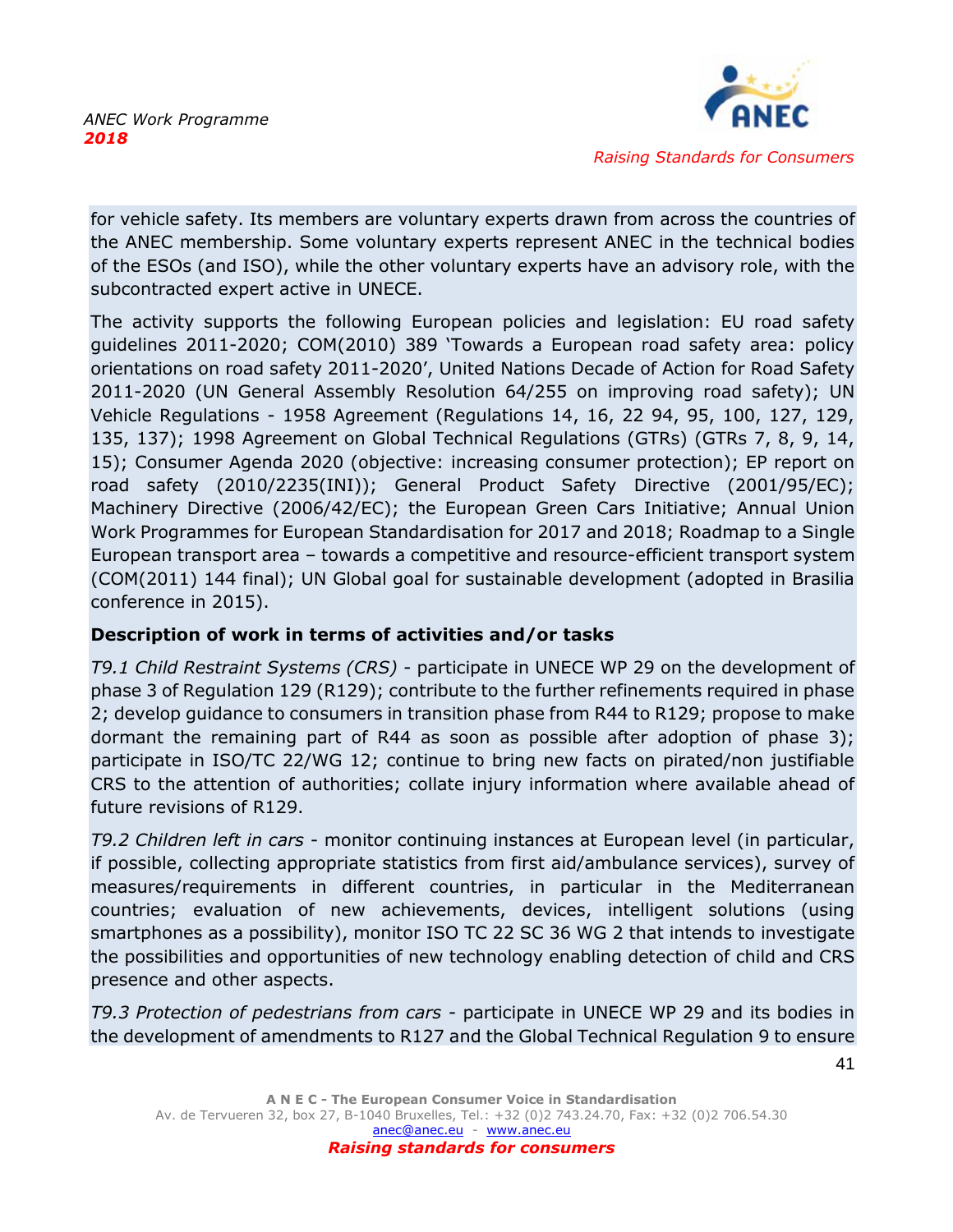

for vehicle safety. Its members are voluntary experts drawn from across the countries of the ANEC membership. Some voluntary experts represent ANEC in the technical bodies of the ESOs (and ISO), while the other voluntary experts have an advisory role, with the subcontracted expert active in UNECE.

The activity supports the following European policies and legislation: EU road safety guidelines 2011-2020; COM(2010) 389 'Towards a European road safety area: policy orientations on road safety 2011-2020', United Nations Decade of Action for Road Safety 2011-2020 (UN General Assembly Resolution 64/255 on improving road safety); UN Vehicle Regulations - 1958 Agreement (Regulations 14, 16, 22 94, 95, 100, 127, 129, 135, 137); 1998 Agreement on Global Technical Regulations (GTRs) (GTRs 7, 8, 9, 14, 15); Consumer Agenda 2020 (objective: increasing consumer protection); EP report on road safety (2010/2235(INI)); General Product Safety Directive (2001/95/EC); Machinery Directive (2006/42/EC); the European Green Cars Initiative; Annual Union Work Programmes for European Standardisation for 2017 and 2018; Roadmap to a Single European transport area – towards a competitive and resource-efficient transport system (COM(2011) 144 final); UN Global goal for sustainable development (adopted in Brasilia conference in 2015).

# **Description of work in terms of activities and/or tasks**

*T9.1 Child Restraint Systems (CRS)* - participate in UNECE WP 29 on the development of phase 3 of Regulation 129 (R129); contribute to the further refinements required in phase 2; develop guidance to consumers in transition phase from R44 to R129; propose to make dormant the remaining part of R44 as soon as possible after adoption of phase 3); participate in ISO/TC 22/WG 12; continue to bring new facts on pirated/non justifiable CRS to the attention of authorities; collate injury information where available ahead of future revisions of R129.

*T9.2 Children left in cars* - monitor continuing instances at European level (in particular, if possible, collecting appropriate statistics from first aid/ambulance services), survey of measures/requirements in different countries, in particular in the Mediterranean countries; evaluation of new achievements, devices, intelligent solutions (using smartphones as a possibility), monitor ISO TC 22 SC 36 WG 2 that intends to investigate the possibilities and opportunities of new technology enabling detection of child and CRS presence and other aspects.

*T9.3 Protection of pedestrians from cars* - participate in UNECE WP 29 and its bodies in the development of amendments to R127 and the Global Technical Regulation 9 to ensure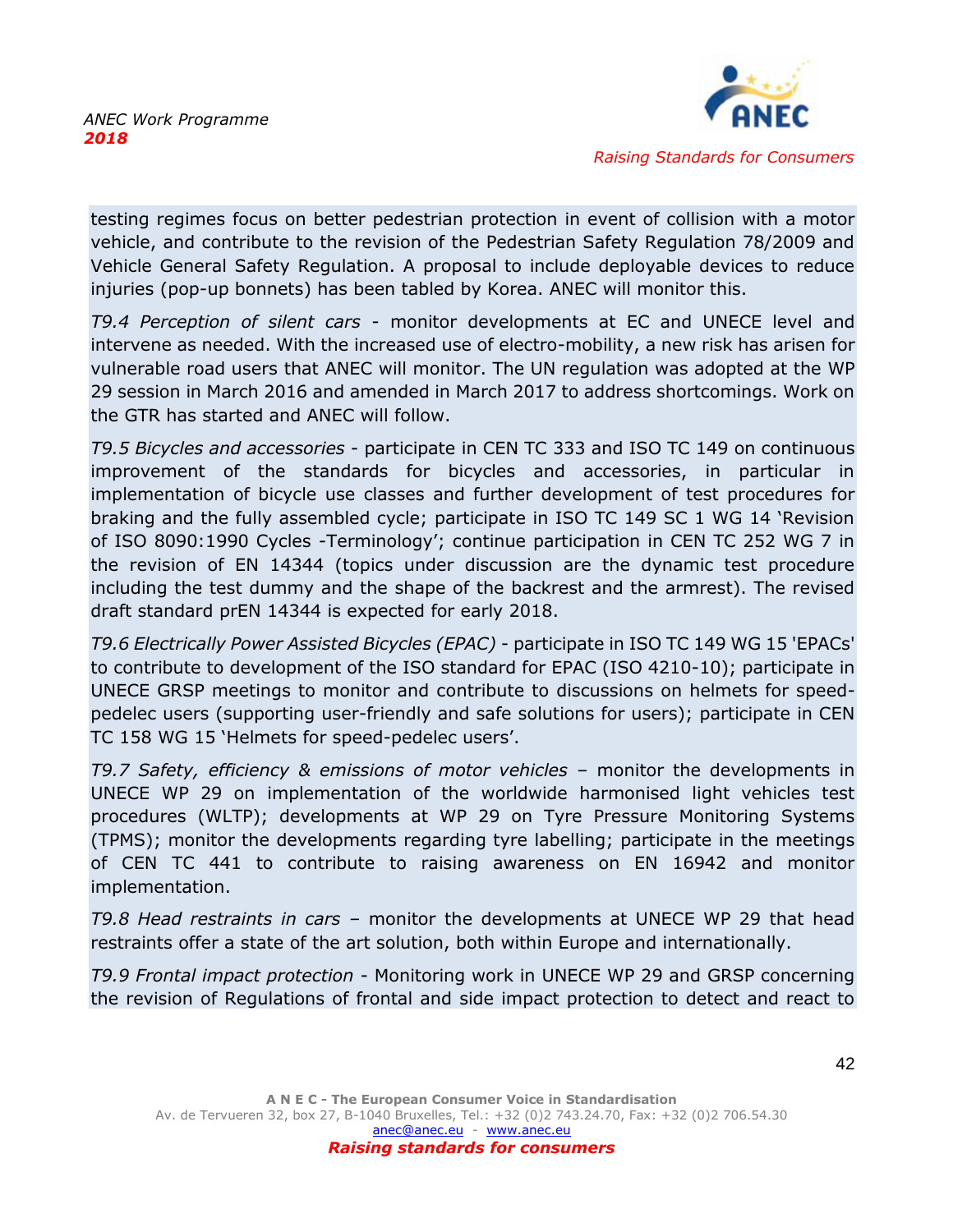

testing regimes focus on better pedestrian protection in event of collision with a motor vehicle, and contribute to the revision of the Pedestrian Safety Regulation 78/2009 and Vehicle General Safety Regulation. A proposal to include deployable devices to reduce injuries (pop-up bonnets) has been tabled by Korea. ANEC will monitor this.

*T9.4 Perception of silent cars* - monitor developments at EC and UNECE level and intervene as needed. With the increased use of electro-mobility, a new risk has arisen for vulnerable road users that ANEC will monitor. The UN regulation was adopted at the WP 29 session in March 2016 and amended in March 2017 to address shortcomings. Work on the GTR has started and ANEC will follow.

*T9.5 Bicycles and accessories* - participate in CEN TC 333 and ISO TC 149 on continuous improvement of the standards for bicycles and accessories, in particular in implementation of bicycle use classes and further development of test procedures for braking and the fully assembled cycle; participate in ISO TC 149 SC 1 WG 14 'Revision of ISO 8090:1990 Cycles -Terminology'; continue participation in CEN TC 252 WG 7 in the revision of EN 14344 (topics under discussion are the dynamic test procedure including the test dummy and the shape of the backrest and the armrest). The revised draft standard prEN 14344 is expected for early 2018.

*T9.6 Electrically Power Assisted Bicycles (EPAC)* - participate in ISO TC 149 WG 15 'EPACs' to contribute to development of the ISO standard for EPAC (ISO 4210-10); participate in UNECE GRSP meetings to monitor and contribute to discussions on helmets for speedpedelec users (supporting user-friendly and safe solutions for users); participate in CEN TC 158 WG 15 'Helmets for speed-pedelec users'.

*T9.7 Safety, efficiency & emissions of motor vehicles* – monitor the developments in UNECE WP 29 on implementation of the worldwide harmonised light vehicles test procedures (WLTP); developments at WP 29 on Tyre Pressure Monitoring Systems (TPMS); monitor the developments regarding tyre labelling; participate in the meetings of CEN TC 441 to contribute to raising awareness on EN 16942 and monitor implementation.

*T9.8 Head restraints in cars* – monitor the developments at UNECE WP 29 that head restraints offer a state of the art solution, both within Europe and internationally.

*T9.9 Frontal impact protection* - Monitoring work in UNECE WP 29 and GRSP concerning the revision of Regulations of frontal and side impact protection to detect and react to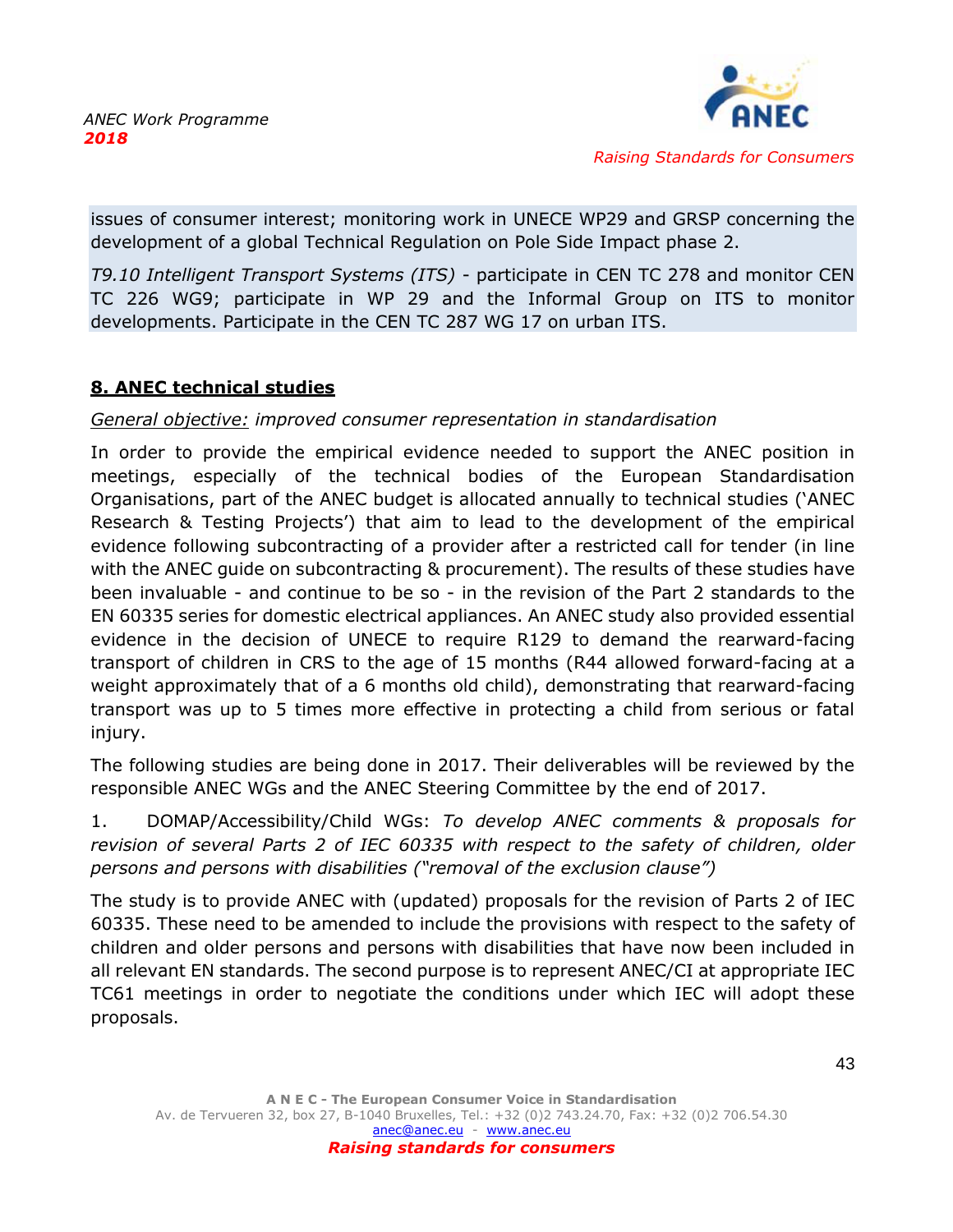

issues of consumer interest; monitoring work in UNECE WP29 and GRSP concerning the development of a global Technical Regulation on Pole Side Impact phase 2.

*T9.10 Intelligent Transport Systems (ITS)* - participate in CEN TC 278 and monitor CEN TC 226 WG9; participate in WP 29 and the Informal Group on ITS to monitor developments. Participate in the CEN TC 287 WG 17 on urban ITS.

# <span id="page-43-0"></span>**8. ANEC technical studies**

# *General objective: improved consumer representation in standardisation*

In order to provide the empirical evidence needed to support the ANEC position in meetings, especially of the technical bodies of the European Standardisation Organisations, part of the ANEC budget is allocated annually to technical studies ('ANEC Research & Testing Projects') that aim to lead to the development of the empirical evidence following subcontracting of a provider after a restricted call for tender (in line with the ANEC guide on subcontracting & procurement). The results of these studies have been invaluable - and continue to be so - in the revision of the Part 2 standards to the EN 60335 series for domestic electrical appliances. An ANEC study also provided essential evidence in the decision of UNECE to require R129 to demand the rearward-facing transport of children in CRS to the age of 15 months (R44 allowed forward-facing at a weight approximately that of a 6 months old child), demonstrating that rearward-facing transport was up to 5 times more effective in protecting a child from serious or fatal injury.

The following studies are being done in 2017. Their deliverables will be reviewed by the responsible ANEC WGs and the ANEC Steering Committee by the end of 2017.

1. DOMAP/Accessibility/Child WGs: *To develop ANEC comments & proposals for revision of several Parts 2 of IEC 60335 with respect to the safety of children, older persons and persons with disabilities ("removal of the exclusion clause")* 

The study is to provide ANEC with (updated) proposals for the revision of Parts 2 of IEC 60335. These need to be amended to include the provisions with respect to the safety of children and older persons and persons with disabilities that have now been included in all relevant EN standards. The second purpose is to represent ANEC/CI at appropriate IEC TC61 meetings in order to negotiate the conditions under which IEC will adopt these proposals.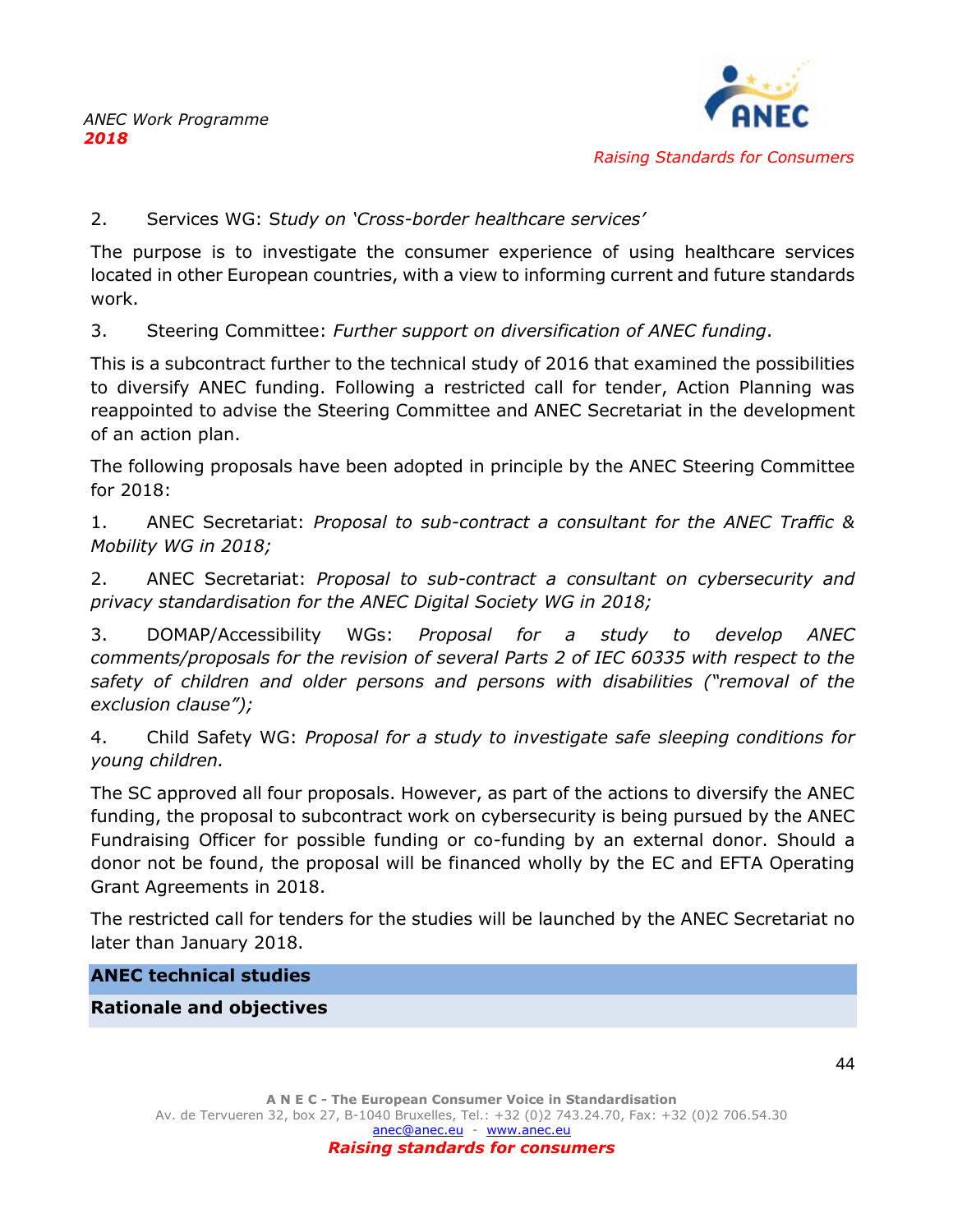

#### 2. Services WG: S*tudy on 'Cross-border healthcare services'*

The purpose is to investigate the consumer experience of using healthcare services located in other European countries, with a view to informing current and future standards work.

3. Steering Committee: *Further support on diversification of ANEC funding*.

This is a subcontract further to the technical study of 2016 that examined the possibilities to diversify ANEC funding. Following a restricted call for tender, Action Planning was reappointed to advise the Steering Committee and ANEC Secretariat in the development of an action plan.

The following proposals have been adopted in principle by the ANEC Steering Committee for 2018:

1. ANEC Secretariat: *Proposal to sub-contract a consultant for the ANEC Traffic & Mobility WG in 2018;*

2. ANEC Secretariat: *Proposal to sub-contract a consultant on cybersecurity and privacy standardisation for the ANEC Digital Society WG in 2018;* 

3. DOMAP/Accessibility WGs: *Proposal for a study to develop ANEC comments/proposals for the revision of several Parts 2 of IEC 60335 with respect to the safety of children and older persons and persons with disabilities ("removal of the exclusion clause");*

4. Child Safety WG: *Proposal for a study to investigate safe sleeping conditions for young children.*

The SC approved all four proposals. However, as part of the actions to diversify the ANEC funding, the proposal to subcontract work on cybersecurity is being pursued by the ANEC Fundraising Officer for possible funding or co-funding by an external donor. Should a donor not be found, the proposal will be financed wholly by the EC and EFTA Operating Grant Agreements in 2018.

The restricted call for tenders for the studies will be launched by the ANEC Secretariat no later than January 2018.

**ANEC technical studies**

**Rationale and objectives**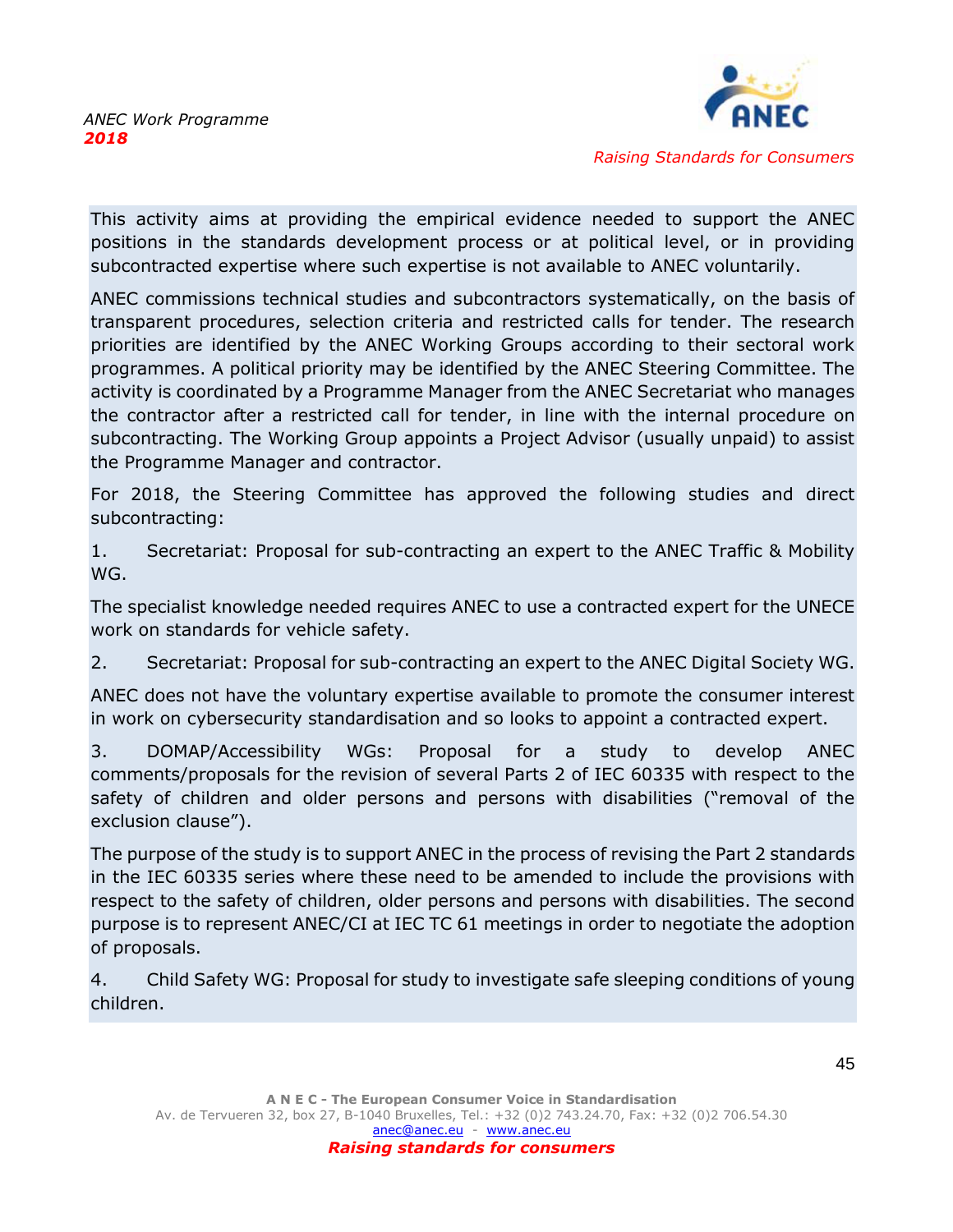

This activity aims at providing the empirical evidence needed to support the ANEC positions in the standards development process or at political level, or in providing subcontracted expertise where such expertise is not available to ANEC voluntarily.

ANEC commissions technical studies and subcontractors systematically, on the basis of transparent procedures, selection criteria and restricted calls for tender. The research priorities are identified by the ANEC Working Groups according to their sectoral work programmes. A political priority may be identified by the ANEC Steering Committee. The activity is coordinated by a Programme Manager from the ANEC Secretariat who manages the contractor after a restricted call for tender, in line with the internal procedure on subcontracting. The Working Group appoints a Project Advisor (usually unpaid) to assist the Programme Manager and contractor.

For 2018, the Steering Committee has approved the following studies and direct subcontracting:

1. Secretariat: Proposal for sub-contracting an expert to the ANEC Traffic & Mobility WG.

The specialist knowledge needed requires ANEC to use a contracted expert for the UNECE work on standards for vehicle safety.

2. Secretariat: Proposal for sub-contracting an expert to the ANEC Digital Society WG.

ANEC does not have the voluntary expertise available to promote the consumer interest in work on cybersecurity standardisation and so looks to appoint a contracted expert.

3. DOMAP/Accessibility WGs: Proposal for a study to develop ANEC comments/proposals for the revision of several Parts 2 of IEC 60335 with respect to the safety of children and older persons and persons with disabilities ("removal of the exclusion clause").

The purpose of the study is to support ANEC in the process of revising the Part 2 standards in the IEC 60335 series where these need to be amended to include the provisions with respect to the safety of children, older persons and persons with disabilities. The second purpose is to represent ANEC/CI at IEC TC 61 meetings in order to negotiate the adoption of proposals.

4. Child Safety WG: Proposal for study to investigate safe sleeping conditions of young children.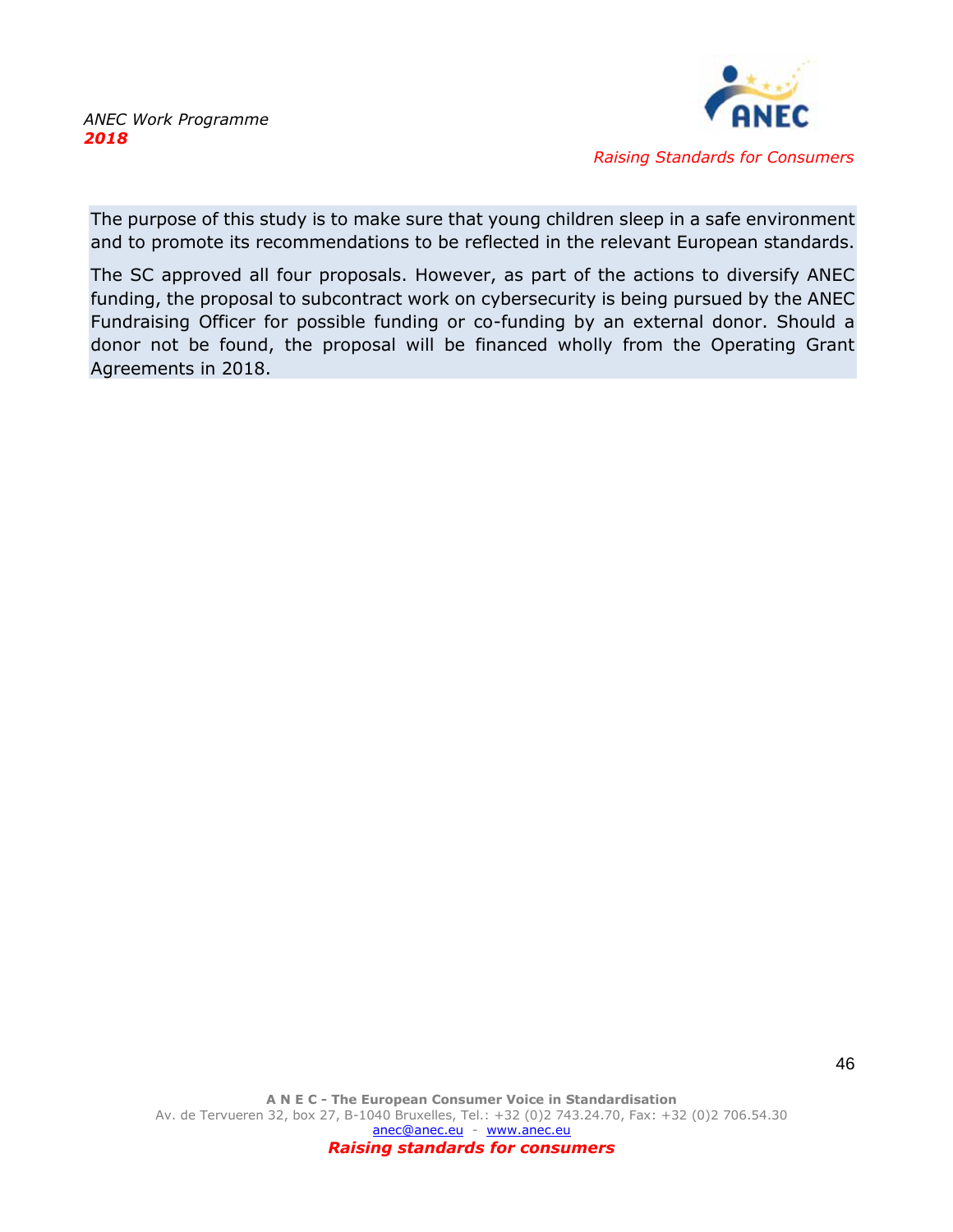

The purpose of this study is to make sure that young children sleep in a safe environment and to promote its recommendations to be reflected in the relevant European standards.

The SC approved all four proposals. However, as part of the actions to diversify ANEC funding, the proposal to subcontract work on cybersecurity is being pursued by the ANEC Fundraising Officer for possible funding or co-funding by an external donor. Should a donor not be found, the proposal will be financed wholly from the Operating Grant Agreements in 2018.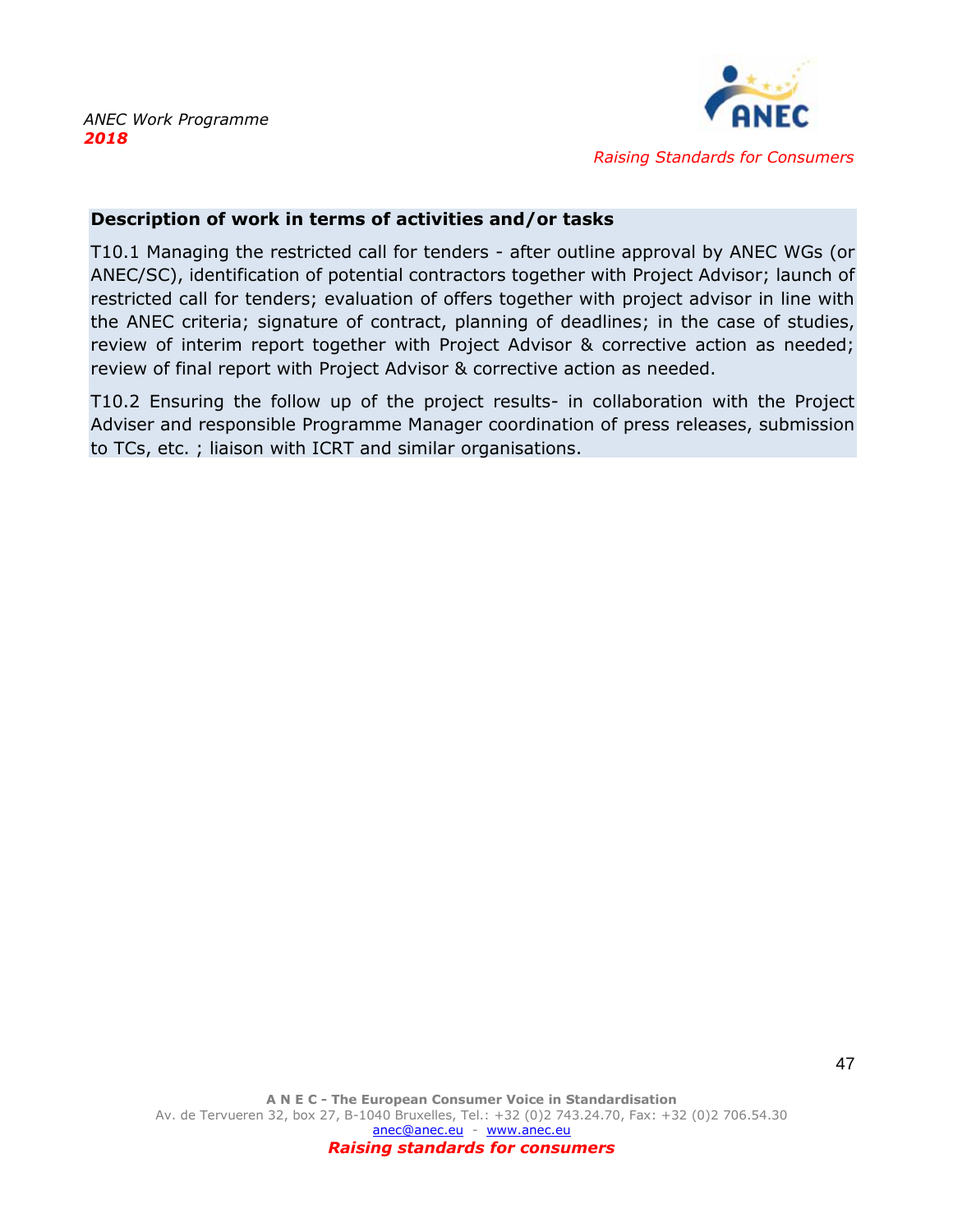

### **Description of work in terms of activities and/or tasks**

T10.1 Managing the restricted call for tenders - after outline approval by ANEC WGs (or ANEC/SC), identification of potential contractors together with Project Advisor; launch of restricted call for tenders; evaluation of offers together with project advisor in line with the ANEC criteria; signature of contract, planning of deadlines; in the case of studies, review of interim report together with Project Advisor & corrective action as needed; review of final report with Project Advisor & corrective action as needed.

T10.2 Ensuring the follow up of the project results- in collaboration with the Project Adviser and responsible Programme Manager coordination of press releases, submission to TCs, etc. ; liaison with ICRT and similar organisations.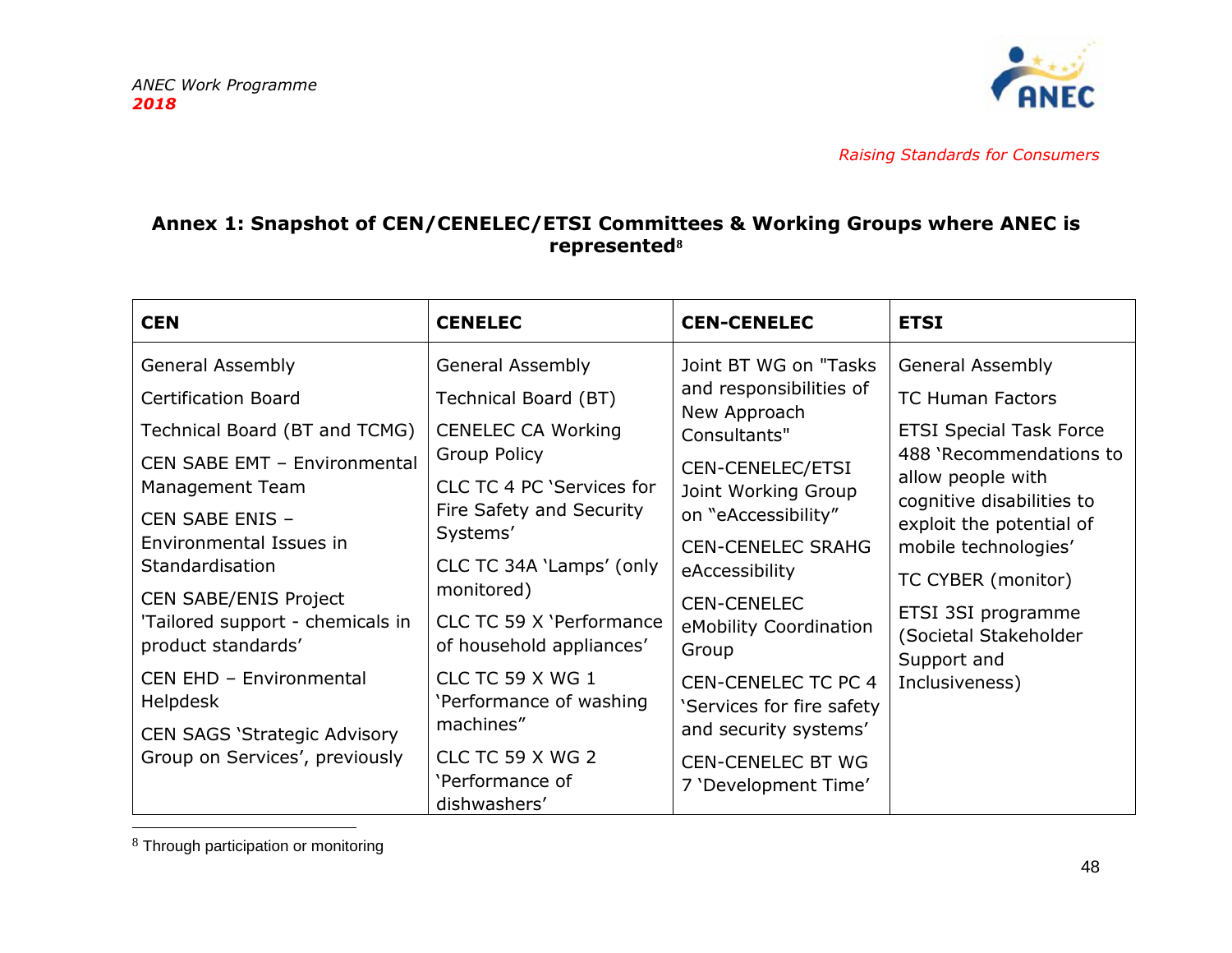

# **Annex 1: Snapshot of CEN/CENELEC/ETSI Committees & Working Groups where ANEC is represented<sup>8</sup>**

<span id="page-48-0"></span>

| <b>CEN</b>                                                                                                                                                                                                                                                                                                                                  | <b>CENELEC</b>                                                                                                                                                                                                                                                                                                            | <b>CEN-CENELEC</b>                                                                                                                                                                                                                                                                                                   | <b>ETSI</b>                                                                                                                                                                                                                                                                                                                 |
|---------------------------------------------------------------------------------------------------------------------------------------------------------------------------------------------------------------------------------------------------------------------------------------------------------------------------------------------|---------------------------------------------------------------------------------------------------------------------------------------------------------------------------------------------------------------------------------------------------------------------------------------------------------------------------|----------------------------------------------------------------------------------------------------------------------------------------------------------------------------------------------------------------------------------------------------------------------------------------------------------------------|-----------------------------------------------------------------------------------------------------------------------------------------------------------------------------------------------------------------------------------------------------------------------------------------------------------------------------|
| <b>General Assembly</b><br><b>Certification Board</b><br>Technical Board (BT and TCMG)<br>CEN SABE EMT - Environmental<br>Management Team<br>CEN SABE ENIS -<br>Environmental Issues in<br>Standardisation<br><b>CEN SABE/ENIS Project</b><br>'Tailored support - chemicals in<br>product standards'<br>CEN EHD - Environmental<br>Helpdesk | <b>General Assembly</b><br>Technical Board (BT)<br><b>CENELEC CA Working</b><br><b>Group Policy</b><br>CLC TC 4 PC 'Services for<br>Fire Safety and Security<br>Systems'<br>CLC TC 34A 'Lamps' (only<br>monitored)<br>CLC TC 59 X 'Performance<br>of household appliances'<br>CLC TC 59 X WG 1<br>'Performance of washing | Joint BT WG on "Tasks<br>and responsibilities of<br>New Approach<br>Consultants"<br>CEN-CENELEC/ETSI<br>Joint Working Group<br>on "eAccessibility"<br><b>CEN-CENELEC SRAHG</b><br>eAccessibility<br><b>CEN-CENELEC</b><br>eMobility Coordination<br>Group<br><b>CEN-CENELEC TC PC 4</b><br>'Services for fire safety | <b>General Assembly</b><br><b>TC Human Factors</b><br><b>ETSI Special Task Force</b><br>488 'Recommendations to<br>allow people with<br>cognitive disabilities to<br>exploit the potential of<br>mobile technologies'<br>TC CYBER (monitor)<br>ETSI 3SI programme<br>(Societal Stakeholder<br>Support and<br>Inclusiveness) |
| <b>CEN SAGS 'Strategic Advisory</b><br>Group on Services', previously                                                                                                                                                                                                                                                                       | machines"<br>CLC TC 59 X WG 2<br>'Performance of<br>dishwashers'                                                                                                                                                                                                                                                          | and security systems'<br><b>CEN-CENELEC BT WG</b><br>7 'Development Time'                                                                                                                                                                                                                                            |                                                                                                                                                                                                                                                                                                                             |

<sup>8</sup> Through participation or monitoring

-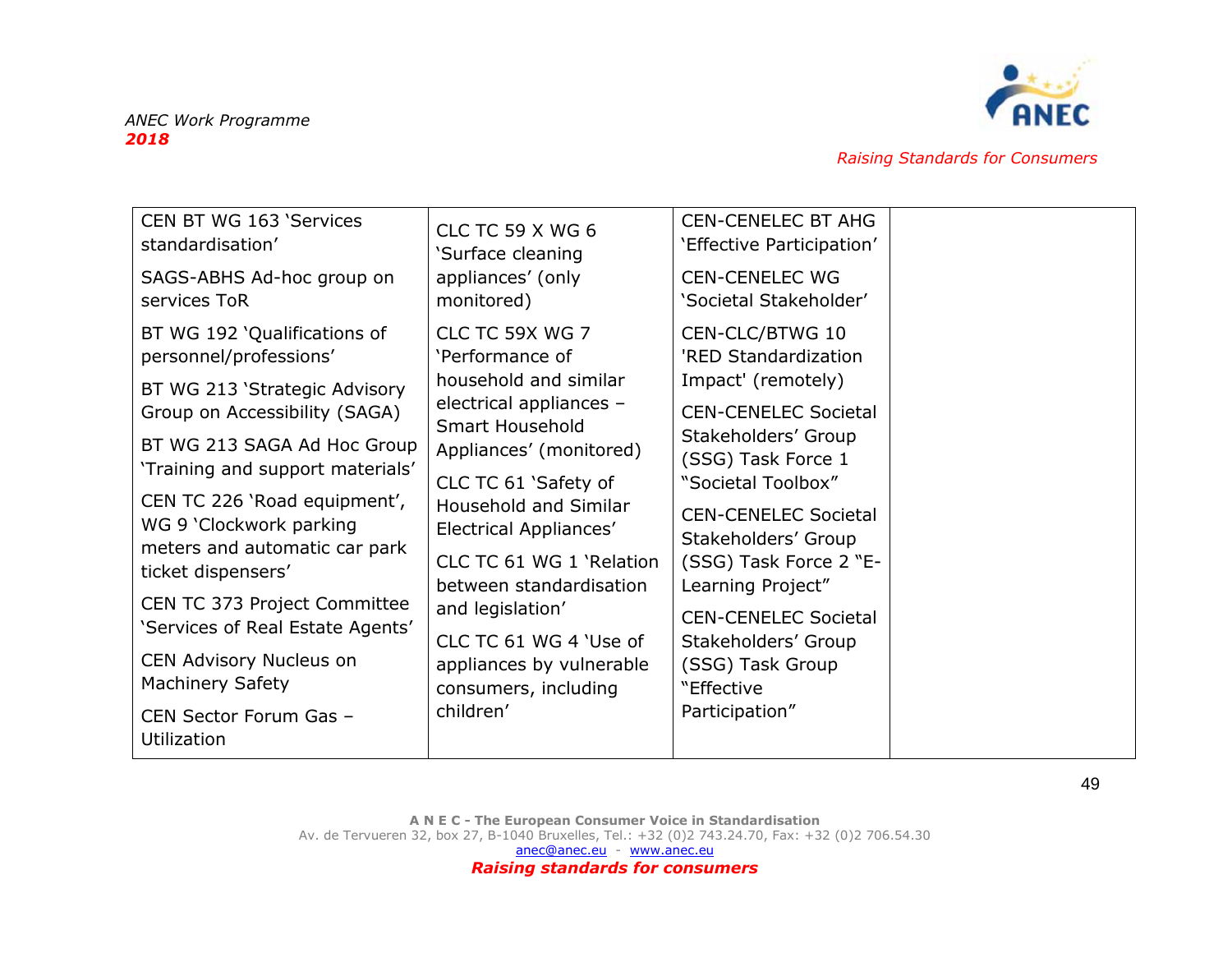

| CEN BT WG 163 'Services<br>standardisation'<br>SAGS-ABHS Ad-hoc group on<br>services ToR | <b>CLC TC 59 X WG 6</b><br>'Surface cleaning<br>appliances' (only<br>monitored) | <b>CEN-CENELEC BT AHG</b><br>'Effective Participation'<br><b>CEN-CENELEC WG</b><br>'Societal Stakeholder' |  |
|------------------------------------------------------------------------------------------|---------------------------------------------------------------------------------|-----------------------------------------------------------------------------------------------------------|--|
| BT WG 192 'Qualifications of<br>personnel/professions'                                   | CLC TC 59X WG 7<br>'Performance of                                              | CEN-CLC/BTWG 10<br>'RED Standardization                                                                   |  |
| BT WG 213 'Strategic Advisory<br>Group on Accessibility (SAGA)                           | household and similar<br>electrical appliances -<br>Smart Household             | Impact' (remotely)<br><b>CEN-CENELEC Societal</b>                                                         |  |
| BT WG 213 SAGA Ad Hoc Group<br>'Training and support materials'                          | Appliances' (monitored)<br>CLC TC 61 'Safety of                                 | Stakeholders' Group<br>(SSG) Task Force 1<br>"Societal Toolbox"                                           |  |
| CEN TC 226 'Road equipment',<br>WG 9 'Clockwork parking<br>meters and automatic car park | Household and Similar<br>Electrical Appliances'<br>CLC TC 61 WG 1 'Relation     | <b>CEN-CENELEC Societal</b><br>Stakeholders' Group<br>(SSG) Task Force 2 "E-                              |  |
| ticket dispensers'<br>CEN TC 373 Project Committee<br>'Services of Real Estate Agents'   | between standardisation<br>and legislation'<br>CLC TC 61 WG 4 'Use of           | Learning Project"<br><b>CEN-CENELEC Societal</b>                                                          |  |
| CEN Advisory Nucleus on<br><b>Machinery Safety</b>                                       | appliances by vulnerable<br>consumers, including                                | Stakeholders' Group<br>(SSG) Task Group<br>"Effective                                                     |  |
| CEN Sector Forum Gas -<br>Utilization                                                    | children'                                                                       | Participation"                                                                                            |  |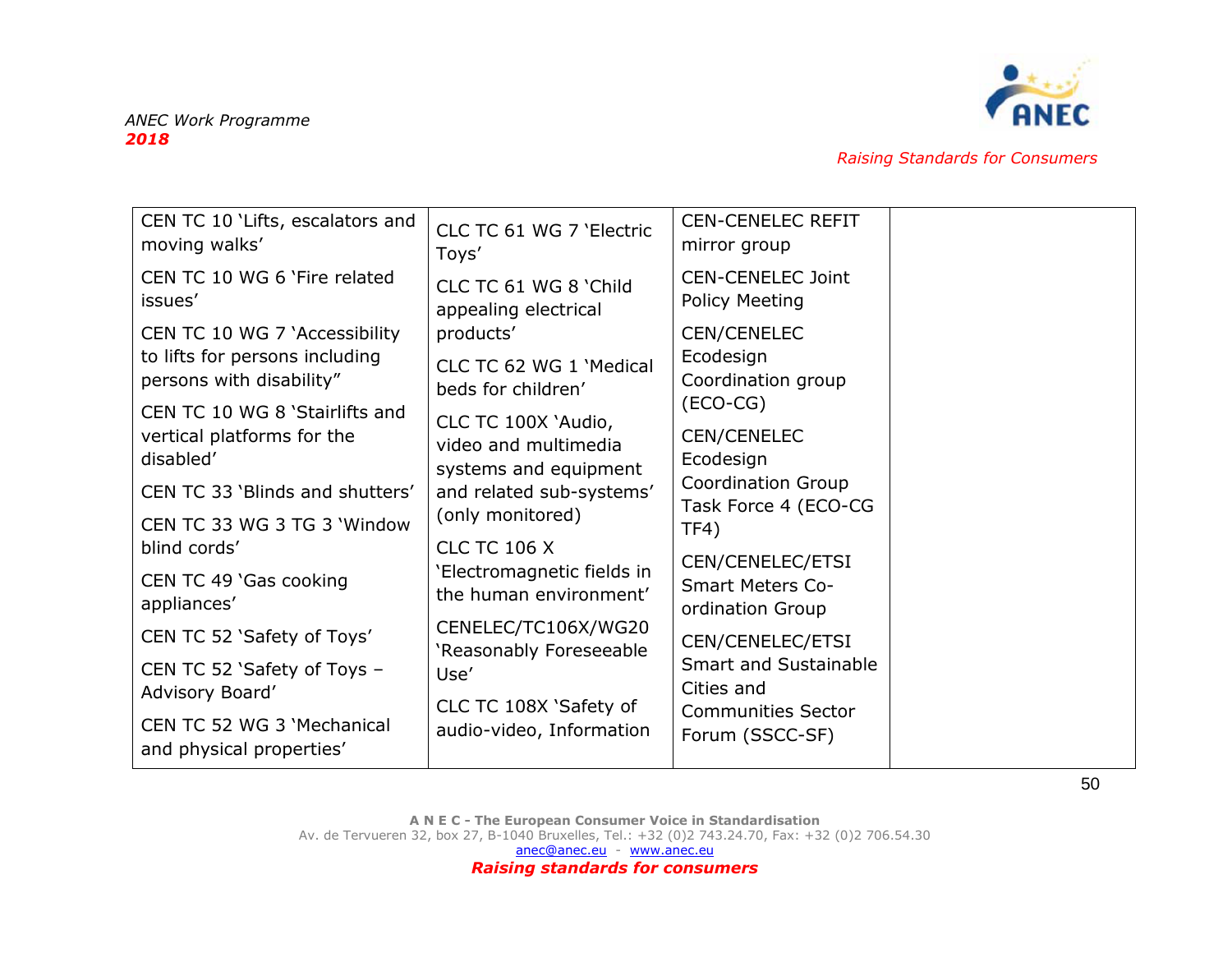

| CEN TC 10 'Lifts, escalators and      | CLC TC 61 WG 7 'Electric   | <b>CEN-CENELEC REFIT</b>                    |  |
|---------------------------------------|----------------------------|---------------------------------------------|--|
| moving walks'                         | Toys'                      | mirror group                                |  |
| CEN TC 10 WG 6 'Fire related          | CLC TC 61 WG 8 'Child      | <b>CEN-CENELEC Joint</b>                    |  |
| issues'                               | appealing electrical       | <b>Policy Meeting</b>                       |  |
| CEN TC 10 WG 7 'Accessibility         | products'                  | <b>CEN/CENELEC</b>                          |  |
| to lifts for persons including        | CLC TC 62 WG 1 'Medical    | Ecodesign                                   |  |
| persons with disability"              | beds for children'         | Coordination group                          |  |
| CEN TC 10 WG 8 'Stairlifts and        | CLC TC 100X 'Audio,        | $(ECO-CG)$                                  |  |
| vertical platforms for the            | video and multimedia       | <b>CEN/CENELEC</b>                          |  |
| disabled'                             | systems and equipment      | Ecodesign                                   |  |
| CEN TC 33 'Blinds and shutters'       | and related sub-systems'   | <b>Coordination Group</b>                   |  |
| CEN TC 33 WG 3 TG 3 'Window           | (only monitored)           | Task Force 4 (ECO-CG                        |  |
| blind cords'                          | <b>CLC TC 106 X</b>        | TF4)                                        |  |
|                                       | 'Electromagnetic fields in | CEN/CENELEC/ETSI                            |  |
| CEN TC 49 'Gas cooking<br>appliances' | the human environment'     | <b>Smart Meters Co-</b><br>ordination Group |  |
| CEN TC 52 'Safety of Toys'            | CENELEC/TC106X/WG20        | CEN/CENELEC/ETSI                            |  |
| CEN TC 52 'Safety of Toys -           | 'Reasonably Foreseeable    | <b>Smart and Sustainable</b>                |  |
| Advisory Board'                       | Use'                       | Cities and                                  |  |
| CEN TC 52 WG 3 'Mechanical            | CLC TC 108X 'Safety of     | <b>Communities Sector</b>                   |  |
| and physical properties'              | audio-video, Information   | Forum (SSCC-SF)                             |  |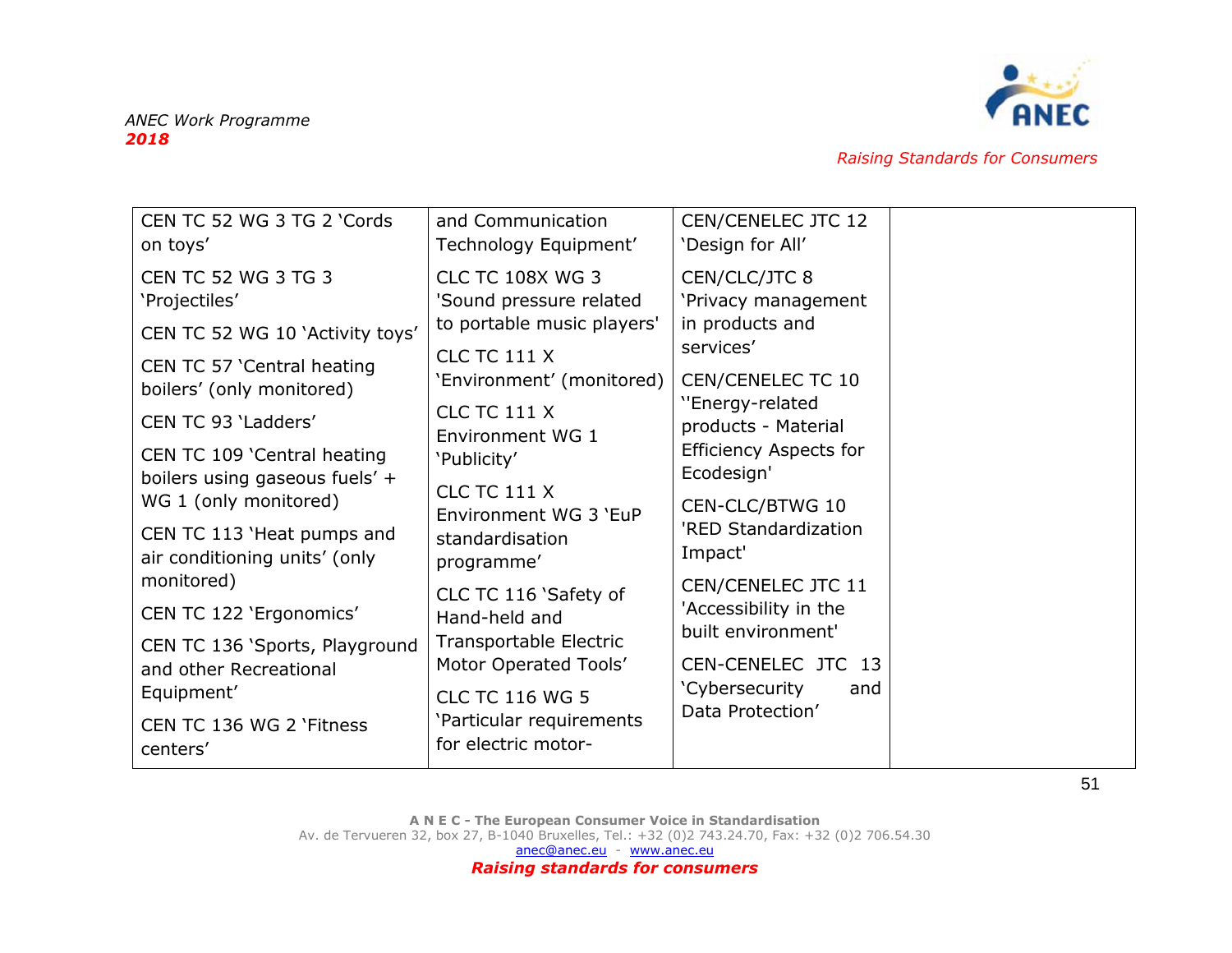

| CEN TC 52 WG 3 TG 2 'Cords<br>on toys'                        | and Communication<br>Technology Equipment'         | <b>CEN/CENELEC JTC 12</b><br>'Design for All' |  |
|---------------------------------------------------------------|----------------------------------------------------|-----------------------------------------------|--|
| <b>CEN TC 52 WG 3 TG 3</b><br>'Projectiles'                   | <b>CLC TC 108X WG 3</b><br>'Sound pressure related | CEN/CLC/JTC 8<br>'Privacy management          |  |
| CEN TC 52 WG 10 'Activity toys'                               | to portable music players'                         | in products and<br>services'                  |  |
| CEN TC 57 'Central heating<br>boilers' (only monitored)       | <b>CLC TC 111 X</b><br>'Environment' (monitored)   | CEN/CENELEC TC 10                             |  |
| CEN TC 93 'Ladders'                                           | <b>CLC TC 111 X</b><br>Environment WG 1            | "Energy-related<br>products - Material        |  |
| CEN TC 109 'Central heating<br>boilers using gaseous fuels' + | 'Publicity'<br><b>CLC TC 111 X</b>                 | <b>Efficiency Aspects for</b><br>Ecodesign'   |  |
| WG 1 (only monitored)                                         | Environment WG 3 'EuP                              | CEN-CLC/BTWG 10                               |  |
| CEN TC 113 'Heat pumps and<br>air conditioning units' (only   | standardisation<br>programme'                      | 'RED Standardization<br>Impact'               |  |
| monitored)                                                    | CLC TC 116 'Safety of                              | CEN/CENELEC JTC 11<br>'Accessibility in the   |  |
| CEN TC 122 'Ergonomics'                                       | Hand-held and                                      | built environment'                            |  |
| CEN TC 136 'Sports, Playground<br>and other Recreational      | Transportable Electric<br>Motor Operated Tools'    | CEN-CENELEC JTC 13                            |  |
| Equipment'                                                    | <b>CLC TC 116 WG 5</b>                             | 'Cybersecurity<br>and<br>Data Protection'     |  |
| CEN TC 136 WG 2 'Fitness<br>centers'                          | 'Particular requirements<br>for electric motor-    |                                               |  |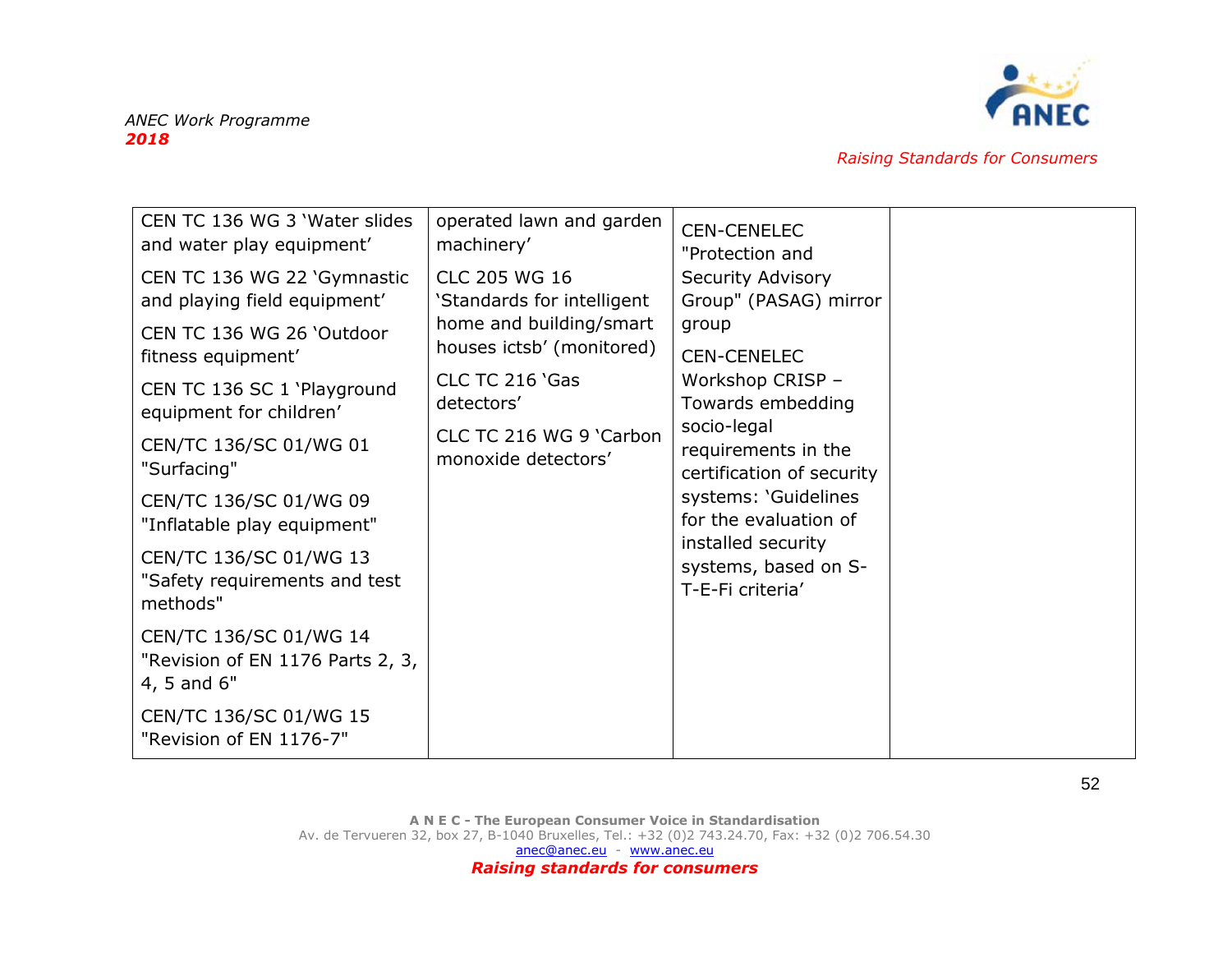

| CEN TC 136 WG 3 'Water slides<br>and water play equipment'<br>CEN TC 136 WG 22 'Gymnastic<br>and playing field equipment'<br>CEN TC 136 WG 26 'Outdoor<br>fitness equipment'<br>CEN TC 136 SC 1 'Playground<br>equipment for children'<br>CEN/TC 136/SC 01/WG 01<br>"Surfacing"<br>CEN/TC 136/SC 01/WG 09<br>"Inflatable play equipment"<br>CEN/TC 136/SC 01/WG 13<br>"Safety requirements and test<br>methods" | operated lawn and garden<br>machinery'<br>CLC 205 WG 16<br>'Standards for intelligent<br>home and building/smart<br>houses ictsb' (monitored)<br>CLC TC 216 'Gas<br>detectors'<br>CLC TC 216 WG 9 'Carbon<br>monoxide detectors' | <b>CEN-CENELEC</b><br>"Protection and<br>Security Advisory<br>Group" (PASAG) mirror<br>group<br><b>CEN-CENELEC</b><br>Workshop CRISP -<br>Towards embedding<br>socio-legal<br>requirements in the<br>certification of security<br>systems: 'Guidelines<br>for the evaluation of<br>installed security<br>systems, based on S-<br>T-E-Fi criteria' |  |
|-----------------------------------------------------------------------------------------------------------------------------------------------------------------------------------------------------------------------------------------------------------------------------------------------------------------------------------------------------------------------------------------------------------------|----------------------------------------------------------------------------------------------------------------------------------------------------------------------------------------------------------------------------------|---------------------------------------------------------------------------------------------------------------------------------------------------------------------------------------------------------------------------------------------------------------------------------------------------------------------------------------------------|--|
| CEN/TC 136/SC 01/WG 14<br>"Revision of EN 1176 Parts 2, 3,<br>4, 5 and 6"                                                                                                                                                                                                                                                                                                                                       |                                                                                                                                                                                                                                  |                                                                                                                                                                                                                                                                                                                                                   |  |
| CEN/TC 136/SC 01/WG 15<br>"Revision of EN 1176-7"                                                                                                                                                                                                                                                                                                                                                               |                                                                                                                                                                                                                                  |                                                                                                                                                                                                                                                                                                                                                   |  |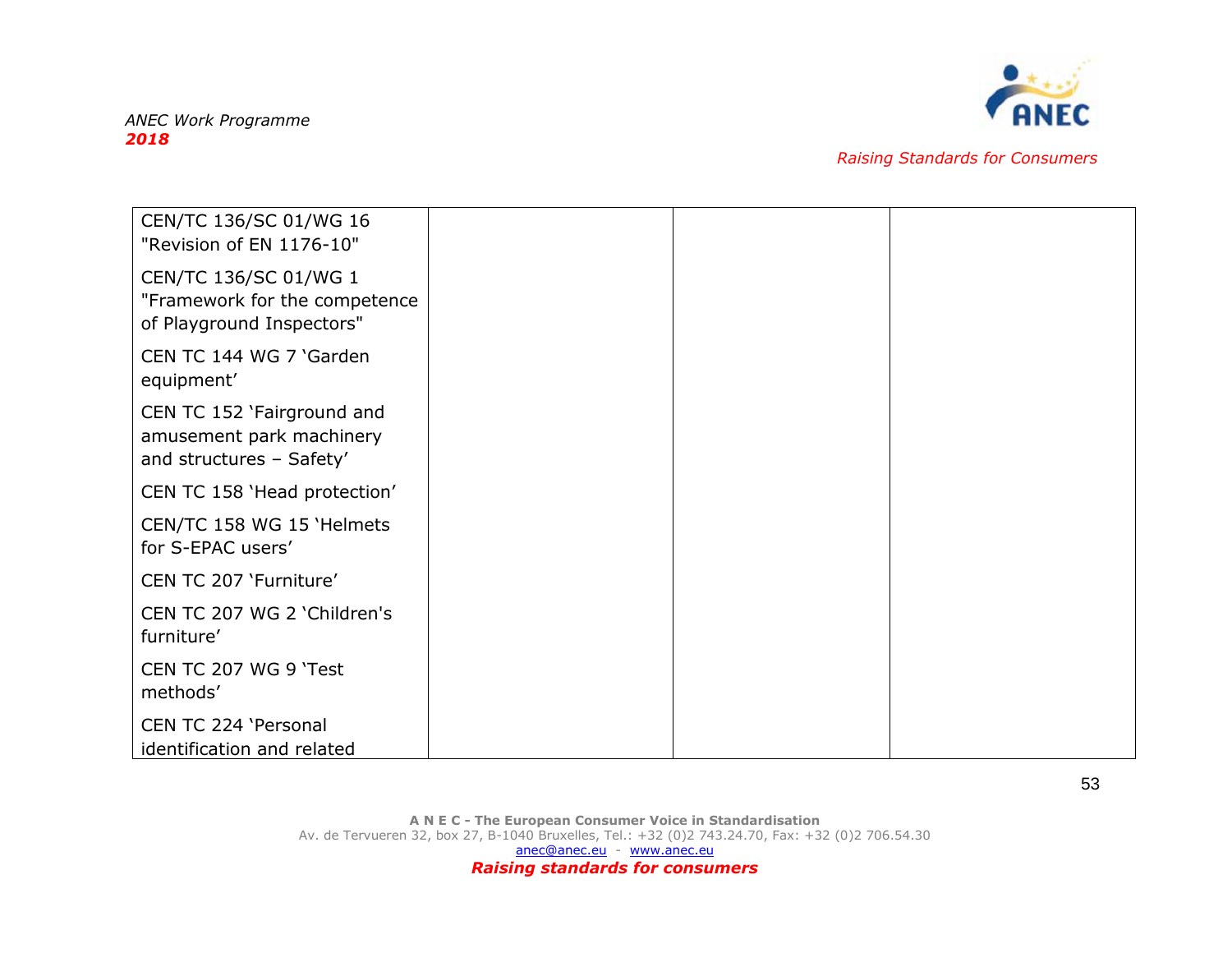

| CEN/TC 136/SC 01/WG 16<br>"Revision of EN 1176-10"                                  |
|-------------------------------------------------------------------------------------|
| CEN/TC 136/SC 01/WG 1<br>"Framework for the competence<br>of Playground Inspectors" |
| CEN TC 144 WG 7 'Garden<br>equipment'                                               |
| CEN TC 152 'Fairground and<br>amusement park machinery<br>and structures - Safety'  |
| CEN TC 158 'Head protection'                                                        |
| CEN/TC 158 WG 15 'Helmets<br>for S-EPAC users'                                      |
| CEN TC 207 'Furniture'                                                              |
| CEN TC 207 WG 2 'Children's<br>furniture'                                           |
| CEN TC 207 WG 9 'Test<br>methods'                                                   |
| CEN TC 224 'Personal<br>identification and related                                  |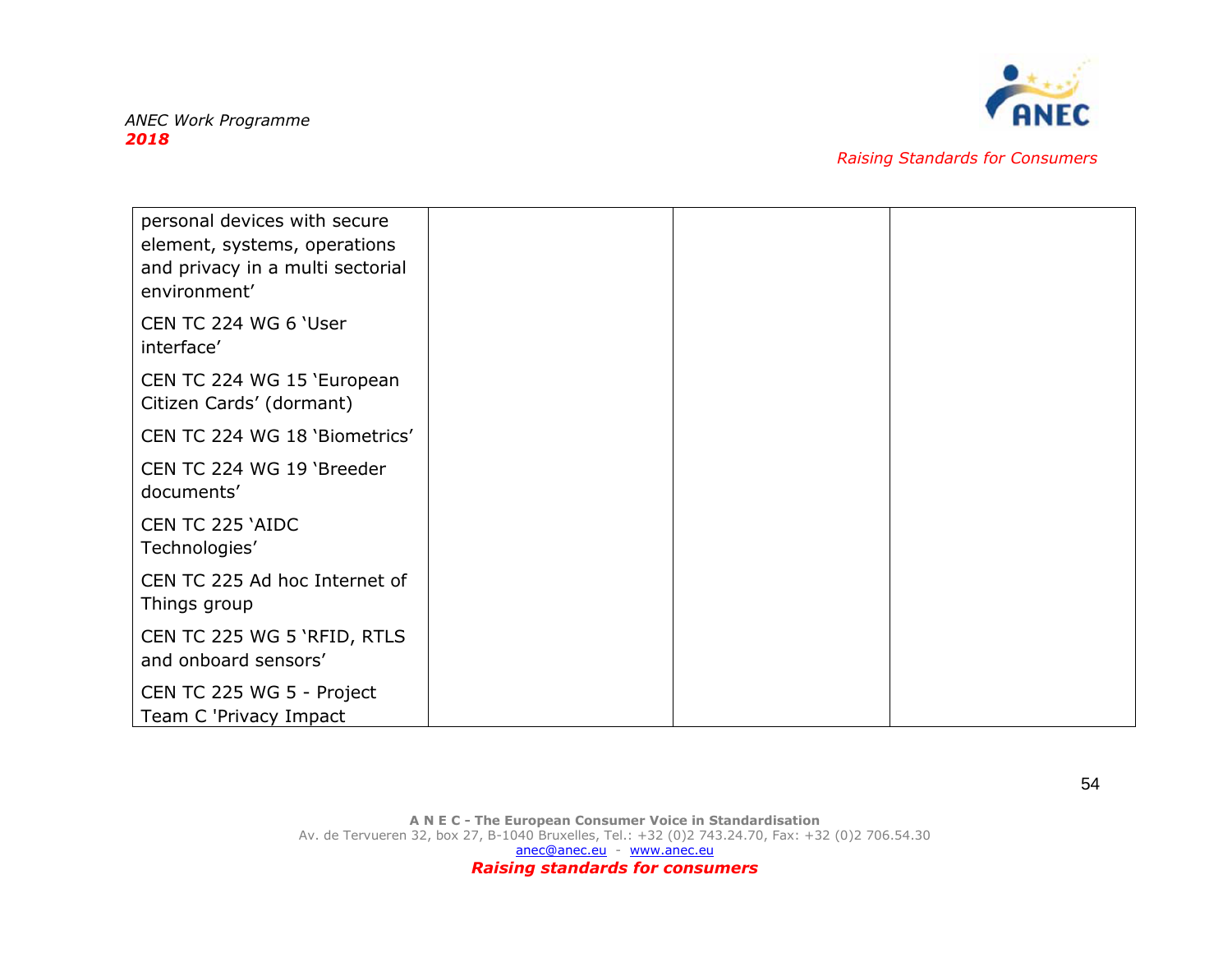

| personal devices with secure<br>element, systems, operations<br>and privacy in a multi sectorial<br>environment' |  |  |
|------------------------------------------------------------------------------------------------------------------|--|--|
| CEN TC 224 WG 6 'User<br>interface'                                                                              |  |  |
| CEN TC 224 WG 15 'European<br>Citizen Cards' (dormant)                                                           |  |  |
| CEN TC 224 WG 18 'Biometrics'                                                                                    |  |  |
| CEN TC 224 WG 19 'Breeder<br>documents'                                                                          |  |  |
| CEN TC 225 'AIDC<br>Technologies'                                                                                |  |  |
| CEN TC 225 Ad hoc Internet of<br>Things group                                                                    |  |  |
| CEN TC 225 WG 5 'RFID, RTLS<br>and onboard sensors'                                                              |  |  |
| CEN TC 225 WG 5 - Project<br>Team C 'Privacy Impact                                                              |  |  |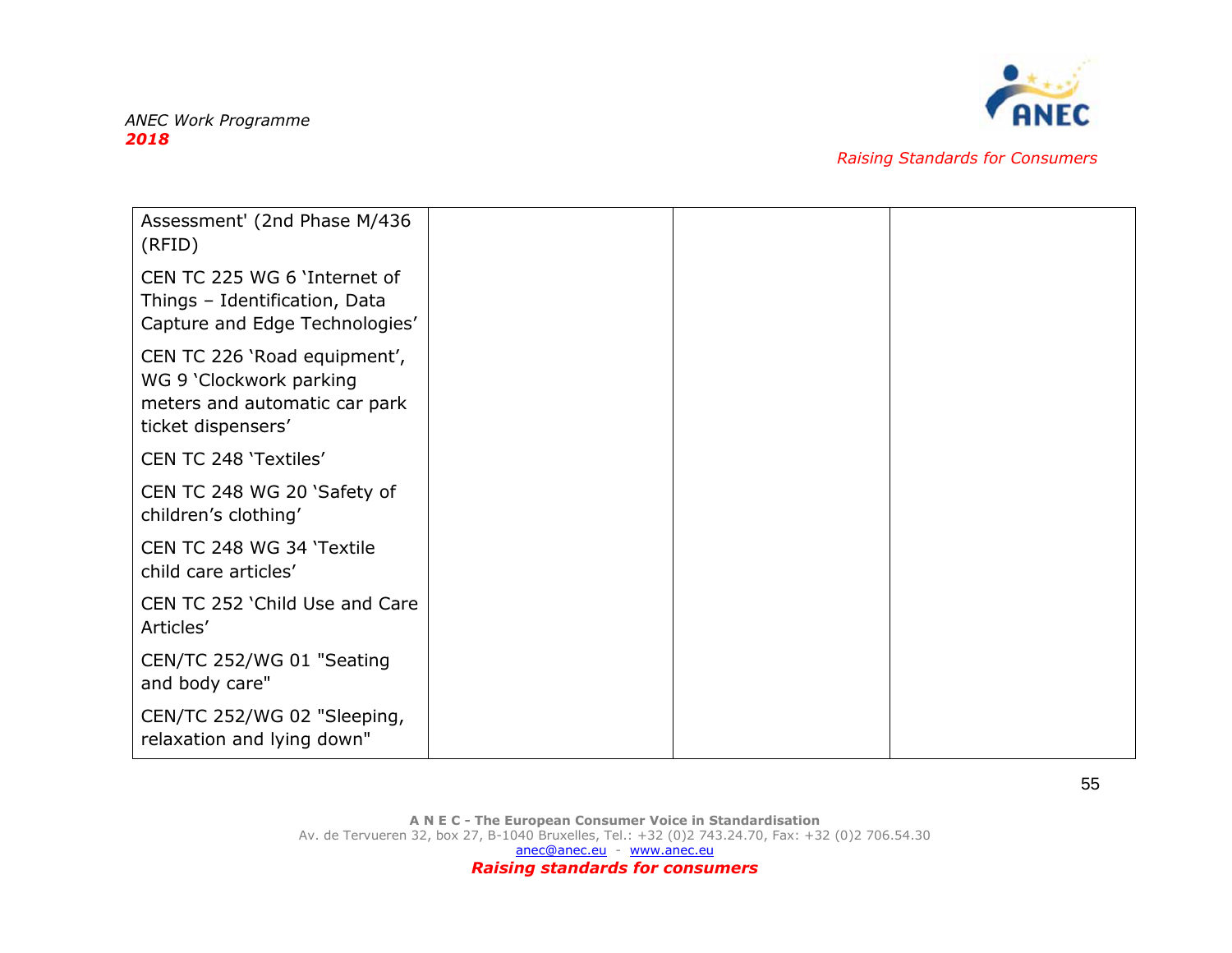

| Assessment' (2nd Phase M/436<br>(RFID)                                                                         |
|----------------------------------------------------------------------------------------------------------------|
| CEN TC 225 WG 6 'Internet of<br>Things - Identification, Data<br>Capture and Edge Technologies'                |
| CEN TC 226 'Road equipment',<br>WG 9 'Clockwork parking<br>meters and automatic car park<br>ticket dispensers' |
| CEN TC 248 'Textiles'                                                                                          |
| CEN TC 248 WG 20 'Safety of<br>children's clothing'                                                            |
| CEN TC 248 WG 34 'Textile<br>child care articles'                                                              |
| CEN TC 252 'Child Use and Care<br>Articles'                                                                    |
| CEN/TC 252/WG 01 "Seating<br>and body care"                                                                    |
| CEN/TC 252/WG 02 "Sleeping,<br>relaxation and lying down"                                                      |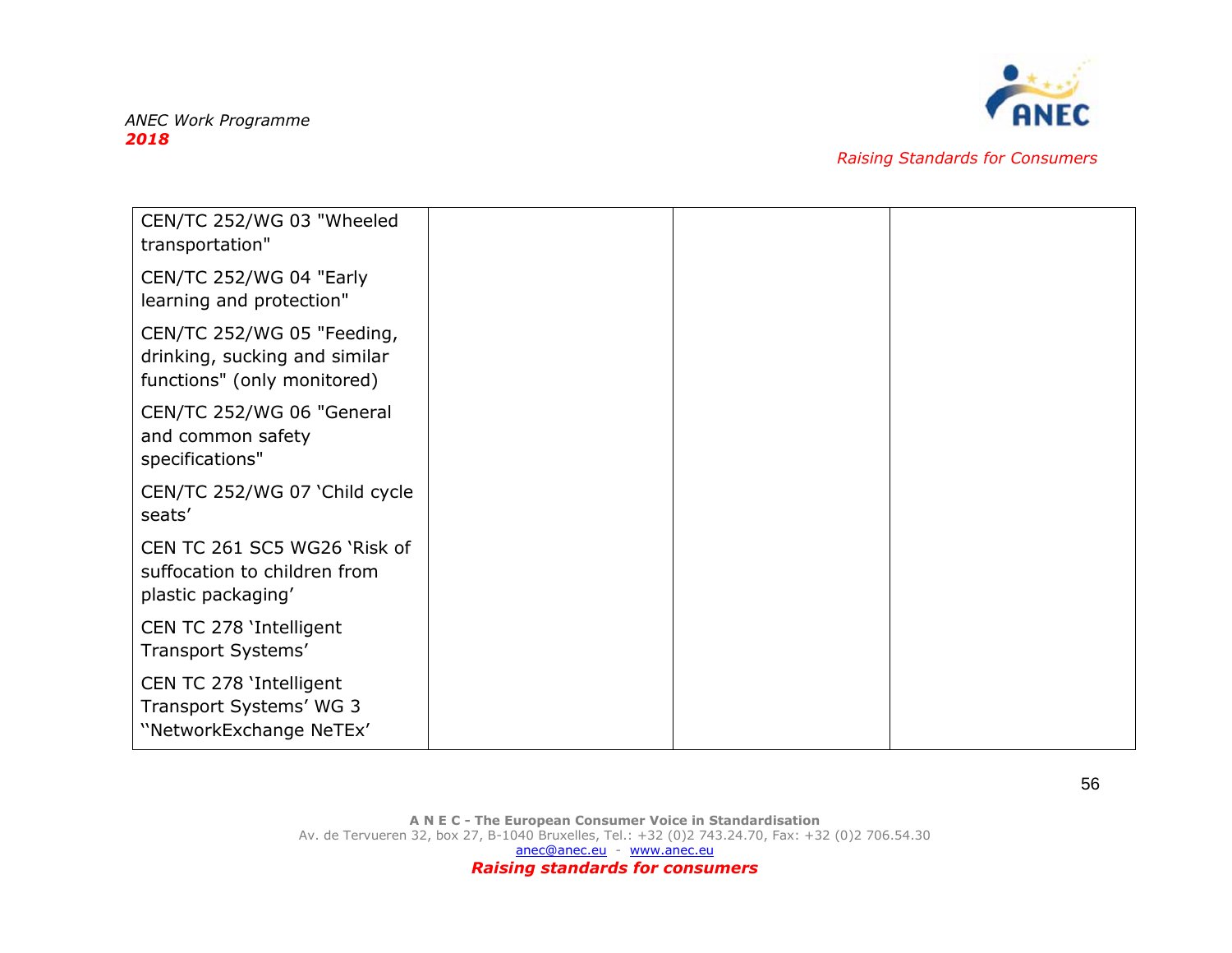

| CEN/TC 252/WG 03 "Wheeled<br>transportation"                                               |
|--------------------------------------------------------------------------------------------|
| CEN/TC 252/WG 04 "Early<br>learning and protection"                                        |
| CEN/TC 252/WG 05 "Feeding,<br>drinking, sucking and similar<br>functions" (only monitored) |
| CEN/TC 252/WG 06 "General<br>and common safety<br>specifications"                          |
| CEN/TC 252/WG 07 'Child cycle<br>seats'                                                    |
| CEN TC 261 SC5 WG26 'Risk of<br>suffocation to children from<br>plastic packaging'         |
| CEN TC 278 'Intelligent<br>Transport Systems'                                              |
| CEN TC 278 'Intelligent<br>Transport Systems' WG 3<br>"NetworkExchange NeTEx'              |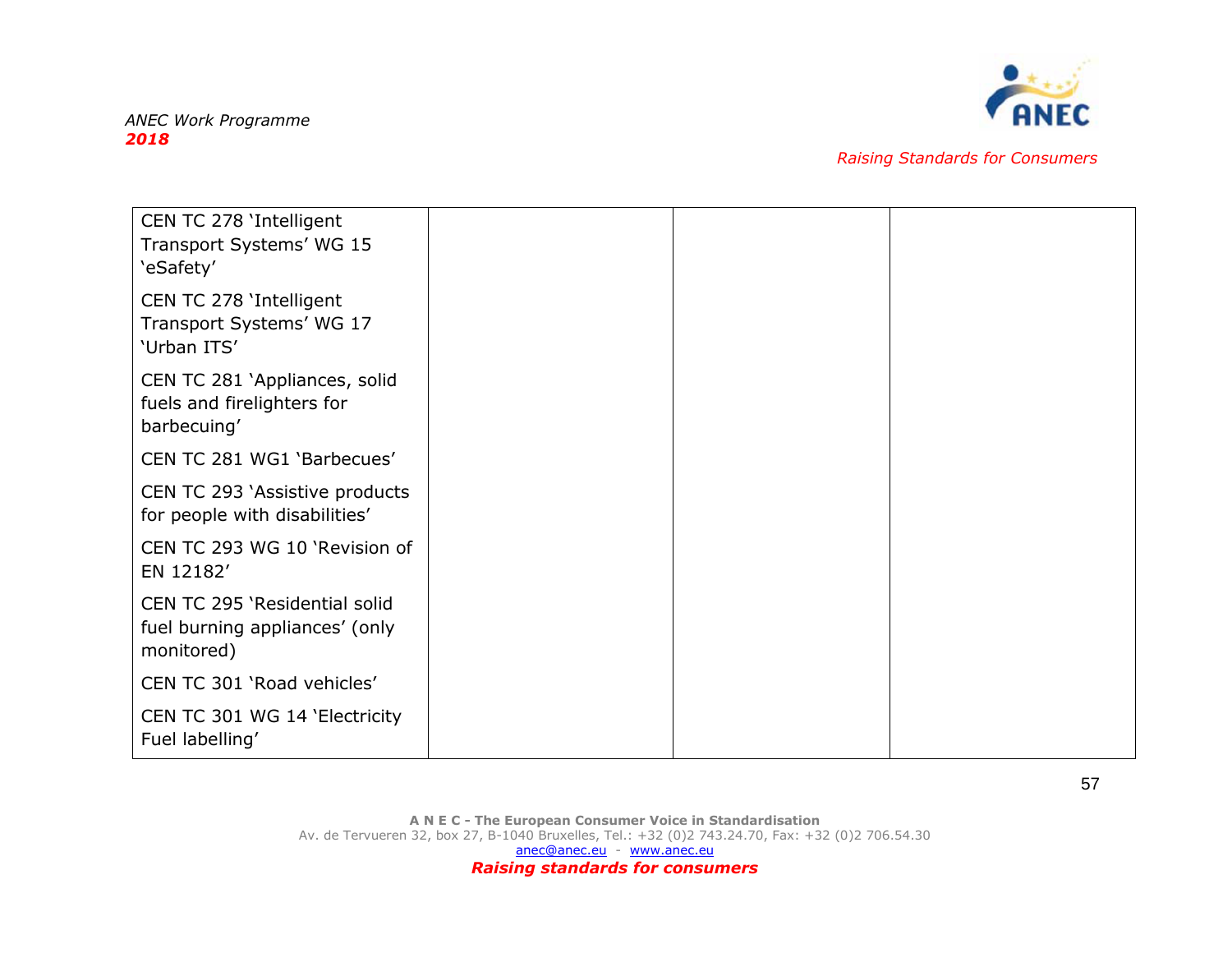

| CEN TC 278 'Intelligent<br>Transport Systems' WG 15<br>'eSafety'              |
|-------------------------------------------------------------------------------|
| CEN TC 278 'Intelligent<br>Transport Systems' WG 17<br>'Urban ITS'            |
| CEN TC 281 'Appliances, solid<br>fuels and firelighters for<br>barbecuing'    |
| CEN TC 281 WG1 'Barbecues'                                                    |
| CEN TC 293 'Assistive products<br>for people with disabilities'               |
| CEN TC 293 WG 10 'Revision of<br>EN 12182'                                    |
| CEN TC 295 'Residential solid<br>fuel burning appliances' (only<br>monitored) |
| CEN TC 301 'Road vehicles'                                                    |
| CEN TC 301 WG 14 'Electricity<br>Fuel labelling'                              |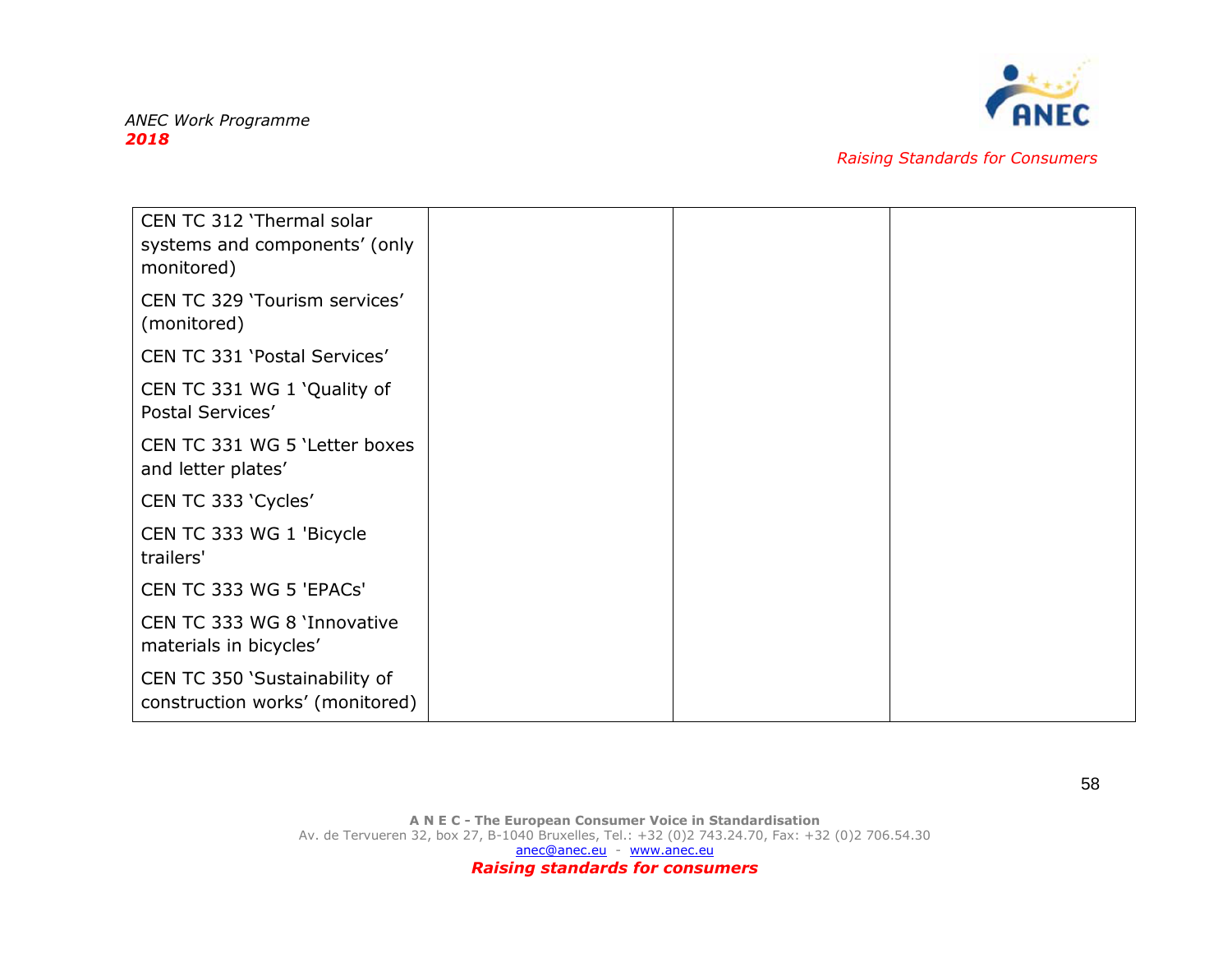

| CEN TC 312 'Thermal solar<br>systems and components' (only<br>monitored) |
|--------------------------------------------------------------------------|
| CEN TC 329 'Tourism services'<br>(monitored)                             |
| CEN TC 331 'Postal Services'                                             |
| CEN TC 331 WG 1 'Quality of<br>Postal Services'                          |
| CEN TC 331 WG 5 'Letter boxes<br>and letter plates'                      |
| CEN TC 333 'Cycles'                                                      |
| CEN TC 333 WG 1 'Bicycle<br>trailers'                                    |
| CEN TC 333 WG 5 'EPACs'                                                  |
| CEN TC 333 WG 8 'Innovative<br>materials in bicycles'                    |
| CEN TC 350 'Sustainability of<br>construction works' (monitored)         |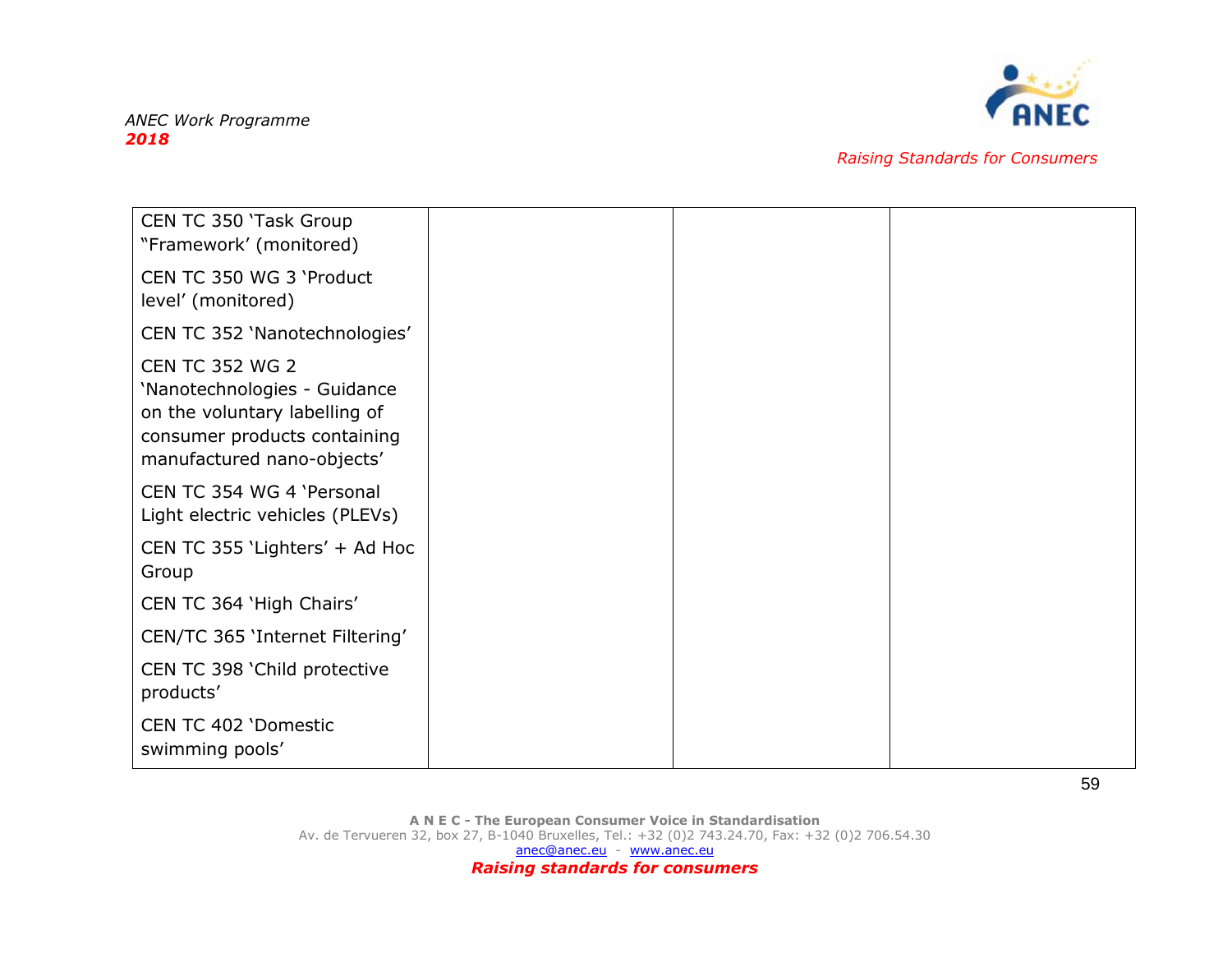

| CEN TC 350 'Task Group<br>"Framework' (monitored)                                                                                                     |
|-------------------------------------------------------------------------------------------------------------------------------------------------------|
| CEN TC 350 WG 3 'Product<br>level' (monitored)                                                                                                        |
| CEN TC 352 'Nanotechnologies'                                                                                                                         |
| <b>CEN TC 352 WG 2</b><br>'Nanotechnologies - Guidance<br>on the voluntary labelling of<br>consumer products containing<br>manufactured nano-objects' |
| CEN TC 354 WG 4 'Personal<br>Light electric vehicles (PLEVs)                                                                                          |
| CEN TC 355 'Lighters' + Ad Hoc<br>Group                                                                                                               |
| CEN TC 364 'High Chairs'                                                                                                                              |
| CEN/TC 365 'Internet Filtering'                                                                                                                       |
| CEN TC 398 'Child protective<br>products'                                                                                                             |
| CEN TC 402 'Domestic<br>swimming pools'                                                                                                               |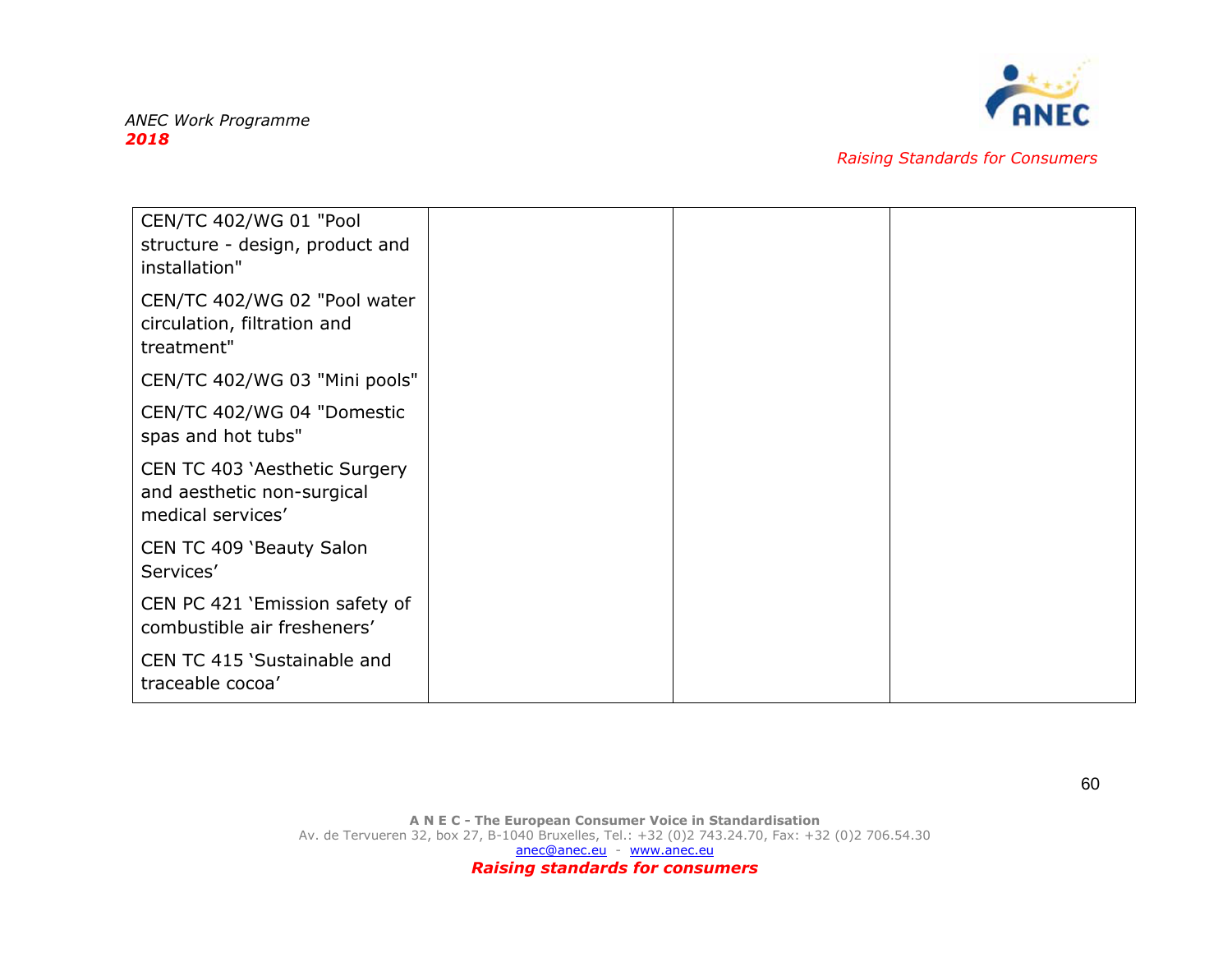

| CEN/TC 402/WG 01 "Pool<br>structure - design, product and<br>installation"       |
|----------------------------------------------------------------------------------|
| CEN/TC 402/WG 02 "Pool water<br>circulation, filtration and<br>treatment"        |
| CEN/TC 402/WG 03 "Mini pools"                                                    |
| CEN/TC 402/WG 04 "Domestic<br>spas and hot tubs"                                 |
| CEN TC 403 'Aesthetic Surgery<br>and aesthetic non-surgical<br>medical services' |
| CEN TC 409 'Beauty Salon<br>Services'                                            |
| CEN PC 421 'Emission safety of<br>combustible air fresheners'                    |
| CEN TC 415 'Sustainable and<br>traceable cocoa'                                  |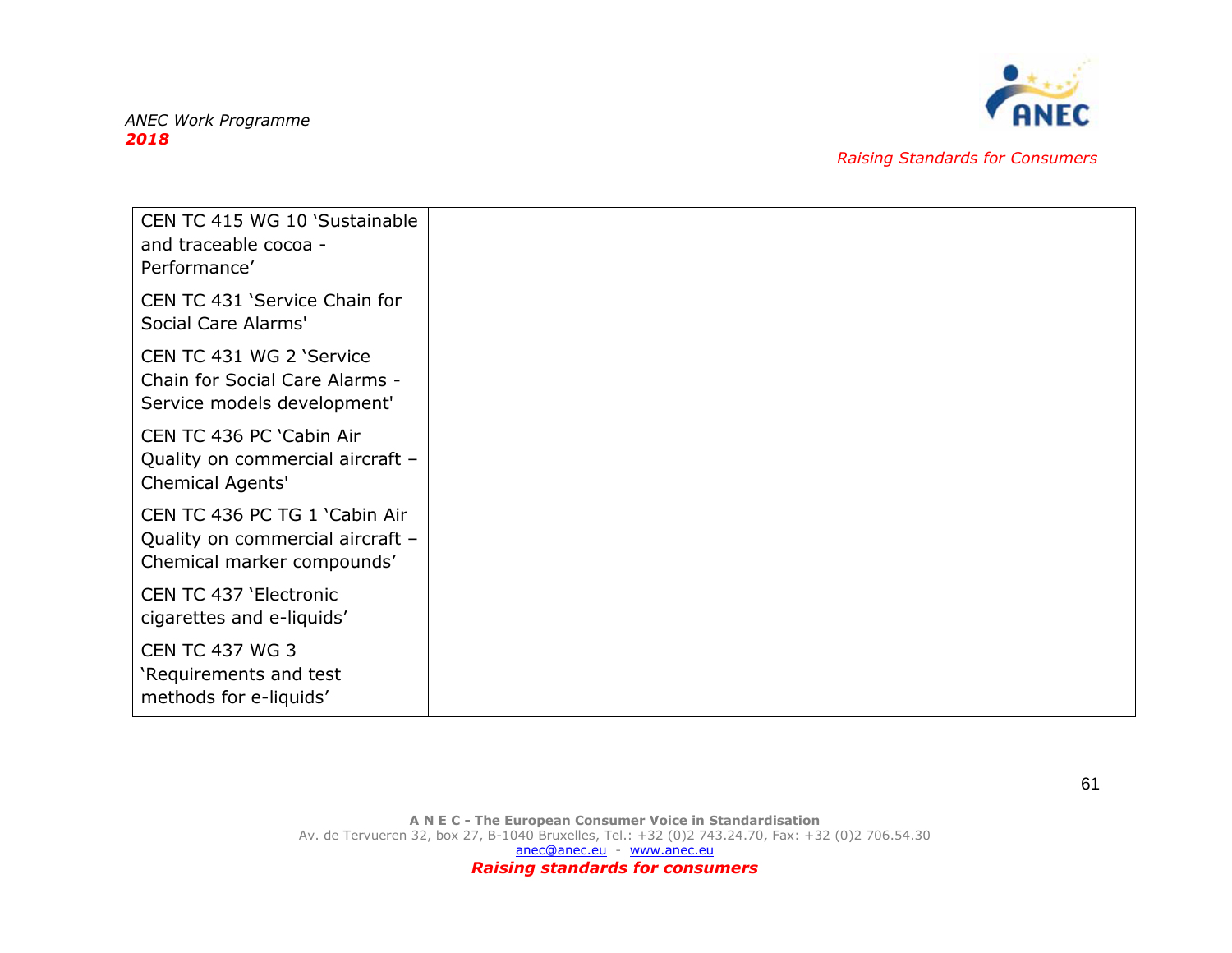

| CEN TC 415 WG 10 'Sustainable<br>and traceable cocoa -<br>Performance'                          |  |
|-------------------------------------------------------------------------------------------------|--|
| CEN TC 431 'Service Chain for<br>Social Care Alarms'                                            |  |
| CEN TC 431 WG 2 'Service<br>Chain for Social Care Alarms -<br>Service models development'       |  |
| CEN TC 436 PC 'Cabin Air<br>Quality on commercial aircraft -<br>Chemical Agents'                |  |
| CEN TC 436 PC TG 1 'Cabin Air<br>Quality on commercial aircraft -<br>Chemical marker compounds' |  |
| CEN TC 437 'Electronic<br>cigarettes and e-liquids'                                             |  |
| <b>CEN TC 437 WG 3</b><br>'Requirements and test<br>methods for e-liquids'                      |  |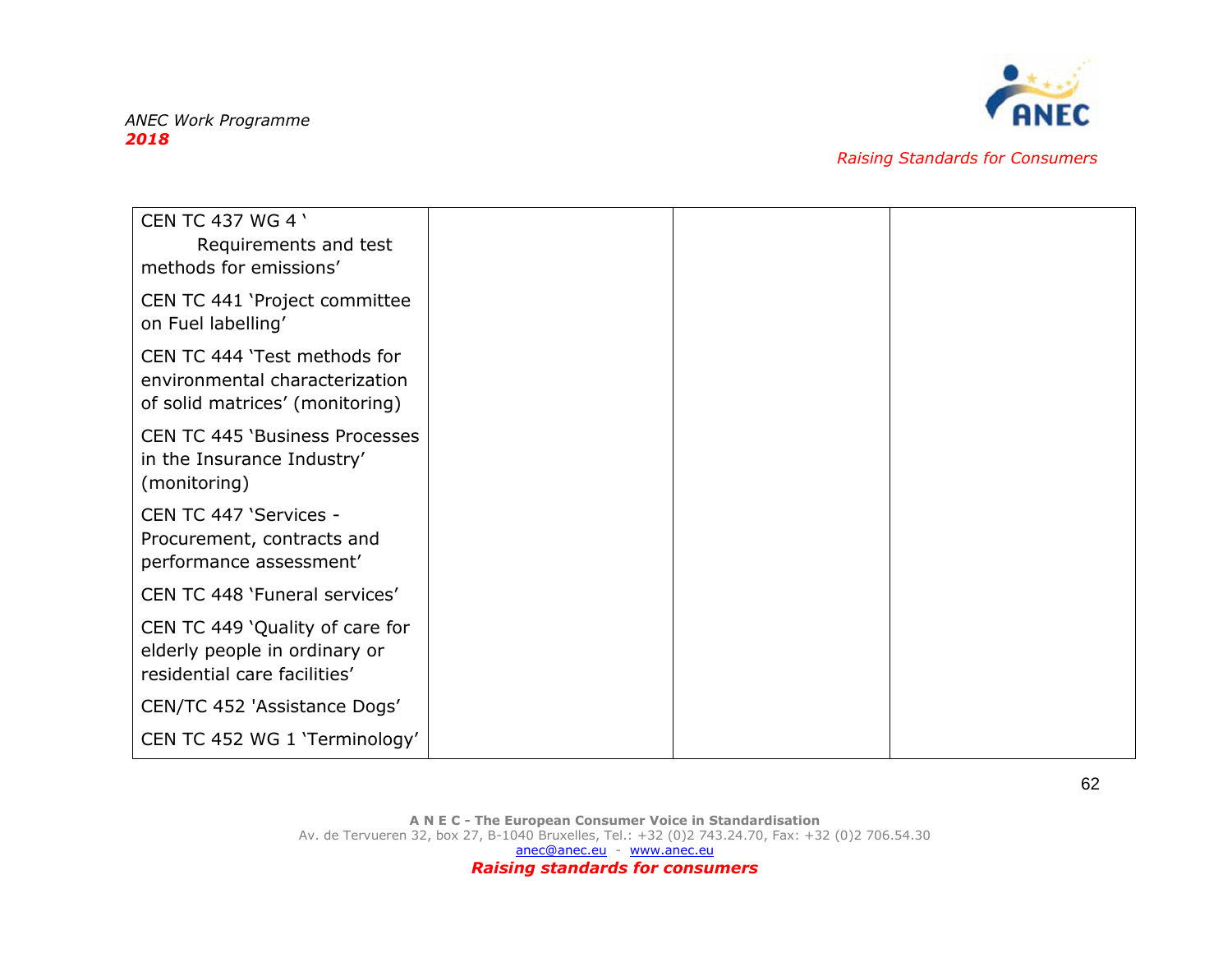

| <b>CEN TC 437 WG 4 '</b><br>Requirements and test<br>methods for emissions'                       |  |  |
|---------------------------------------------------------------------------------------------------|--|--|
| CEN TC 441 'Project committee<br>on Fuel labelling'                                               |  |  |
| CEN TC 444 'Test methods for<br>environmental characterization<br>of solid matrices' (monitoring) |  |  |
| <b>CEN TC 445 'Business Processes</b><br>in the Insurance Industry'<br>(monitoring)               |  |  |
| CEN TC 447 'Services -<br>Procurement, contracts and<br>performance assessment'                   |  |  |
| CEN TC 448 'Funeral services'                                                                     |  |  |
| CEN TC 449 'Quality of care for<br>elderly people in ordinary or<br>residential care facilities'  |  |  |
| CEN/TC 452 'Assistance Dogs'                                                                      |  |  |
| CEN TC 452 WG 1 'Terminology'                                                                     |  |  |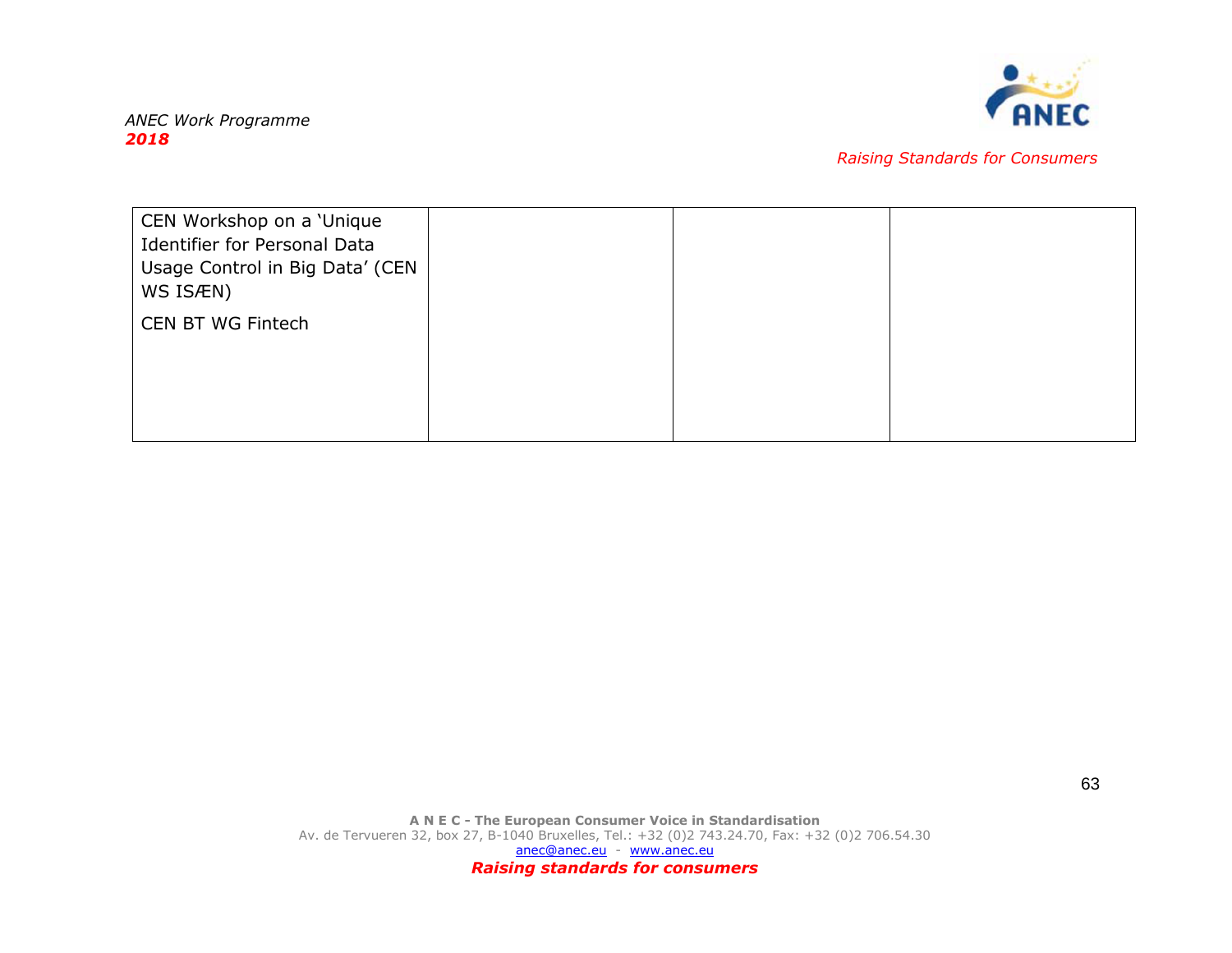

| CEN Workshop on a 'Unique<br><b>Identifier for Personal Data</b><br>Usage Control in Big Data' (CEN<br>WS ISÆN) |  |  |
|-----------------------------------------------------------------------------------------------------------------|--|--|
| CEN BT WG Fintech                                                                                               |  |  |
|                                                                                                                 |  |  |
|                                                                                                                 |  |  |
|                                                                                                                 |  |  |
|                                                                                                                 |  |  |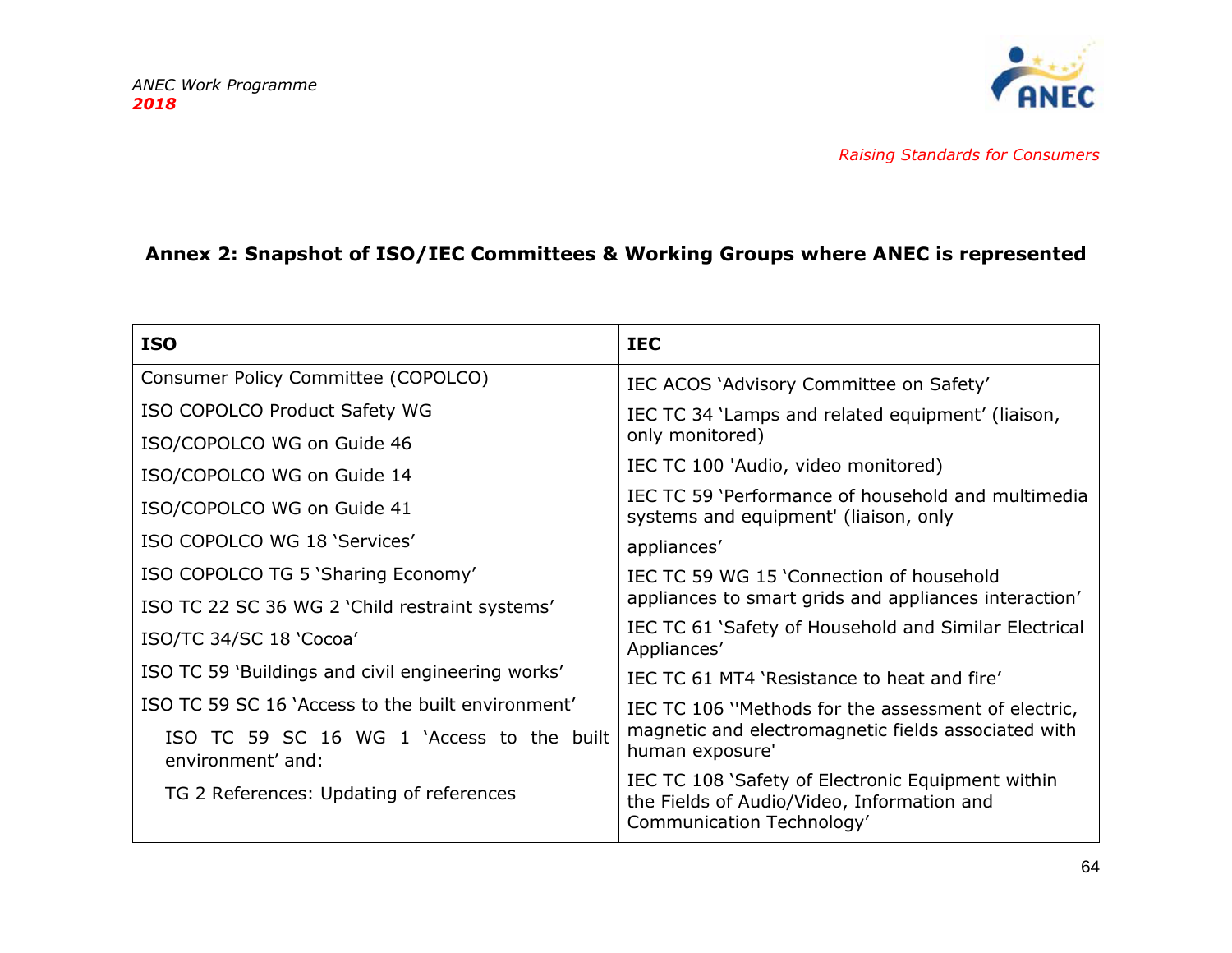

# **Annex 2: Snapshot of ISO/IEC Committees & Working Groups where ANEC is represented**

<span id="page-64-0"></span>

| <b>ISO</b>                                                     | <b>IEC</b>                                                                                                                    |  |
|----------------------------------------------------------------|-------------------------------------------------------------------------------------------------------------------------------|--|
| Consumer Policy Committee (COPOLCO)                            | IEC ACOS 'Advisory Committee on Safety'                                                                                       |  |
| ISO COPOLCO Product Safety WG                                  | IEC TC 34 'Lamps and related equipment' (liaison,<br>only monitored)                                                          |  |
| ISO/COPOLCO WG on Guide 46                                     |                                                                                                                               |  |
| ISO/COPOLCO WG on Guide 14                                     | IEC TC 100 'Audio, video monitored)                                                                                           |  |
| ISO/COPOLCO WG on Guide 41                                     | IEC TC 59 'Performance of household and multimedia<br>systems and equipment' (liaison, only                                   |  |
| ISO COPOLCO WG 18 'Services'                                   | appliances'                                                                                                                   |  |
| ISO COPOLCO TG 5 'Sharing Economy'                             | IEC TC 59 WG 15 'Connection of household<br>appliances to smart grids and appliances interaction'                             |  |
| ISO TC 22 SC 36 WG 2 'Child restraint systems'                 |                                                                                                                               |  |
| ISO/TC 34/SC 18 'Cocoa'                                        | IEC TC 61 'Safety of Household and Similar Electrical<br>Appliances'                                                          |  |
| ISO TC 59 'Buildings and civil engineering works'              | IEC TC 61 MT4 'Resistance to heat and fire'                                                                                   |  |
| ISO TC 59 SC 16 'Access to the built environment'              | IEC TC 106 "Methods for the assessment of electric,<br>magnetic and electromagnetic fields associated with<br>human exposure' |  |
| ISO TC 59 SC 16 WG 1 'Access to the built<br>environment' and: |                                                                                                                               |  |
| TG 2 References: Updating of references                        | IEC TC 108 'Safety of Electronic Equipment within<br>the Fields of Audio/Video, Information and<br>Communication Technology'  |  |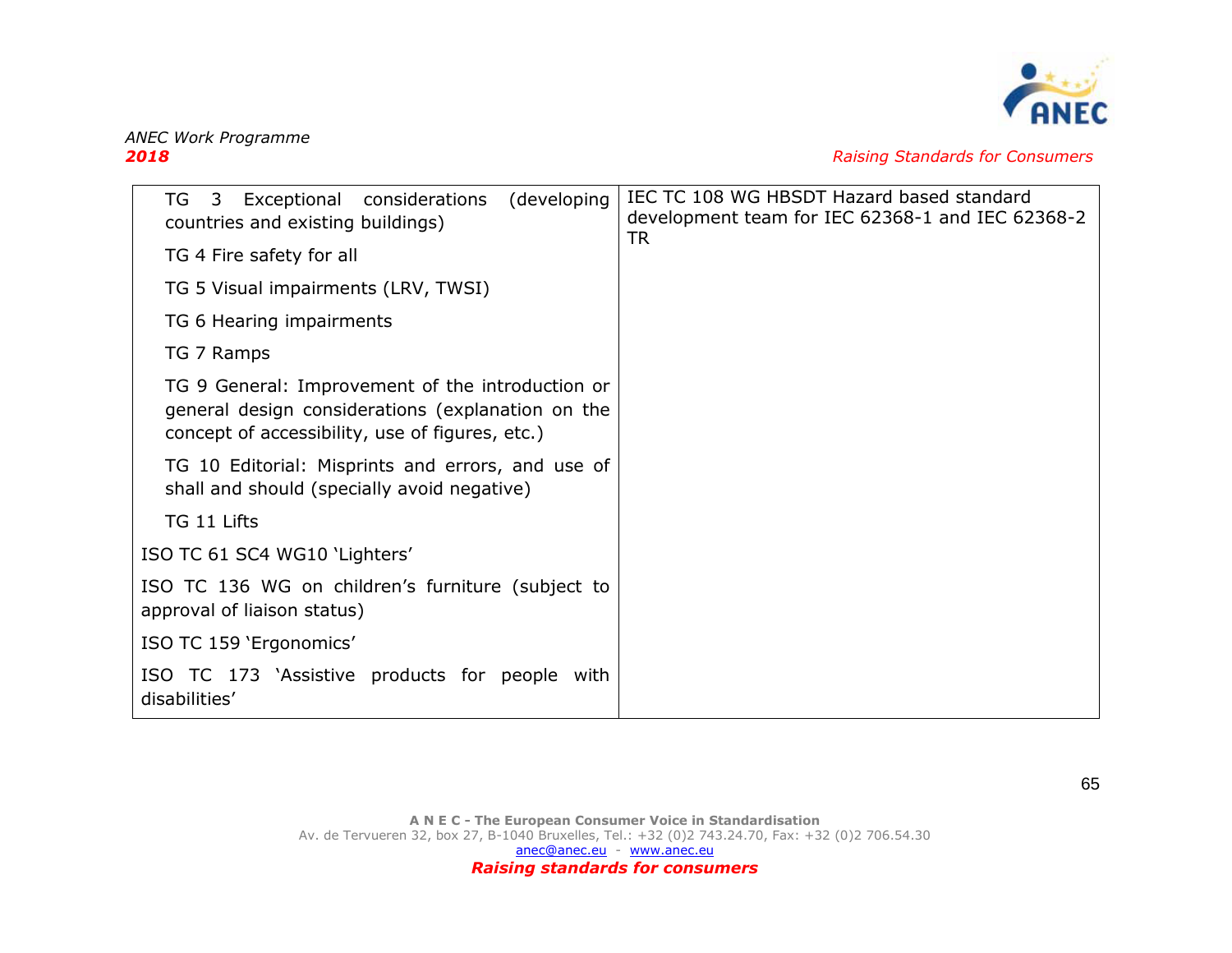

*2018 Raising Standards for Consumers*

| (developing<br>TG<br>Exceptional considerations<br>3<br>countries and existing buildings)                                                                | IEC TC 108 WG HBSDT Hazard based standard<br>development team for IEC 62368-1 and IEC 62368-2<br><b>TR</b> |  |
|----------------------------------------------------------------------------------------------------------------------------------------------------------|------------------------------------------------------------------------------------------------------------|--|
| TG 4 Fire safety for all                                                                                                                                 |                                                                                                            |  |
| TG 5 Visual impairments (LRV, TWSI)                                                                                                                      |                                                                                                            |  |
| TG 6 Hearing impairments                                                                                                                                 |                                                                                                            |  |
| TG 7 Ramps                                                                                                                                               |                                                                                                            |  |
| TG 9 General: Improvement of the introduction or<br>general design considerations (explanation on the<br>concept of accessibility, use of figures, etc.) |                                                                                                            |  |
| TG 10 Editorial: Misprints and errors, and use of<br>shall and should (specially avoid negative)                                                         |                                                                                                            |  |
| TG 11 Lifts                                                                                                                                              |                                                                                                            |  |
| ISO TC 61 SC4 WG10 'Lighters'                                                                                                                            |                                                                                                            |  |
| ISO TC 136 WG on children's furniture (subject to<br>approval of liaison status)                                                                         |                                                                                                            |  |
| ISO TC 159 'Ergonomics'                                                                                                                                  |                                                                                                            |  |
| ISO TC 173 `Assistive products for people with<br>disabilities'                                                                                          |                                                                                                            |  |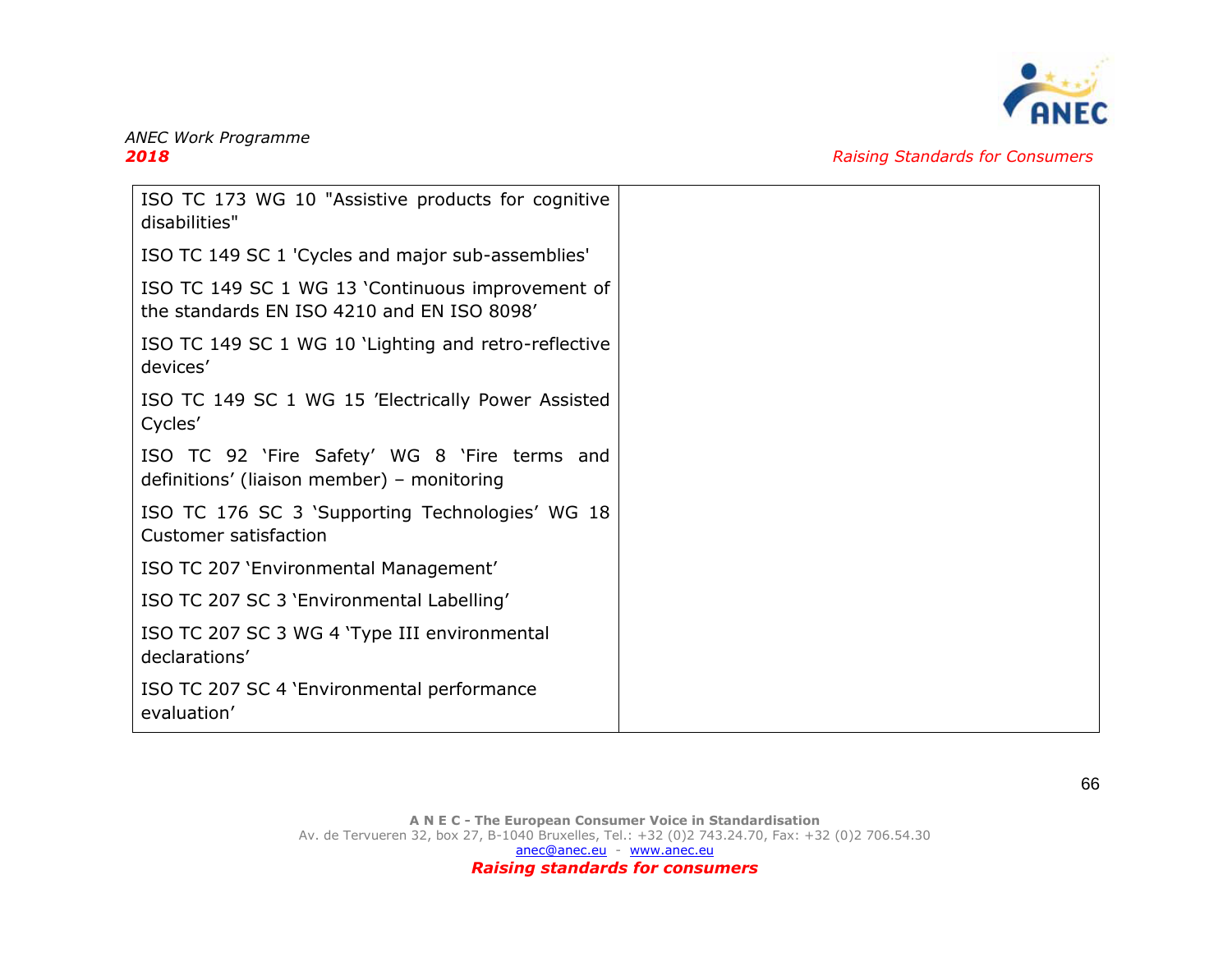

| ISO TC 173 WG 10 "Assistive products for cognitive<br>disabilities"                            |
|------------------------------------------------------------------------------------------------|
| ISO TC 149 SC 1 'Cycles and major sub-assemblies'                                              |
| ISO TC 149 SC 1 WG 13 'Continuous improvement of<br>the standards EN ISO 4210 and EN ISO 8098' |
| ISO TC 149 SC 1 WG 10 'Lighting and retro-reflective<br>devices'                               |
| ISO TC 149 SC 1 WG 15 'Electrically Power Assisted<br>Cycles'                                  |
| ISO TC 92 'Fire Safety' WG 8 'Fire terms and<br>definitions' (liaison member) - monitoring     |
| ISO TC 176 SC 3 'Supporting Technologies' WG 18<br><b>Customer satisfaction</b>                |
| ISO TC 207 'Environmental Management'                                                          |
| ISO TC 207 SC 3 'Environmental Labelling'                                                      |
| ISO TC 207 SC 3 WG 4 'Type III environmental<br>declarations'                                  |
| ISO TC 207 SC 4 'Environmental performance<br>evaluation'                                      |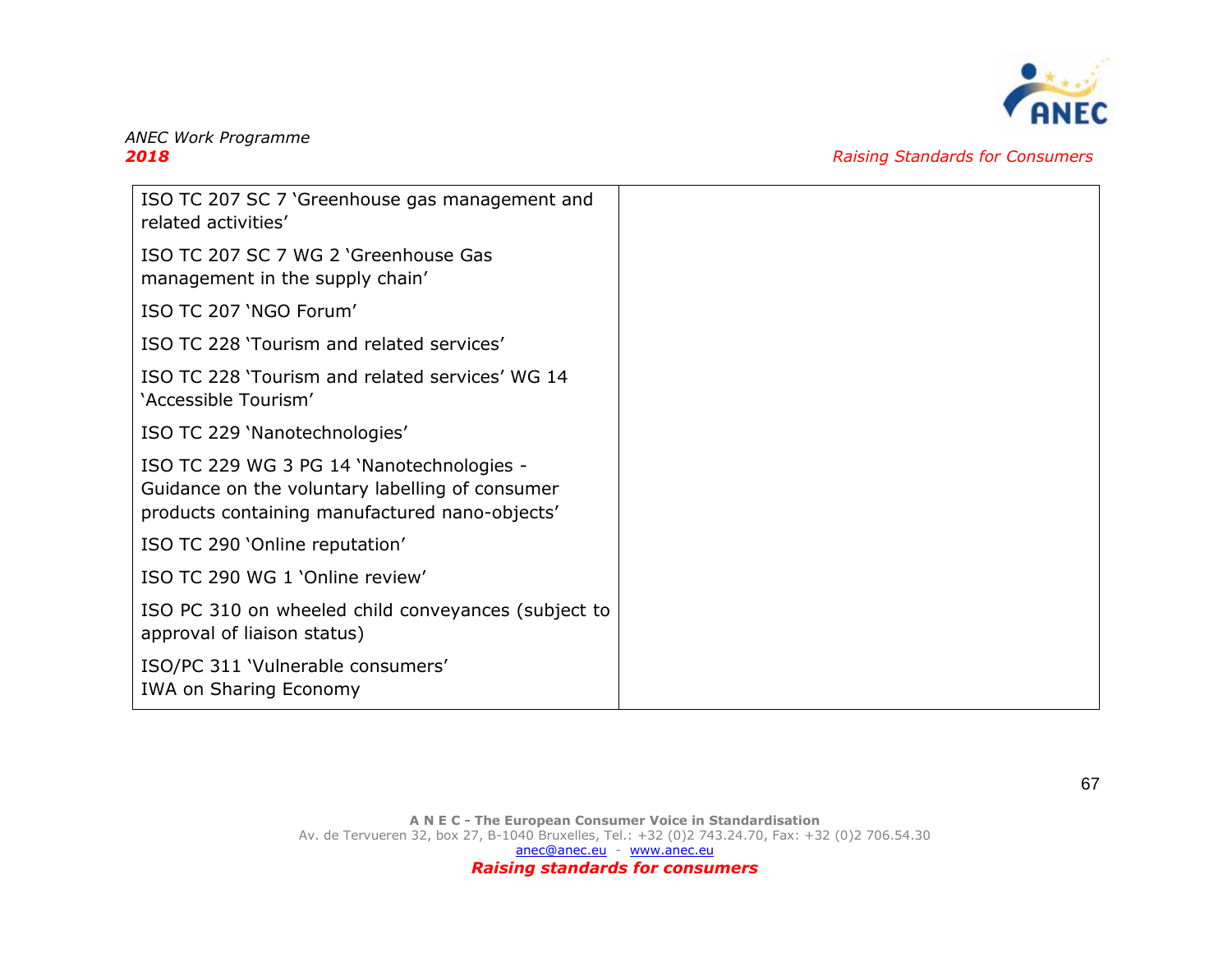

| ISO TC 207 SC 7 'Greenhouse gas management and<br>related activities'                                                                          |
|------------------------------------------------------------------------------------------------------------------------------------------------|
| ISO TC 207 SC 7 WG 2 'Greenhouse Gas<br>management in the supply chain'                                                                        |
| ISO TC 207 'NGO Forum'                                                                                                                         |
| ISO TC 228 'Tourism and related services'                                                                                                      |
| ISO TC 228 'Tourism and related services' WG 14<br>'Accessible Tourism'                                                                        |
| ISO TC 229 'Nanotechnologies'                                                                                                                  |
| ISO TC 229 WG 3 PG 14 'Nanotechnologies -<br>Guidance on the voluntary labelling of consumer<br>products containing manufactured nano-objects' |
| ISO TC 290 'Online reputation'                                                                                                                 |
| ISO TC 290 WG 1 'Online review'                                                                                                                |
| ISO PC 310 on wheeled child conveyances (subject to<br>approval of liaison status)                                                             |
| ISO/PC 311 'Vulnerable consumers'<br><b>IWA on Sharing Economy</b>                                                                             |